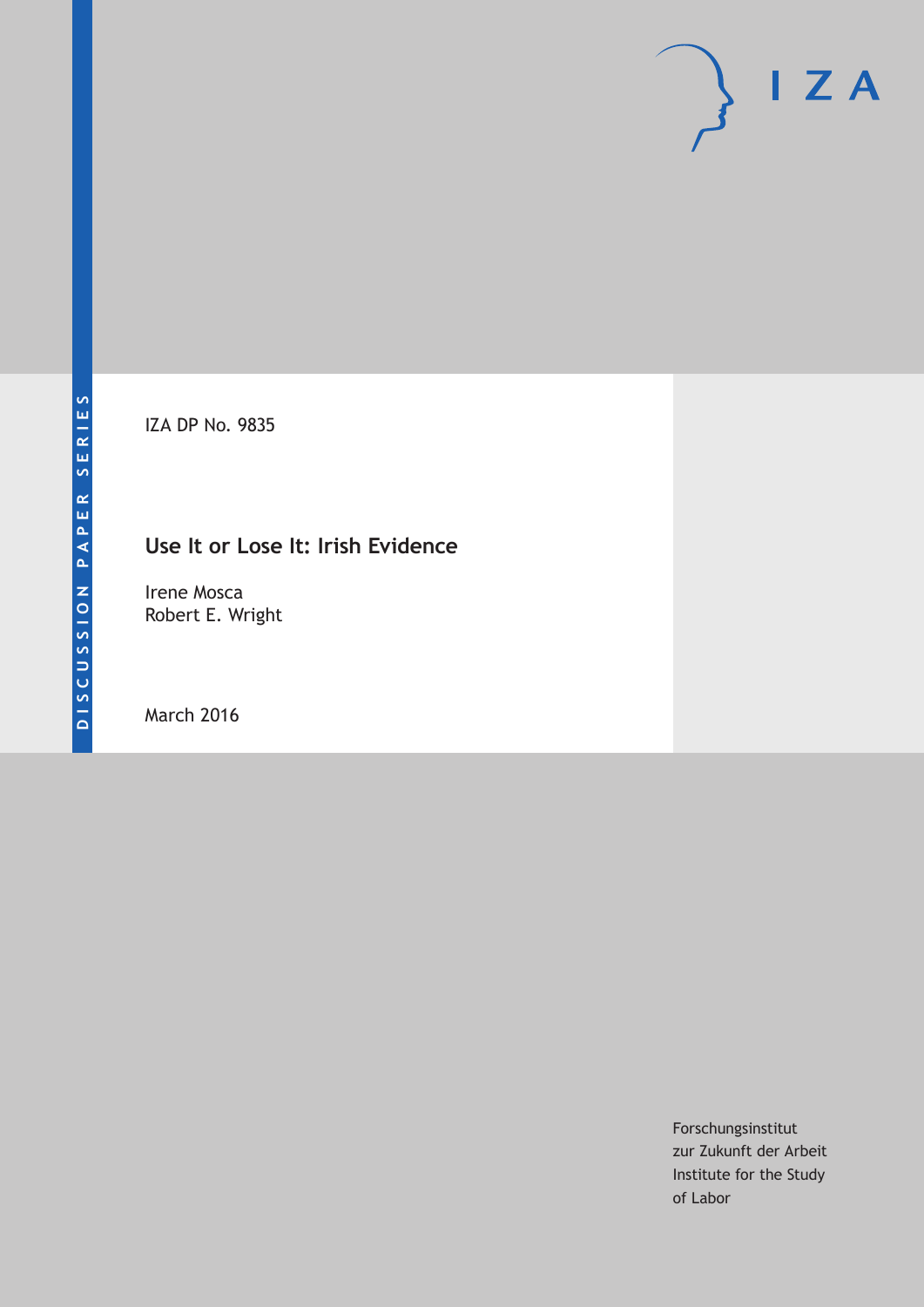IZA DP No. 9835

## **Use It or Lose It: Irish Evidence**

Irene Mosca Robert E. Wright

March 2016

Forschungsinstitut zur Zukunft der Arbeit Institute for the Study of Labor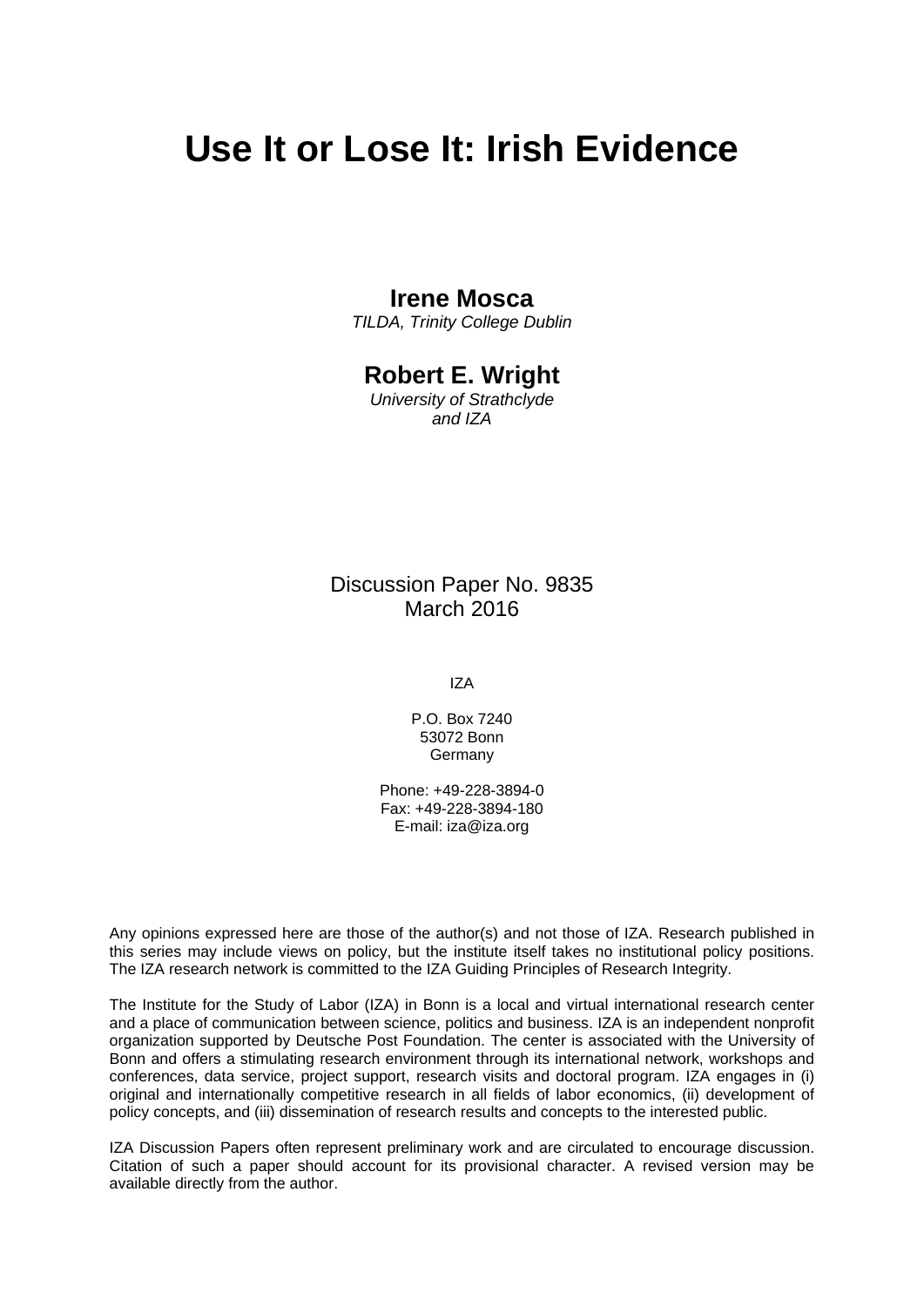# **Use It or Lose It: Irish Evidence**

### **Irene Mosca**

*TILDA, Trinity College Dublin* 

### **Robert E. Wright**

*University of Strathclyde and IZA* 

### Discussion Paper No. 9835 March 2016

IZA

P.O. Box 7240 53072 Bonn **Germany** 

Phone: +49-228-3894-0 Fax: +49-228-3894-180 E-mail: iza@iza.org

Any opinions expressed here are those of the author(s) and not those of IZA. Research published in this series may include views on policy, but the institute itself takes no institutional policy positions. The IZA research network is committed to the IZA Guiding Principles of Research Integrity.

The Institute for the Study of Labor (IZA) in Bonn is a local and virtual international research center and a place of communication between science, politics and business. IZA is an independent nonprofit organization supported by Deutsche Post Foundation. The center is associated with the University of Bonn and offers a stimulating research environment through its international network, workshops and conferences, data service, project support, research visits and doctoral program. IZA engages in (i) original and internationally competitive research in all fields of labor economics, (ii) development of policy concepts, and (iii) dissemination of research results and concepts to the interested public.

IZA Discussion Papers often represent preliminary work and are circulated to encourage discussion. Citation of such a paper should account for its provisional character. A revised version may be available directly from the author.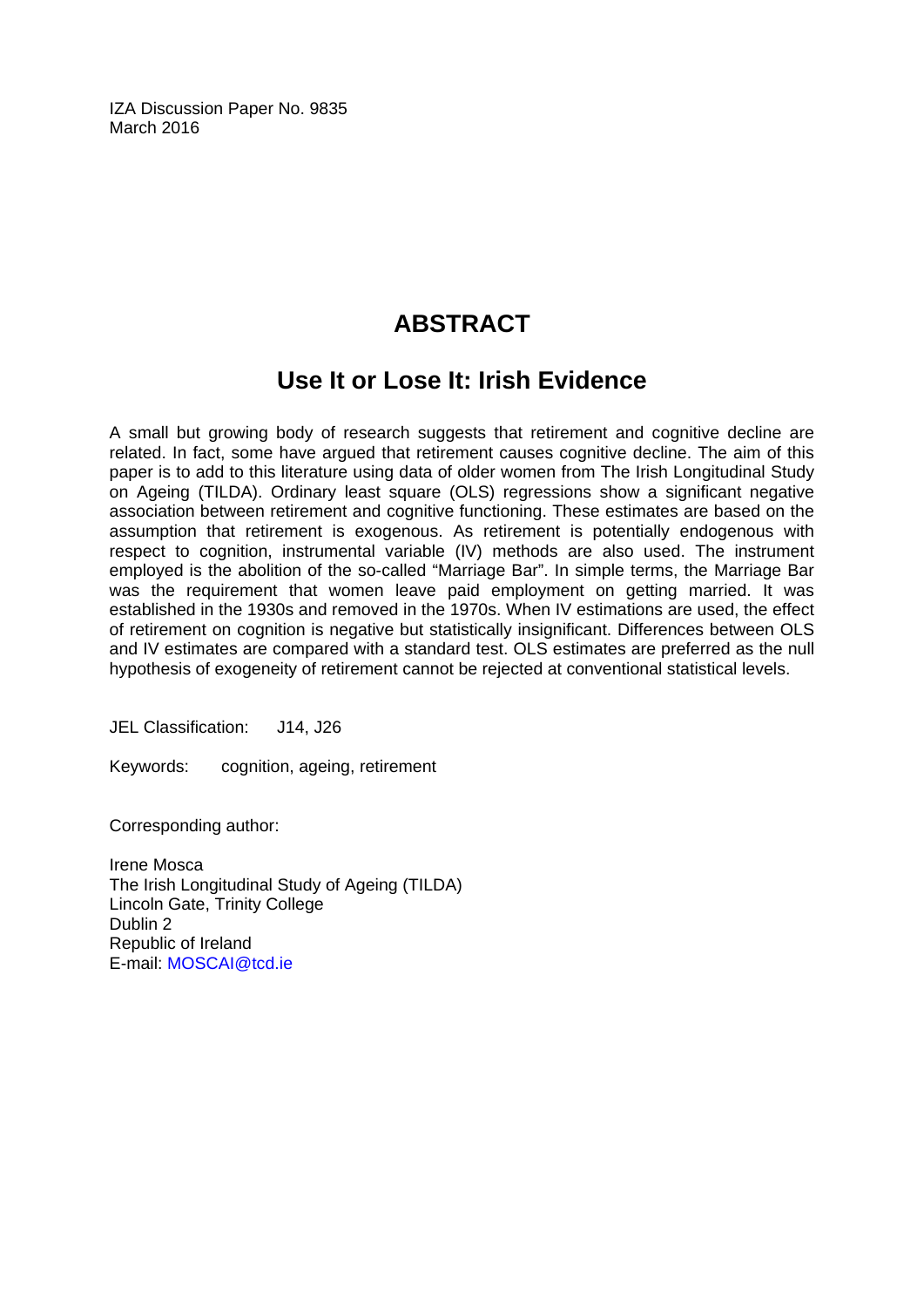IZA Discussion Paper No. 9835 March 2016

# **ABSTRACT**

## **Use It or Lose It: Irish Evidence**

A small but growing body of research suggests that retirement and cognitive decline are related. In fact, some have argued that retirement causes cognitive decline. The aim of this paper is to add to this literature using data of older women from The Irish Longitudinal Study on Ageing (TILDA). Ordinary least square (OLS) regressions show a significant negative association between retirement and cognitive functioning. These estimates are based on the assumption that retirement is exogenous. As retirement is potentially endogenous with respect to cognition, instrumental variable (IV) methods are also used. The instrument employed is the abolition of the so-called "Marriage Bar". In simple terms, the Marriage Bar was the requirement that women leave paid employment on getting married. It was established in the 1930s and removed in the 1970s. When IV estimations are used, the effect of retirement on cognition is negative but statistically insignificant. Differences between OLS and IV estimates are compared with a standard test. OLS estimates are preferred as the null hypothesis of exogeneity of retirement cannot be rejected at conventional statistical levels.

JEL Classification: J14, J26

Keywords: cognition, ageing, retirement

Corresponding author:

Irene Mosca The Irish Longitudinal Study of Ageing (TILDA) Lincoln Gate, Trinity College Dublin 2 Republic of Ireland E-mail: MOSCAI@tcd.ie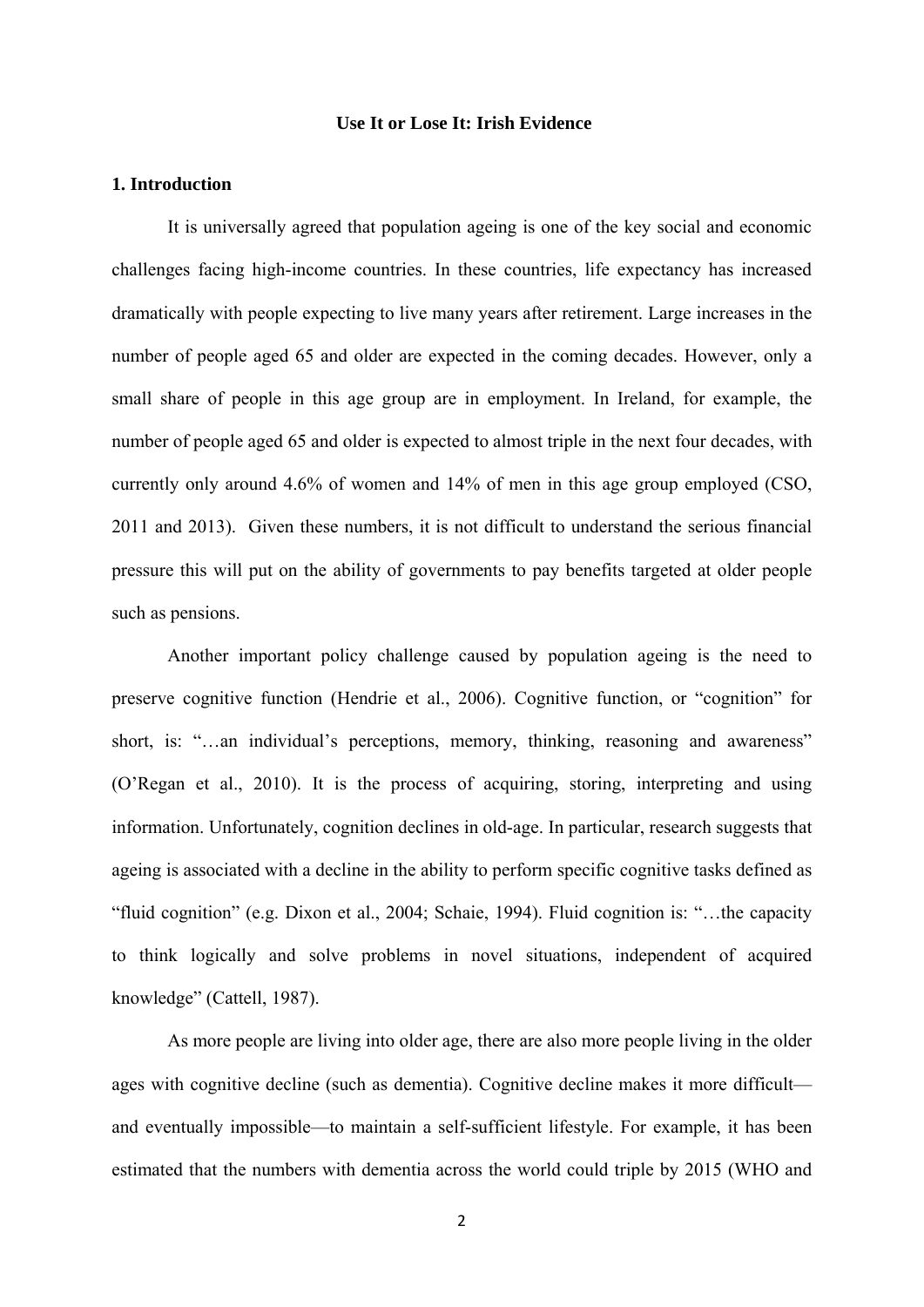#### **Use It or Lose It: Irish Evidence**

#### **1. Introduction**

It is universally agreed that population ageing is one of the key social and economic challenges facing high-income countries. In these countries, life expectancy has increased dramatically with people expecting to live many years after retirement. Large increases in the number of people aged 65 and older are expected in the coming decades. However, only a small share of people in this age group are in employment. In Ireland, for example, the number of people aged 65 and older is expected to almost triple in the next four decades, with currently only around 4.6% of women and 14% of men in this age group employed (CSO, 2011 and 2013). Given these numbers, it is not difficult to understand the serious financial pressure this will put on the ability of governments to pay benefits targeted at older people such as pensions.

Another important policy challenge caused by population ageing is the need to preserve cognitive function (Hendrie et al., 2006). Cognitive function, or "cognition" for short, is: "…an individual's perceptions, memory, thinking, reasoning and awareness" (O'Regan et al., 2010). It is the process of acquiring, storing, interpreting and using information. Unfortunately, cognition declines in old-age. In particular, research suggests that ageing is associated with a decline in the ability to perform specific cognitive tasks defined as "fluid cognition" (e.g. Dixon et al., 2004; Schaie, 1994). Fluid cognition is: "…the capacity to think logically and solve problems in novel situations, independent of acquired knowledge" (Cattell, 1987).

As more people are living into older age, there are also more people living in the older ages with cognitive decline (such as dementia). Cognitive decline makes it more difficult and eventually impossible—to maintain a self-sufficient lifestyle. For example, it has been estimated that the numbers with dementia across the world could triple by 2015 (WHO and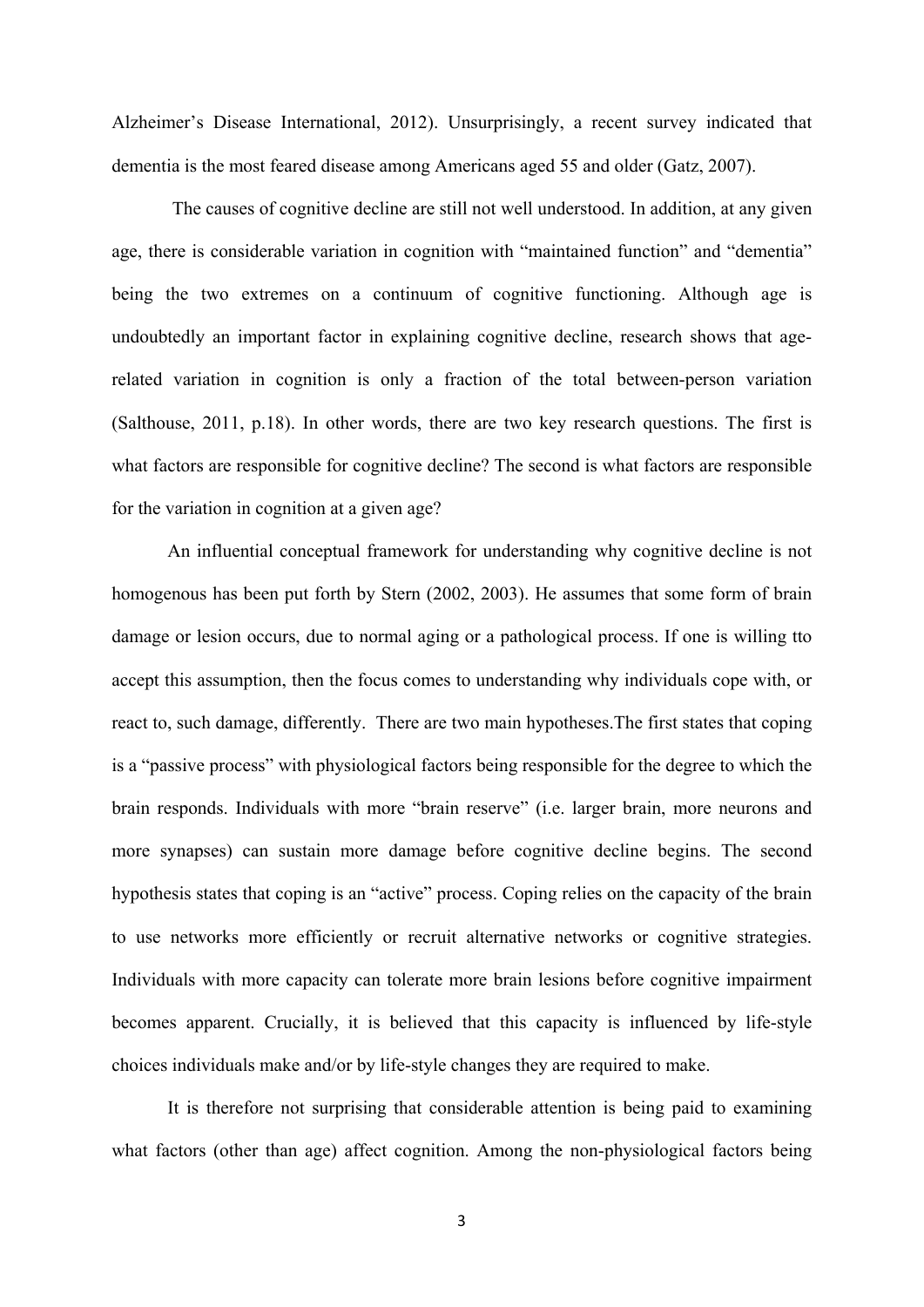Alzheimer's Disease International, 2012). Unsurprisingly, a recent survey indicated that dementia is the most feared disease among Americans aged 55 and older (Gatz, 2007).

 The causes of cognitive decline are still not well understood. In addition, at any given age, there is considerable variation in cognition with "maintained function" and "dementia" being the two extremes on a continuum of cognitive functioning. Although age is undoubtedly an important factor in explaining cognitive decline, research shows that agerelated variation in cognition is only a fraction of the total between-person variation (Salthouse, 2011, p.18). In other words, there are two key research questions. The first is what factors are responsible for cognitive decline? The second is what factors are responsible for the variation in cognition at a given age?

An influential conceptual framework for understanding why cognitive decline is not homogenous has been put forth by Stern (2002, 2003). He assumes that some form of brain damage or lesion occurs, due to normal aging or a pathological process. If one is willing tto accept this assumption, then the focus comes to understanding why individuals cope with, or react to, such damage, differently. There are two main hypotheses.The first states that coping is a "passive process" with physiological factors being responsible for the degree to which the brain responds. Individuals with more "brain reserve" (i.e. larger brain, more neurons and more synapses) can sustain more damage before cognitive decline begins. The second hypothesis states that coping is an "active" process. Coping relies on the capacity of the brain to use networks more efficiently or recruit alternative networks or cognitive strategies. Individuals with more capacity can tolerate more brain lesions before cognitive impairment becomes apparent. Crucially, it is believed that this capacity is influenced by life-style choices individuals make and/or by life-style changes they are required to make.

It is therefore not surprising that considerable attention is being paid to examining what factors (other than age) affect cognition. Among the non-physiological factors being

3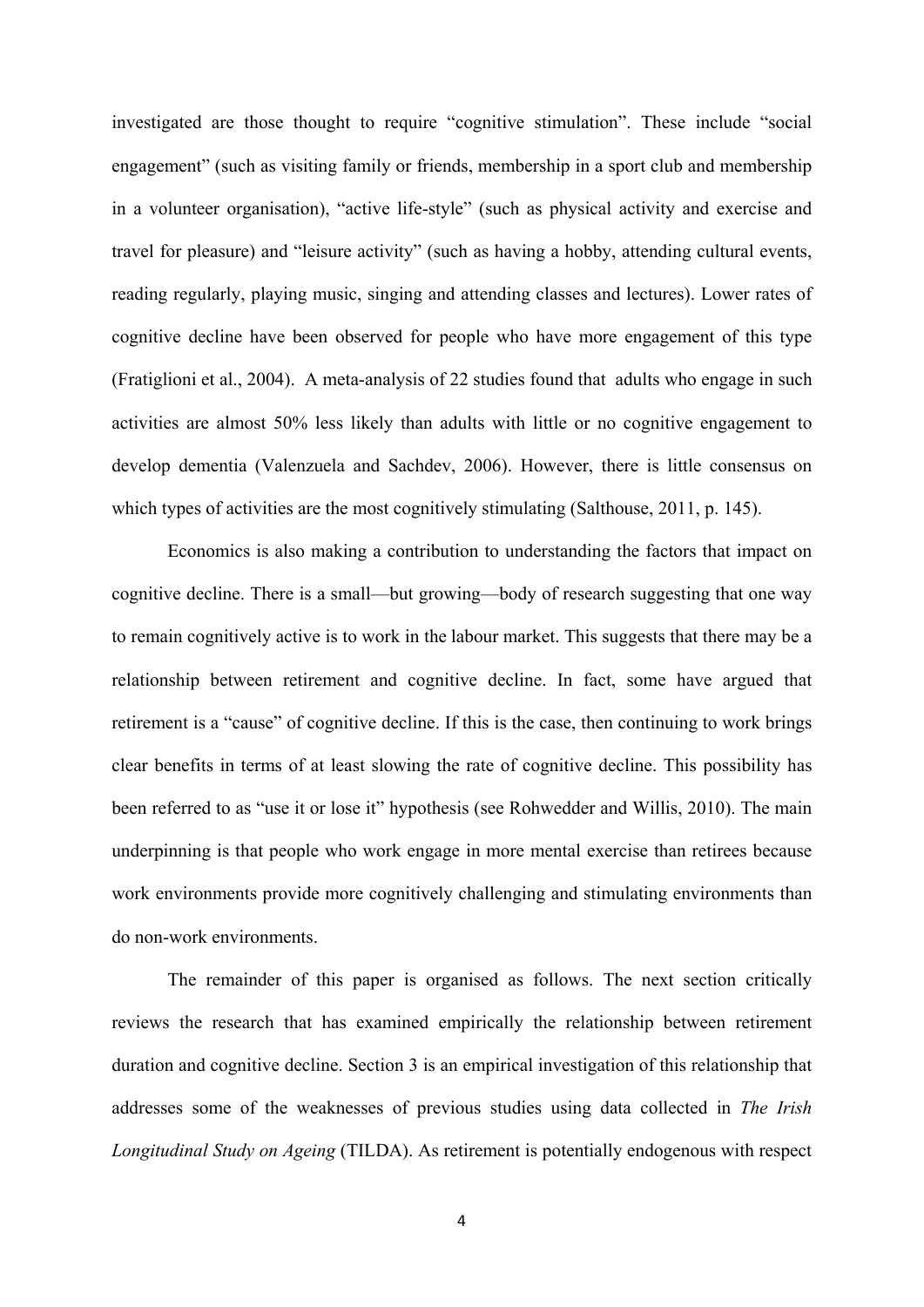investigated are those thought to require "cognitive stimulation". These include "social engagement" (such as visiting family or friends, membership in a sport club and membership in a volunteer organisation), "active life-style" (such as physical activity and exercise and travel for pleasure) and "leisure activity" (such as having a hobby, attending cultural events, reading regularly, playing music, singing and attending classes and lectures). Lower rates of cognitive decline have been observed for people who have more engagement of this type (Fratiglioni et al., 2004). A meta-analysis of 22 studies found that adults who engage in such activities are almost 50% less likely than adults with little or no cognitive engagement to develop dementia (Valenzuela and Sachdev, 2006). However, there is little consensus on which types of activities are the most cognitively stimulating (Salthouse, 2011, p. 145).

Economics is also making a contribution to understanding the factors that impact on cognitive decline. There is a small—but growing—body of research suggesting that one way to remain cognitively active is to work in the labour market. This suggests that there may be a relationship between retirement and cognitive decline. In fact, some have argued that retirement is a "cause" of cognitive decline. If this is the case, then continuing to work brings clear benefits in terms of at least slowing the rate of cognitive decline. This possibility has been referred to as "use it or lose it" hypothesis (see Rohwedder and Willis, 2010). The main underpinning is that people who work engage in more mental exercise than retirees because work environments provide more cognitively challenging and stimulating environments than do non-work environments.

The remainder of this paper is organised as follows. The next section critically reviews the research that has examined empirically the relationship between retirement duration and cognitive decline. Section 3 is an empirical investigation of this relationship that addresses some of the weaknesses of previous studies using data collected in *The Irish Longitudinal Study on Ageing* (TILDA). As retirement is potentially endogenous with respect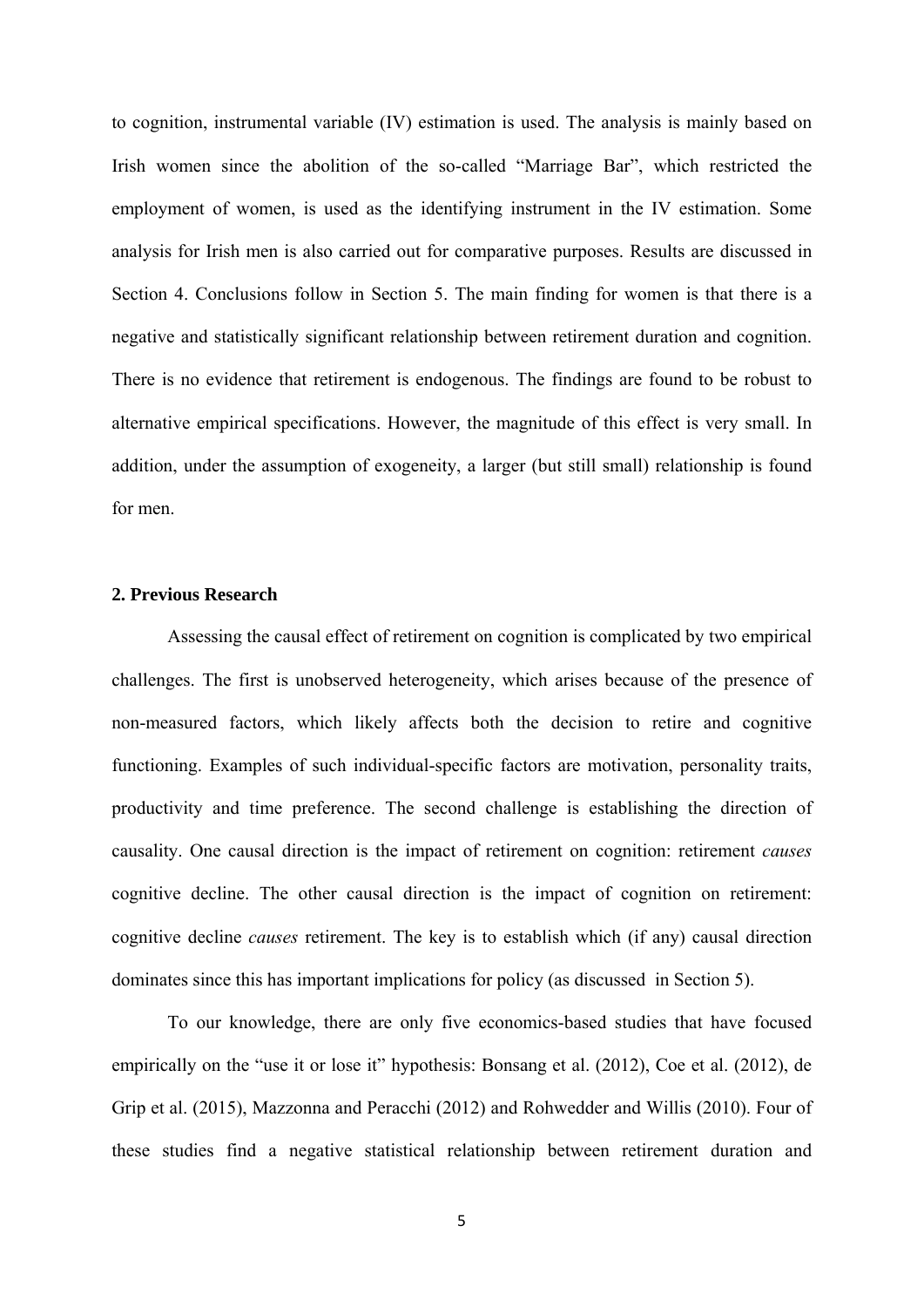to cognition, instrumental variable (IV) estimation is used. The analysis is mainly based on Irish women since the abolition of the so-called "Marriage Bar", which restricted the employment of women, is used as the identifying instrument in the IV estimation. Some analysis for Irish men is also carried out for comparative purposes. Results are discussed in Section 4. Conclusions follow in Section 5. The main finding for women is that there is a negative and statistically significant relationship between retirement duration and cognition. There is no evidence that retirement is endogenous. The findings are found to be robust to alternative empirical specifications. However, the magnitude of this effect is very small. In addition, under the assumption of exogeneity, a larger (but still small) relationship is found for men.

#### **2. Previous Research**

Assessing the causal effect of retirement on cognition is complicated by two empirical challenges. The first is unobserved heterogeneity, which arises because of the presence of non-measured factors, which likely affects both the decision to retire and cognitive functioning. Examples of such individual-specific factors are motivation, personality traits, productivity and time preference. The second challenge is establishing the direction of causality. One causal direction is the impact of retirement on cognition: retirement *causes*  cognitive decline. The other causal direction is the impact of cognition on retirement: cognitive decline *causes* retirement. The key is to establish which (if any) causal direction dominates since this has important implications for policy (as discussed in Section 5).

To our knowledge, there are only five economics-based studies that have focused empirically on the "use it or lose it" hypothesis: Bonsang et al. (2012), Coe et al. (2012), de Grip et al. (2015), Mazzonna and Peracchi (2012) and Rohwedder and Willis (2010). Four of these studies find a negative statistical relationship between retirement duration and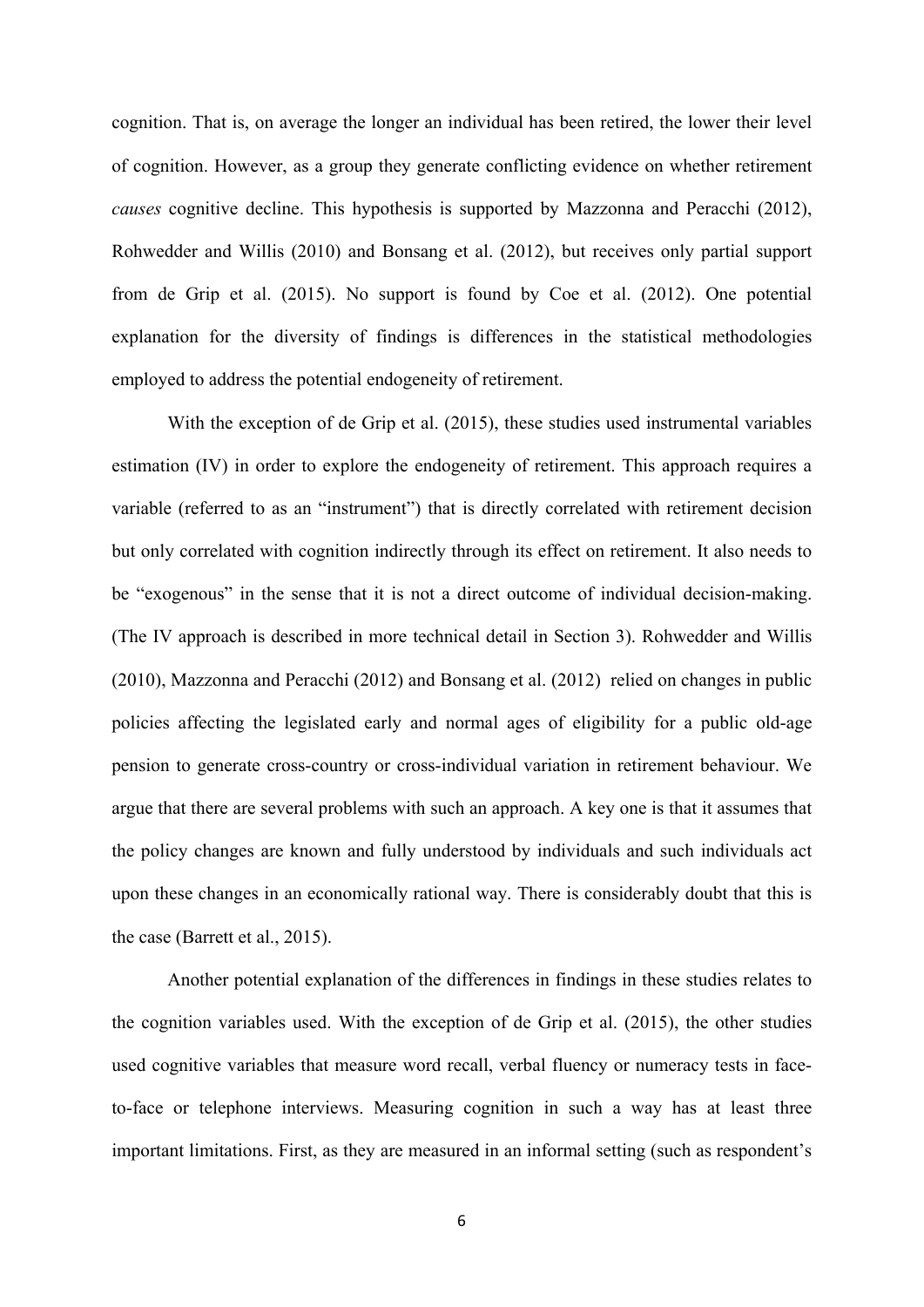cognition. That is, on average the longer an individual has been retired, the lower their level of cognition. However, as a group they generate conflicting evidence on whether retirement *causes* cognitive decline. This hypothesis is supported by Mazzonna and Peracchi (2012), Rohwedder and Willis (2010) and Bonsang et al. (2012), but receives only partial support from de Grip et al. (2015). No support is found by Coe et al. (2012). One potential explanation for the diversity of findings is differences in the statistical methodologies employed to address the potential endogeneity of retirement.

With the exception of de Grip et al. (2015), these studies used instrumental variables estimation (IV) in order to explore the endogeneity of retirement. This approach requires a variable (referred to as an "instrument") that is directly correlated with retirement decision but only correlated with cognition indirectly through its effect on retirement. It also needs to be "exogenous" in the sense that it is not a direct outcome of individual decision-making. (The IV approach is described in more technical detail in Section 3). Rohwedder and Willis (2010), Mazzonna and Peracchi (2012) and Bonsang et al. (2012) relied on changes in public policies affecting the legislated early and normal ages of eligibility for a public old-age pension to generate cross-country or cross-individual variation in retirement behaviour. We argue that there are several problems with such an approach. A key one is that it assumes that the policy changes are known and fully understood by individuals and such individuals act upon these changes in an economically rational way. There is considerably doubt that this is the case (Barrett et al., 2015).

Another potential explanation of the differences in findings in these studies relates to the cognition variables used. With the exception of de Grip et al. (2015), the other studies used cognitive variables that measure word recall, verbal fluency or numeracy tests in faceto-face or telephone interviews. Measuring cognition in such a way has at least three important limitations. First, as they are measured in an informal setting (such as respondent's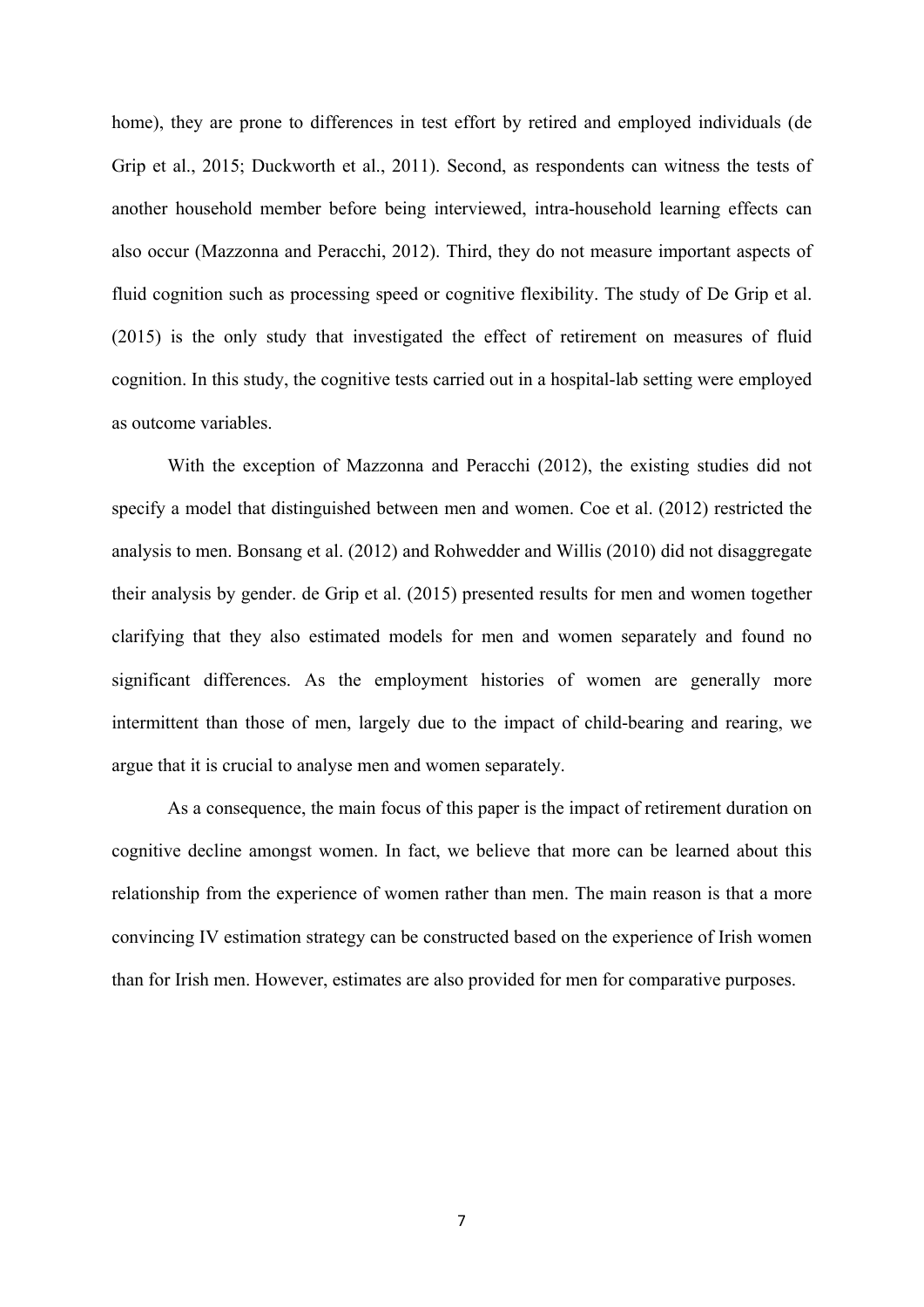home), they are prone to differences in test effort by retired and employed individuals (de Grip et al., 2015; Duckworth et al., 2011). Second, as respondents can witness the tests of another household member before being interviewed, intra-household learning effects can also occur (Mazzonna and Peracchi, 2012). Third, they do not measure important aspects of fluid cognition such as processing speed or cognitive flexibility. The study of De Grip et al. (2015) is the only study that investigated the effect of retirement on measures of fluid cognition. In this study, the cognitive tests carried out in a hospital-lab setting were employed as outcome variables.

With the exception of Mazzonna and Peracchi (2012), the existing studies did not specify a model that distinguished between men and women. Coe et al. (2012) restricted the analysis to men. Bonsang et al. (2012) and Rohwedder and Willis (2010) did not disaggregate their analysis by gender. de Grip et al. (2015) presented results for men and women together clarifying that they also estimated models for men and women separately and found no significant differences. As the employment histories of women are generally more intermittent than those of men, largely due to the impact of child-bearing and rearing, we argue that it is crucial to analyse men and women separately.

As a consequence, the main focus of this paper is the impact of retirement duration on cognitive decline amongst women. In fact, we believe that more can be learned about this relationship from the experience of women rather than men. The main reason is that a more convincing IV estimation strategy can be constructed based on the experience of Irish women than for Irish men. However, estimates are also provided for men for comparative purposes.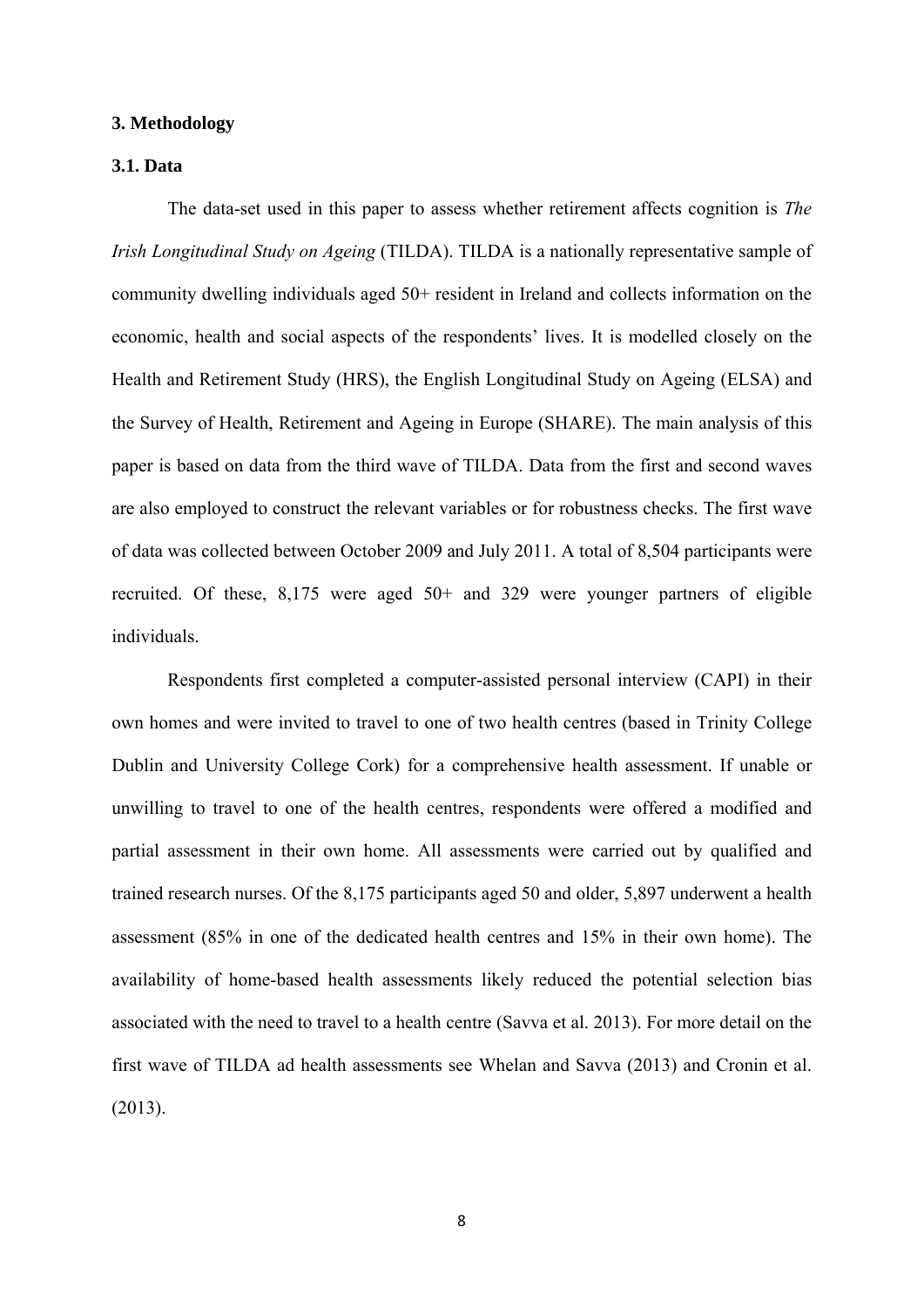#### **3. Methodology**

#### **3.1. Data**

The data-set used in this paper to assess whether retirement affects cognition is *The Irish Longitudinal Study on Ageing* (TILDA). TILDA is a nationally representative sample of community dwelling individuals aged 50+ resident in Ireland and collects information on the economic, health and social aspects of the respondents' lives. It is modelled closely on the Health and Retirement Study (HRS), the English Longitudinal Study on Ageing (ELSA) and the Survey of Health, Retirement and Ageing in Europe (SHARE). The main analysis of this paper is based on data from the third wave of TILDA. Data from the first and second waves are also employed to construct the relevant variables or for robustness checks. The first wave of data was collected between October 2009 and July 2011. A total of 8,504 participants were recruited. Of these, 8,175 were aged 50+ and 329 were younger partners of eligible individuals.

Respondents first completed a computer-assisted personal interview (CAPI) in their own homes and were invited to travel to one of two health centres (based in Trinity College Dublin and University College Cork) for a comprehensive health assessment. If unable or unwilling to travel to one of the health centres, respondents were offered a modified and partial assessment in their own home. All assessments were carried out by qualified and trained research nurses. Of the 8,175 participants aged 50 and older, 5,897 underwent a health assessment (85% in one of the dedicated health centres and 15% in their own home). The availability of home-based health assessments likely reduced the potential selection bias associated with the need to travel to a health centre (Savva et al. 2013). For more detail on the first wave of TILDA ad health assessments see Whelan and Savva (2013) and Cronin et al. (2013).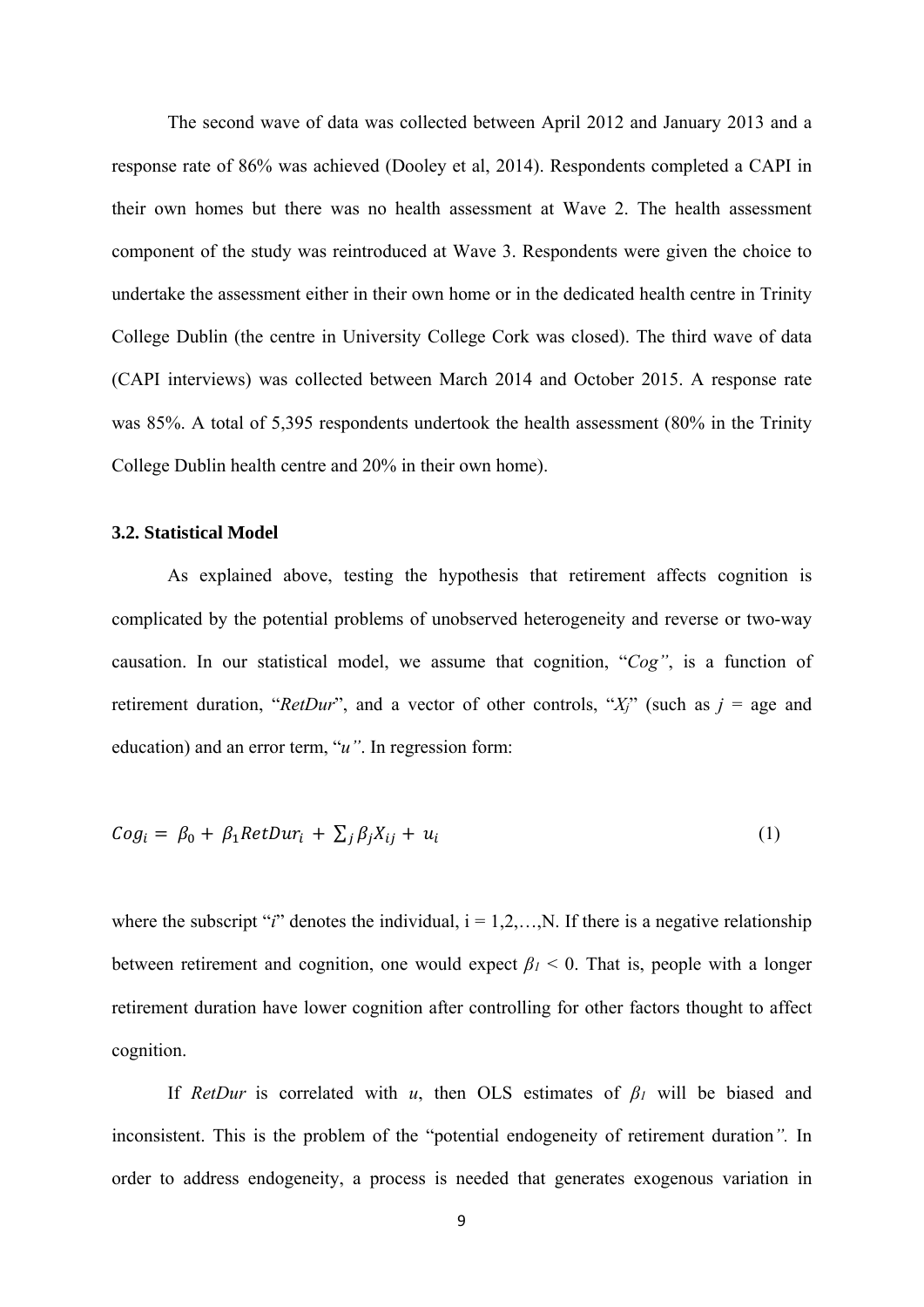The second wave of data was collected between April 2012 and January 2013 and a response rate of 86% was achieved (Dooley et al, 2014). Respondents completed a CAPI in their own homes but there was no health assessment at Wave 2. The health assessment component of the study was reintroduced at Wave 3. Respondents were given the choice to undertake the assessment either in their own home or in the dedicated health centre in Trinity College Dublin (the centre in University College Cork was closed). The third wave of data (CAPI interviews) was collected between March 2014 and October 2015. A response rate was 85%. A total of 5,395 respondents undertook the health assessment (80% in the Trinity College Dublin health centre and 20% in their own home).

#### **3.2. Statistical Model**

As explained above, testing the hypothesis that retirement affects cognition is complicated by the potential problems of unobserved heterogeneity and reverse or two-way causation. In our statistical model, we assume that cognition, "*Cog"*, is a function of retirement duration, "*RetDur*", and a vector of other controls, " $X_i$ " (such as  $j = a$ ge and education) and an error term, "*u"*. In regression form:

$$
Cog_i = \beta_0 + \beta_1 RetDur_i + \sum_j \beta_j X_{ij} + u_i
$$
\n(1)

where the subscript "*i*" denotes the individual,  $i = 1, 2, \ldots, N$ . If there is a negative relationship between retirement and cognition, one would expect  $\beta$ <sup>1</sup> < 0. That is, people with a longer retirement duration have lower cognition after controlling for other factors thought to affect cognition.

If *RetDur* is correlated with *u*, then OLS estimates of *β1* will be biased and inconsistent. This is the problem of the "potential endogeneity of retirement duration*".* In order to address endogeneity, a process is needed that generates exogenous variation in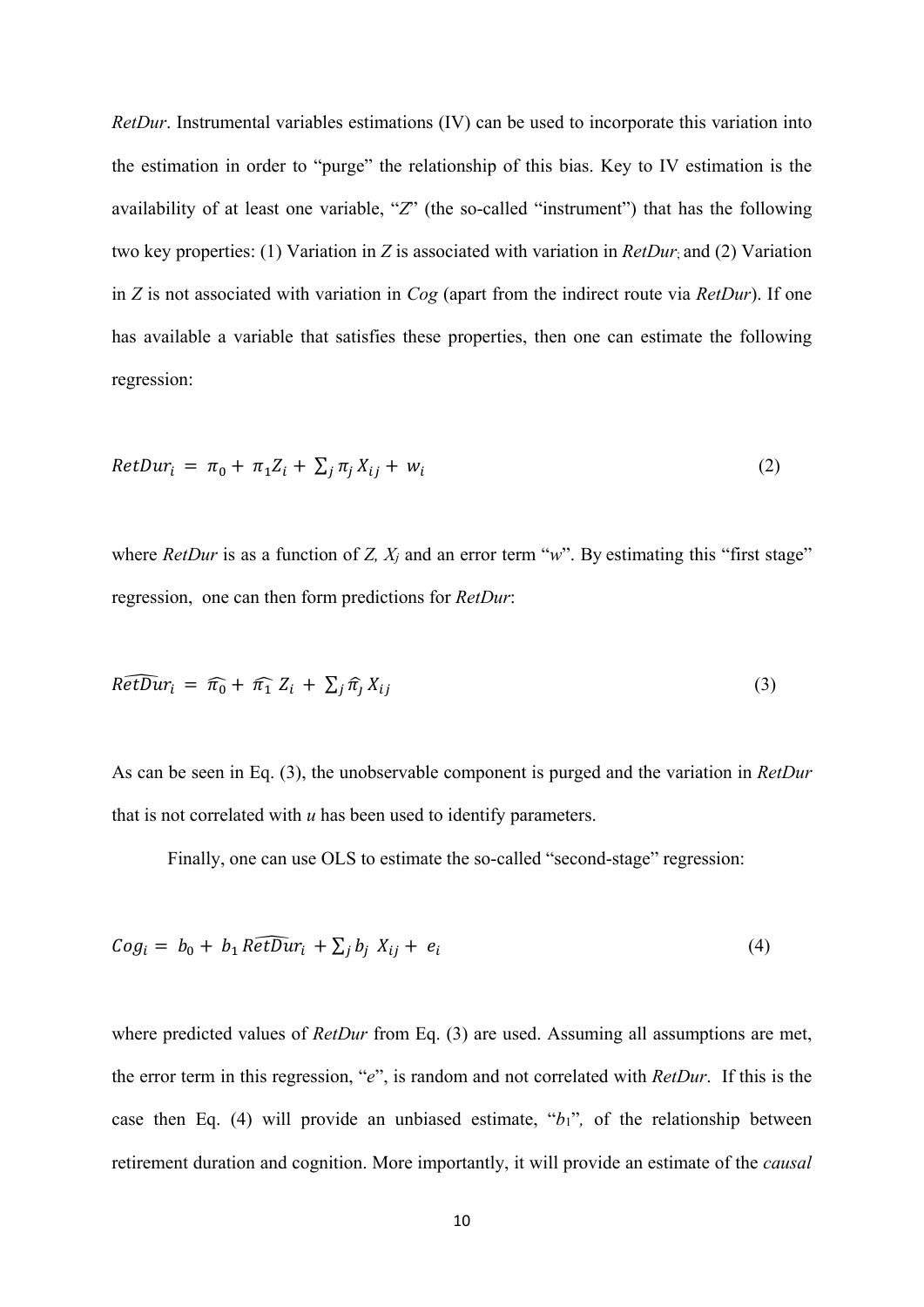*RetDur*. Instrumental variables estimations (IV) can be used to incorporate this variation into the estimation in order to "purge" the relationship of this bias. Key to IV estimation is the availability of at least one variable, "*Z*" (the so-called "instrument") that has the following two key properties: (1) Variation in *Z* is associated with variation in *RetDur*; and (2) Variation in *Z* is not associated with variation in *Cog* (apart from the indirect route via *RetDur*). If one has available a variable that satisfies these properties, then one can estimate the following regression:

$$
RetDur_i = \pi_0 + \pi_1 Z_i + \sum_j \pi_j X_{ij} + w_i \tag{2}
$$

where *RetDur* is as a function of *Z, X<sub>j</sub>* and an error term "*w*". By estimating this "first stage" regression, one can then form predictions for *RetDur*:

$$
RefDur_i = \widehat{\pi_0} + \widehat{\pi_1} Z_i + \sum_j \widehat{\pi_j} X_{ij}
$$
\n(3)

As can be seen in Eq. (3), the unobservable component is purged and the variation in *RetDur* that is not correlated with *u* has been used to identify parameters.

Finally, one can use OLS to estimate the so-called "second-stage" regression:

$$
Cog_i = b_0 + b_1 \widehat{ReLU} + \sum_j b_j X_{ij} + e_i
$$
\n
$$
\tag{4}
$$

where predicted values of *RetDur* from Eq. (3) are used. Assuming all assumptions are met, the error term in this regression, "*e*", is random and not correlated with *RetDur*. If this is the case then Eq. (4) will provide an unbiased estimate, "*b*1"*,* of the relationship between retirement duration and cognition. More importantly, it will provide an estimate of the *causal*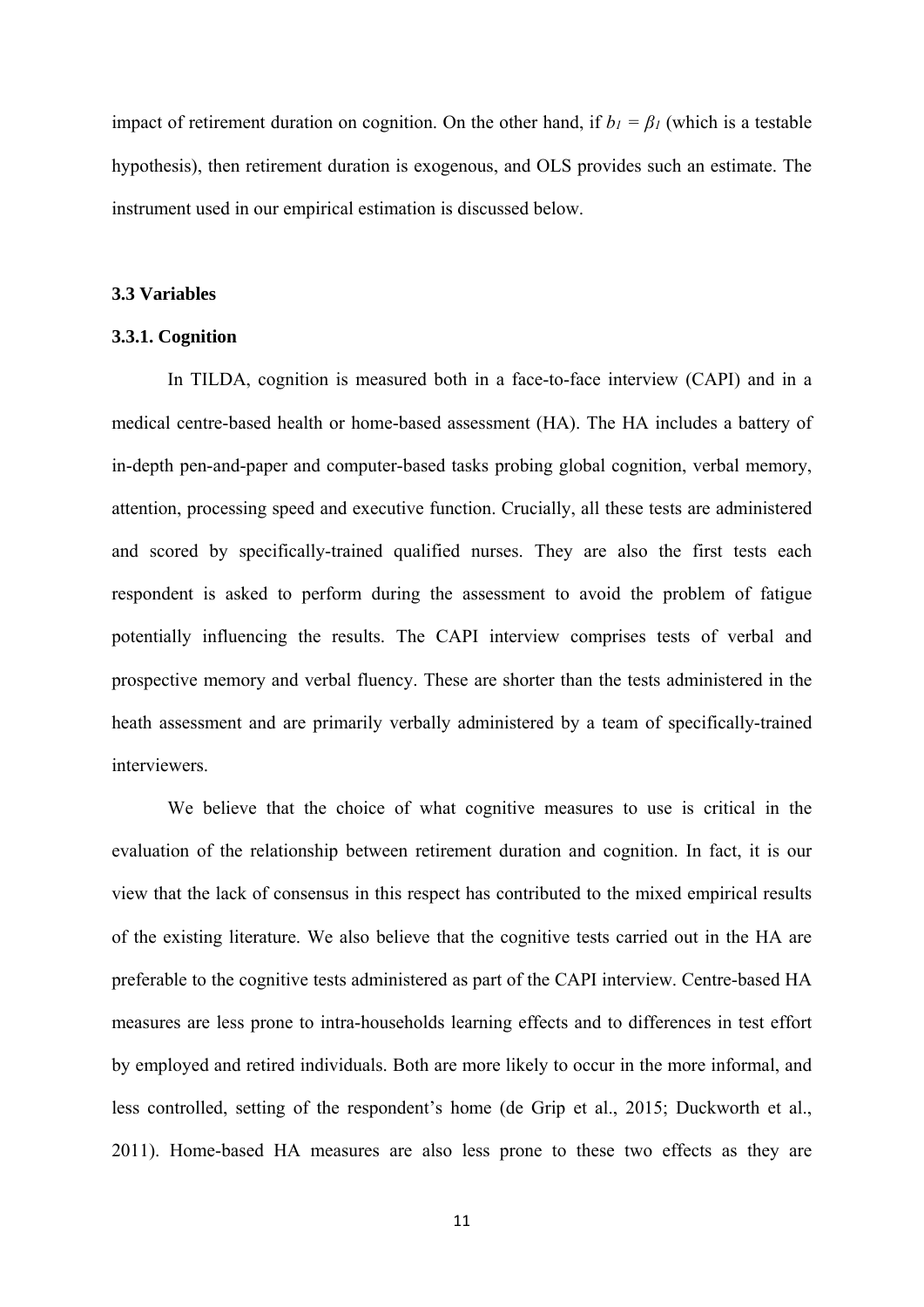impact of retirement duration on cognition. On the other hand, if  $b_1 = \beta_1$  (which is a testable hypothesis), then retirement duration is exogenous, and OLS provides such an estimate. The instrument used in our empirical estimation is discussed below.

#### **3.3 Variables**

#### **3.3.1. Cognition**

In TILDA, cognition is measured both in a face-to-face interview (CAPI) and in a medical centre-based health or home-based assessment (HA). The HA includes a battery of in-depth pen-and-paper and computer-based tasks probing global cognition, verbal memory, attention, processing speed and executive function. Crucially, all these tests are administered and scored by specifically-trained qualified nurses. They are also the first tests each respondent is asked to perform during the assessment to avoid the problem of fatigue potentially influencing the results. The CAPI interview comprises tests of verbal and prospective memory and verbal fluency. These are shorter than the tests administered in the heath assessment and are primarily verbally administered by a team of specifically-trained interviewers.

We believe that the choice of what cognitive measures to use is critical in the evaluation of the relationship between retirement duration and cognition. In fact, it is our view that the lack of consensus in this respect has contributed to the mixed empirical results of the existing literature. We also believe that the cognitive tests carried out in the HA are preferable to the cognitive tests administered as part of the CAPI interview. Centre-based HA measures are less prone to intra-households learning effects and to differences in test effort by employed and retired individuals. Both are more likely to occur in the more informal, and less controlled, setting of the respondent's home (de Grip et al., 2015; Duckworth et al., 2011). Home-based HA measures are also less prone to these two effects as they are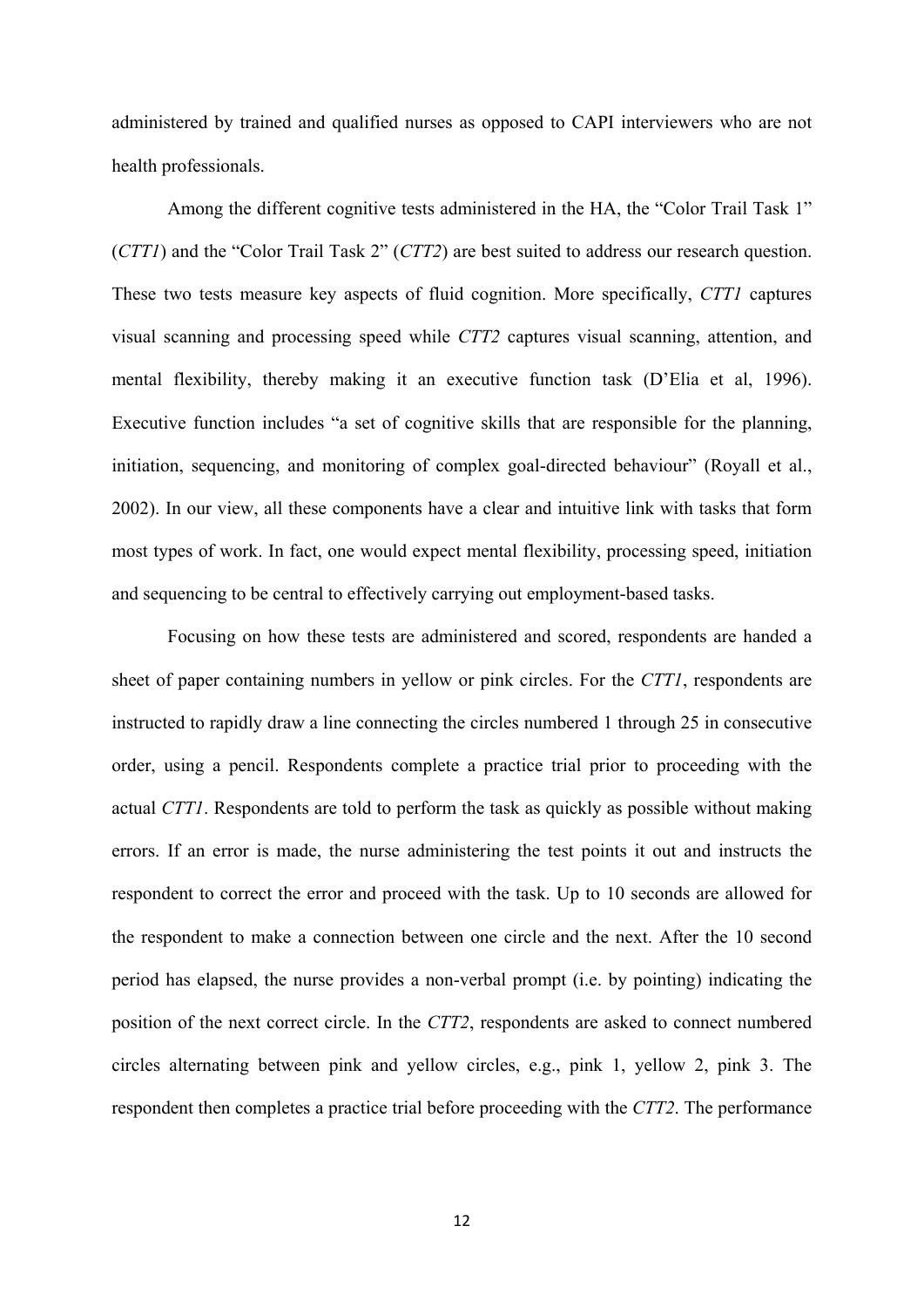administered by trained and qualified nurses as opposed to CAPI interviewers who are not health professionals.

Among the different cognitive tests administered in the HA, the "Color Trail Task 1" (*CTT1*) and the "Color Trail Task 2" (*CTT2*) are best suited to address our research question. These two tests measure key aspects of fluid cognition. More specifically, *CTT1* captures visual scanning and processing speed while *CTT2* captures visual scanning, attention, and mental flexibility, thereby making it an executive function task (D'Elia et al, 1996). Executive function includes "a set of cognitive skills that are responsible for the planning, initiation, sequencing, and monitoring of complex goal-directed behaviour" (Royall et al., 2002). In our view, all these components have a clear and intuitive link with tasks that form most types of work. In fact, one would expect mental flexibility, processing speed, initiation and sequencing to be central to effectively carrying out employment-based tasks.

Focusing on how these tests are administered and scored, respondents are handed a sheet of paper containing numbers in yellow or pink circles. For the *CTT1*, respondents are instructed to rapidly draw a line connecting the circles numbered 1 through 25 in consecutive order, using a pencil. Respondents complete a practice trial prior to proceeding with the actual *CTT1*. Respondents are told to perform the task as quickly as possible without making errors. If an error is made, the nurse administering the test points it out and instructs the respondent to correct the error and proceed with the task. Up to 10 seconds are allowed for the respondent to make a connection between one circle and the next. After the 10 second period has elapsed, the nurse provides a non-verbal prompt (i.e. by pointing) indicating the position of the next correct circle. In the *CTT2*, respondents are asked to connect numbered circles alternating between pink and yellow circles, e.g., pink 1, yellow 2, pink 3. The respondent then completes a practice trial before proceeding with the *CTT2*. The performance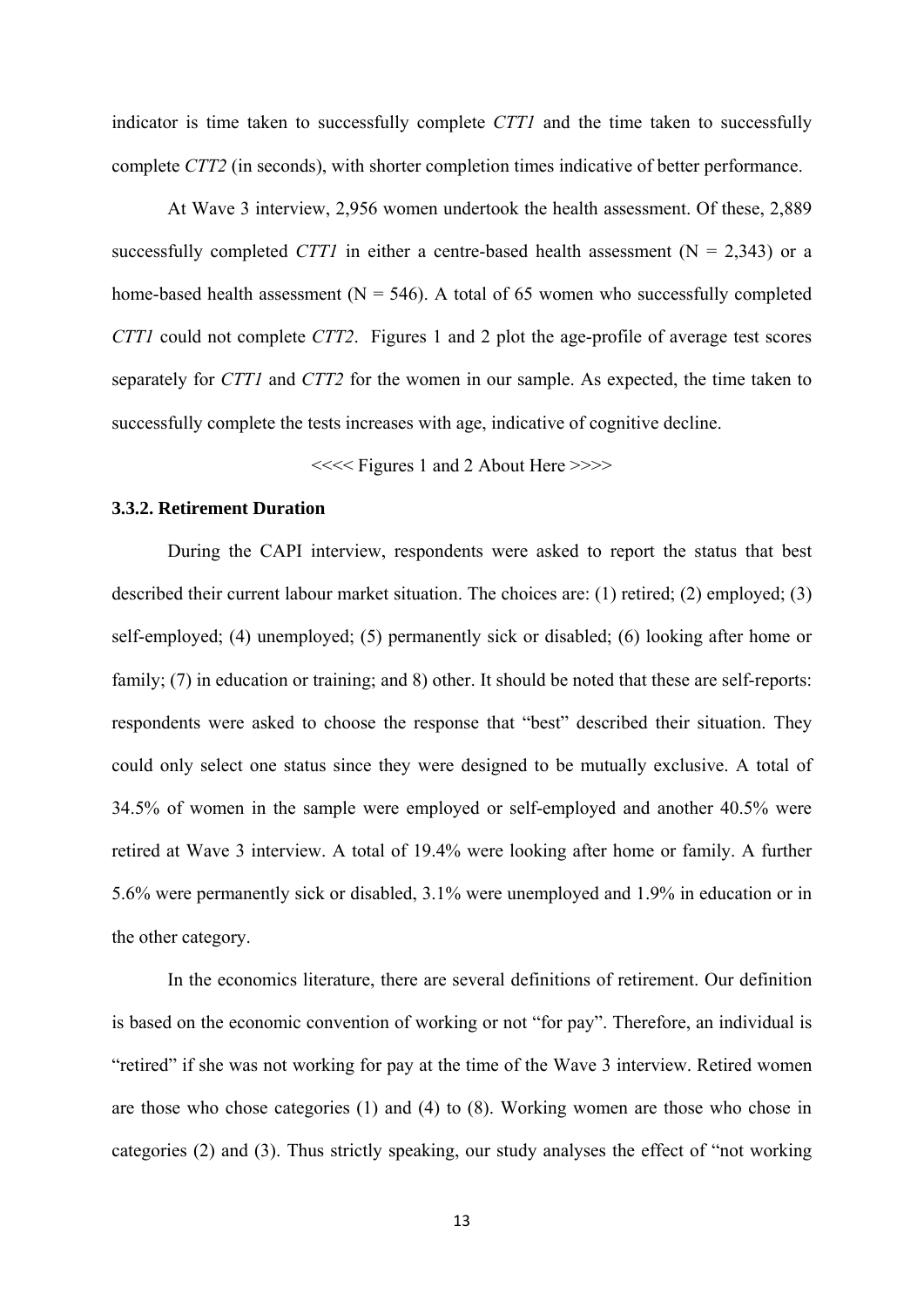indicator is time taken to successfully complete *CTT1* and the time taken to successfully complete *CTT2* (in seconds), with shorter completion times indicative of better performance.

At Wave 3 interview, 2,956 women undertook the health assessment. Of these, 2,889 successfully completed *CTT1* in either a centre-based health assessment ( $N = 2,343$ ) or a home-based health assessment ( $N = 546$ ). A total of 65 women who successfully completed *CTT1* could not complete *CTT2*. Figures 1 and 2 plot the age-profile of average test scores separately for *CTT1* and *CTT2* for the women in our sample. As expected, the time taken to successfully complete the tests increases with age, indicative of cognitive decline.

<<<< Figures 1 and 2 About Here >>>>

#### **3.3.2. Retirement Duration**

During the CAPI interview, respondents were asked to report the status that best described their current labour market situation. The choices are: (1) retired; (2) employed; (3) self-employed; (4) unemployed; (5) permanently sick or disabled; (6) looking after home or family; (7) in education or training; and 8) other. It should be noted that these are self-reports: respondents were asked to choose the response that "best" described their situation. They could only select one status since they were designed to be mutually exclusive. A total of 34.5% of women in the sample were employed or self-employed and another 40.5% were retired at Wave 3 interview. A total of 19.4% were looking after home or family. A further 5.6% were permanently sick or disabled, 3.1% were unemployed and 1.9% in education or in the other category.

In the economics literature, there are several definitions of retirement. Our definition is based on the economic convention of working or not "for pay". Therefore, an individual is "retired" if she was not working for pay at the time of the Wave 3 interview. Retired women are those who chose categories (1) and (4) to (8). Working women are those who chose in categories (2) and (3). Thus strictly speaking, our study analyses the effect of "not working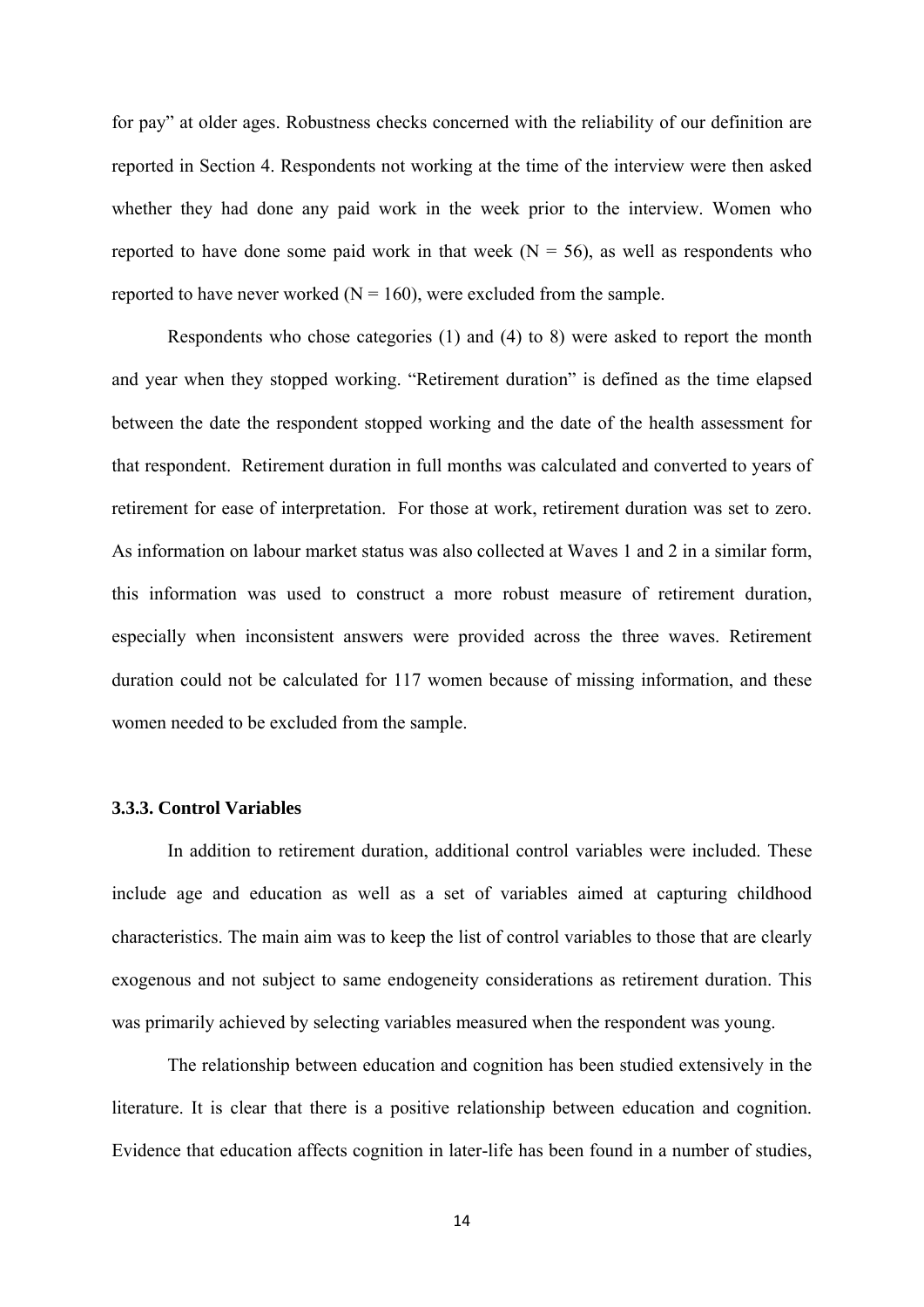for pay" at older ages. Robustness checks concerned with the reliability of our definition are reported in Section 4. Respondents not working at the time of the interview were then asked whether they had done any paid work in the week prior to the interview. Women who reported to have done some paid work in that week  $(N = 56)$ , as well as respondents who reported to have never worked ( $N = 160$ ), were excluded from the sample.

Respondents who chose categories (1) and (4) to 8) were asked to report the month and year when they stopped working. "Retirement duration" is defined as the time elapsed between the date the respondent stopped working and the date of the health assessment for that respondent. Retirement duration in full months was calculated and converted to years of retirement for ease of interpretation. For those at work, retirement duration was set to zero. As information on labour market status was also collected at Waves 1 and 2 in a similar form, this information was used to construct a more robust measure of retirement duration, especially when inconsistent answers were provided across the three waves. Retirement duration could not be calculated for 117 women because of missing information, and these women needed to be excluded from the sample.

#### **3.3.3. Control Variables**

In addition to retirement duration, additional control variables were included. These include age and education as well as a set of variables aimed at capturing childhood characteristics. The main aim was to keep the list of control variables to those that are clearly exogenous and not subject to same endogeneity considerations as retirement duration. This was primarily achieved by selecting variables measured when the respondent was young.

The relationship between education and cognition has been studied extensively in the literature. It is clear that there is a positive relationship between education and cognition. Evidence that education affects cognition in later-life has been found in a number of studies,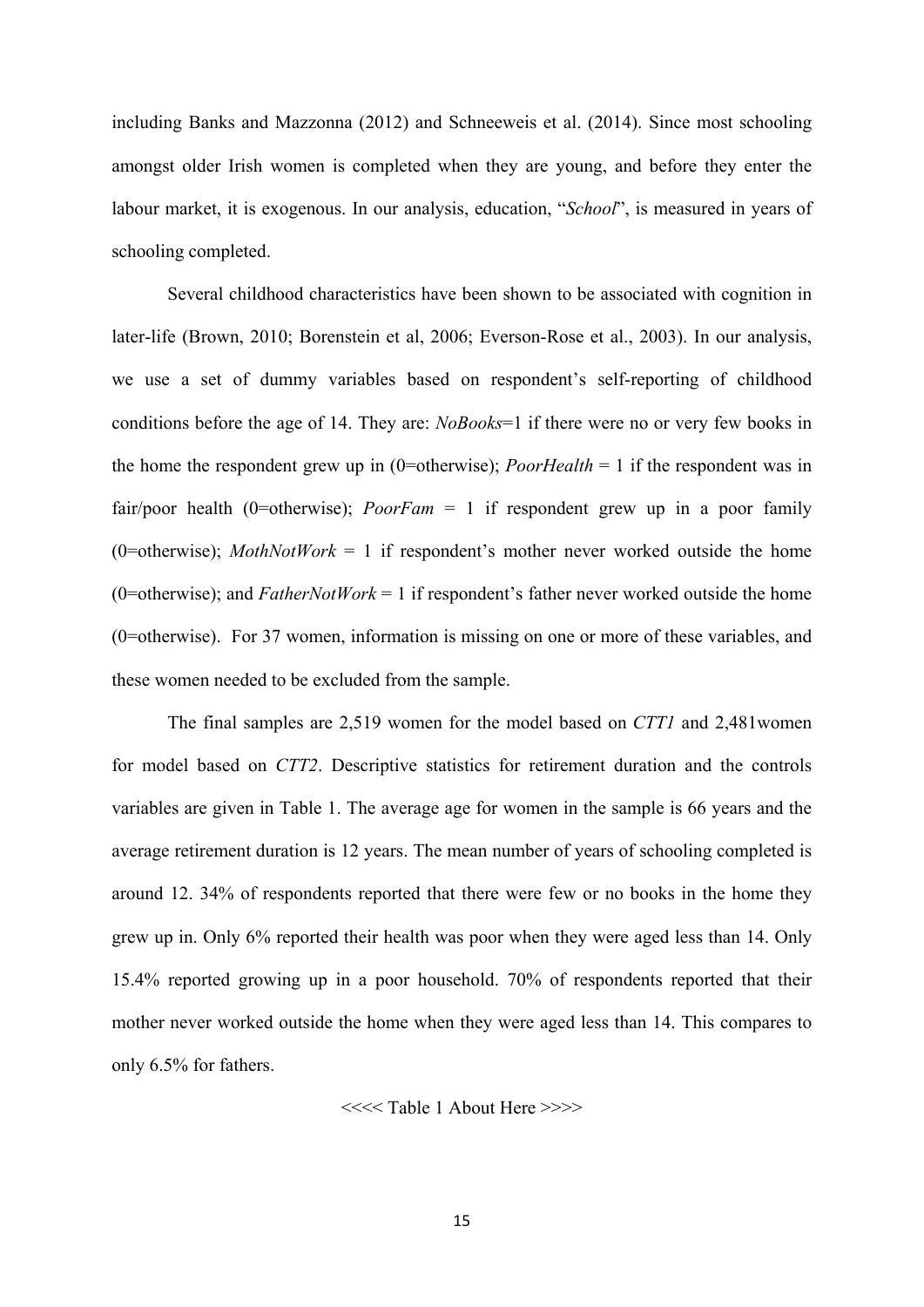including Banks and Mazzonna (2012) and Schneeweis et al. (2014). Since most schooling amongst older Irish women is completed when they are young, and before they enter the labour market, it is exogenous. In our analysis, education, "*School*", is measured in years of schooling completed.

Several childhood characteristics have been shown to be associated with cognition in later-life (Brown, 2010; Borenstein et al, 2006; Everson-Rose et al., 2003). In our analysis, we use a set of dummy variables based on respondent's self-reporting of childhood conditions before the age of 14. They are: *NoBooks*=1 if there were no or very few books in the home the respondent grew up in (0=otherwise); *PoorHealth* = 1 if the respondent was in fair/poor health (0=otherwise); *PoorFam* = 1 if respondent grew up in a poor family (0=otherwise); *MothNotWork* = 1 if respondent's mother never worked outside the home (0=otherwise); and  $FatherNotWork = 1$  if respondent's father never worked outside the home (0=otherwise). For 37 women, information is missing on one or more of these variables, and these women needed to be excluded from the sample.

The final samples are 2,519 women for the model based on *CTT1* and 2,481women for model based on *CTT2*. Descriptive statistics for retirement duration and the controls variables are given in Table 1. The average age for women in the sample is 66 years and the average retirement duration is 12 years. The mean number of years of schooling completed is around 12. 34% of respondents reported that there were few or no books in the home they grew up in. Only 6% reported their health was poor when they were aged less than 14. Only 15.4% reported growing up in a poor household. 70% of respondents reported that their mother never worked outside the home when they were aged less than 14. This compares to only 6.5% for fathers.

<<<< Table 1 About Here >>>>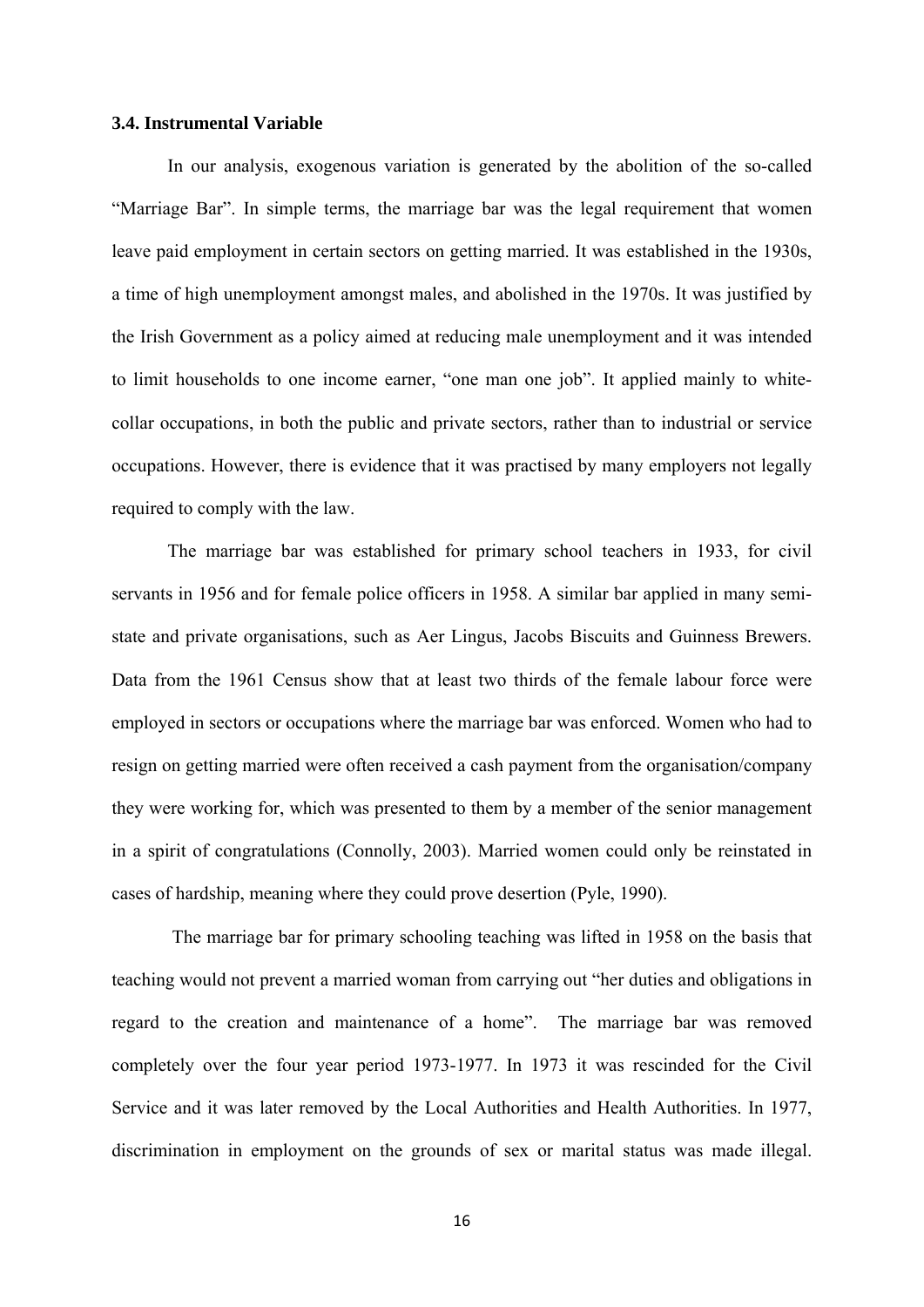#### **3.4. Instrumental Variable**

In our analysis, exogenous variation is generated by the abolition of the so-called "Marriage Bar". In simple terms, the marriage bar was the legal requirement that women leave paid employment in certain sectors on getting married. It was established in the 1930s, a time of high unemployment amongst males, and abolished in the 1970s. It was justified by the Irish Government as a policy aimed at reducing male unemployment and it was intended to limit households to one income earner, "one man one job". It applied mainly to whitecollar occupations, in both the public and private sectors, rather than to industrial or service occupations. However, there is evidence that it was practised by many employers not legally required to comply with the law.

The marriage bar was established for primary school teachers in 1933, for civil servants in 1956 and for female police officers in 1958. A similar bar applied in many semistate and private organisations, such as Aer Lingus, Jacobs Biscuits and Guinness Brewers. Data from the 1961 Census show that at least two thirds of the female labour force were employed in sectors or occupations where the marriage bar was enforced. Women who had to resign on getting married were often received a cash payment from the organisation/company they were working for, which was presented to them by a member of the senior management in a spirit of congratulations (Connolly, 2003). Married women could only be reinstated in cases of hardship, meaning where they could prove desertion (Pyle, 1990).

 The marriage bar for primary schooling teaching was lifted in 1958 on the basis that teaching would not prevent a married woman from carrying out "her duties and obligations in regard to the creation and maintenance of a home". The marriage bar was removed completely over the four year period 1973-1977. In 1973 it was rescinded for the Civil Service and it was later removed by the Local Authorities and Health Authorities. In 1977, discrimination in employment on the grounds of sex or marital status was made illegal.

16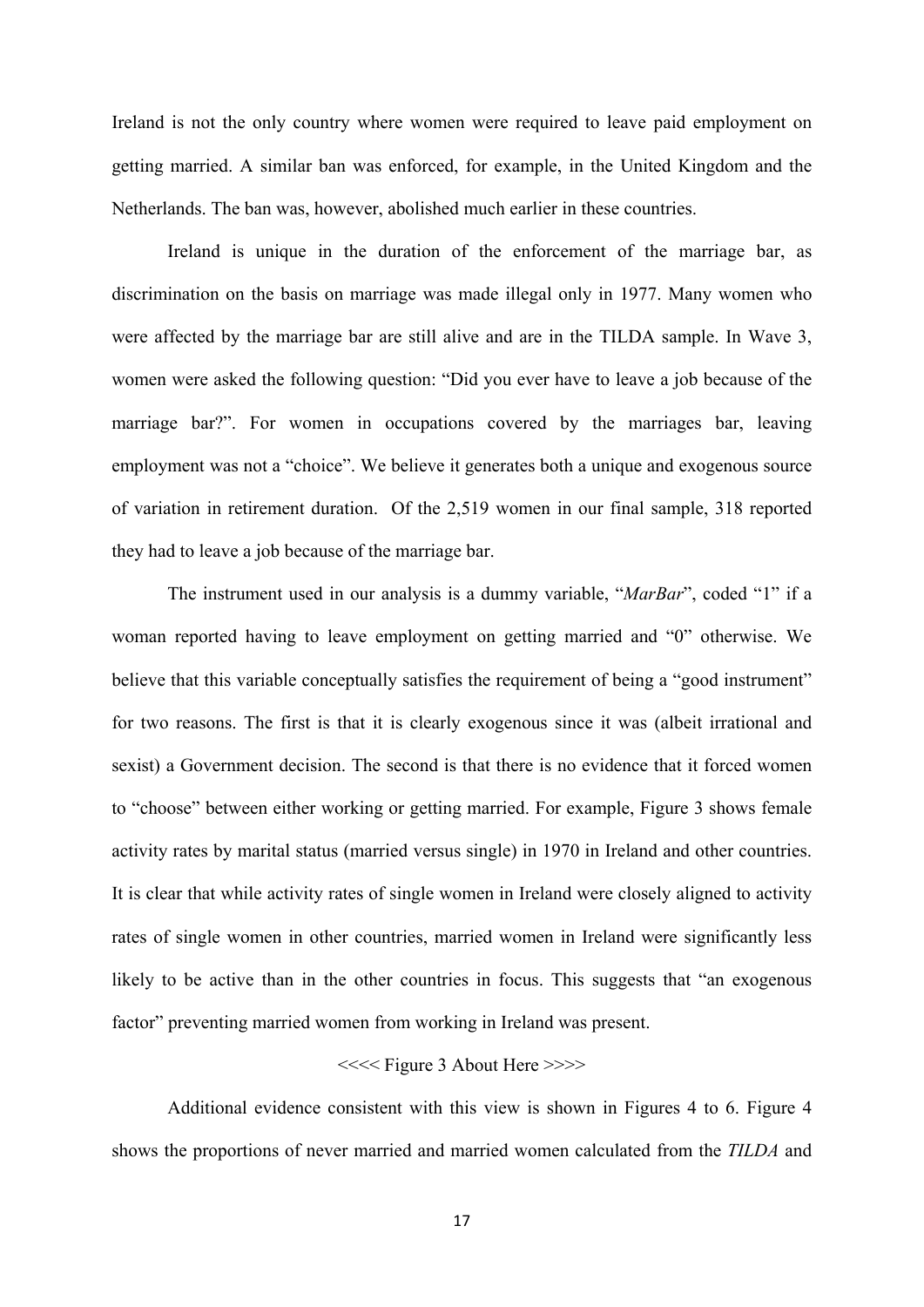Ireland is not the only country where women were required to leave paid employment on getting married. A similar ban was enforced, for example, in the United Kingdom and the Netherlands. The ban was, however, abolished much earlier in these countries.

Ireland is unique in the duration of the enforcement of the marriage bar, as discrimination on the basis on marriage was made illegal only in 1977. Many women who were affected by the marriage bar are still alive and are in the TILDA sample. In Wave 3, women were asked the following question: "Did you ever have to leave a job because of the marriage bar?". For women in occupations covered by the marriages bar, leaving employment was not a "choice". We believe it generates both a unique and exogenous source of variation in retirement duration. Of the 2,519 women in our final sample, 318 reported they had to leave a job because of the marriage bar.

The instrument used in our analysis is a dummy variable, "*MarBar*", coded "1" if a woman reported having to leave employment on getting married and "0" otherwise. We believe that this variable conceptually satisfies the requirement of being a "good instrument" for two reasons. The first is that it is clearly exogenous since it was (albeit irrational and sexist) a Government decision. The second is that there is no evidence that it forced women to "choose" between either working or getting married. For example, Figure 3 shows female activity rates by marital status (married versus single) in 1970 in Ireland and other countries. It is clear that while activity rates of single women in Ireland were closely aligned to activity rates of single women in other countries, married women in Ireland were significantly less likely to be active than in the other countries in focus. This suggests that "an exogenous" factor" preventing married women from working in Ireland was present.

#### <<<< Figure 3 About Here >>>>

Additional evidence consistent with this view is shown in Figures 4 to 6. Figure 4 shows the proportions of never married and married women calculated from the *TILDA* and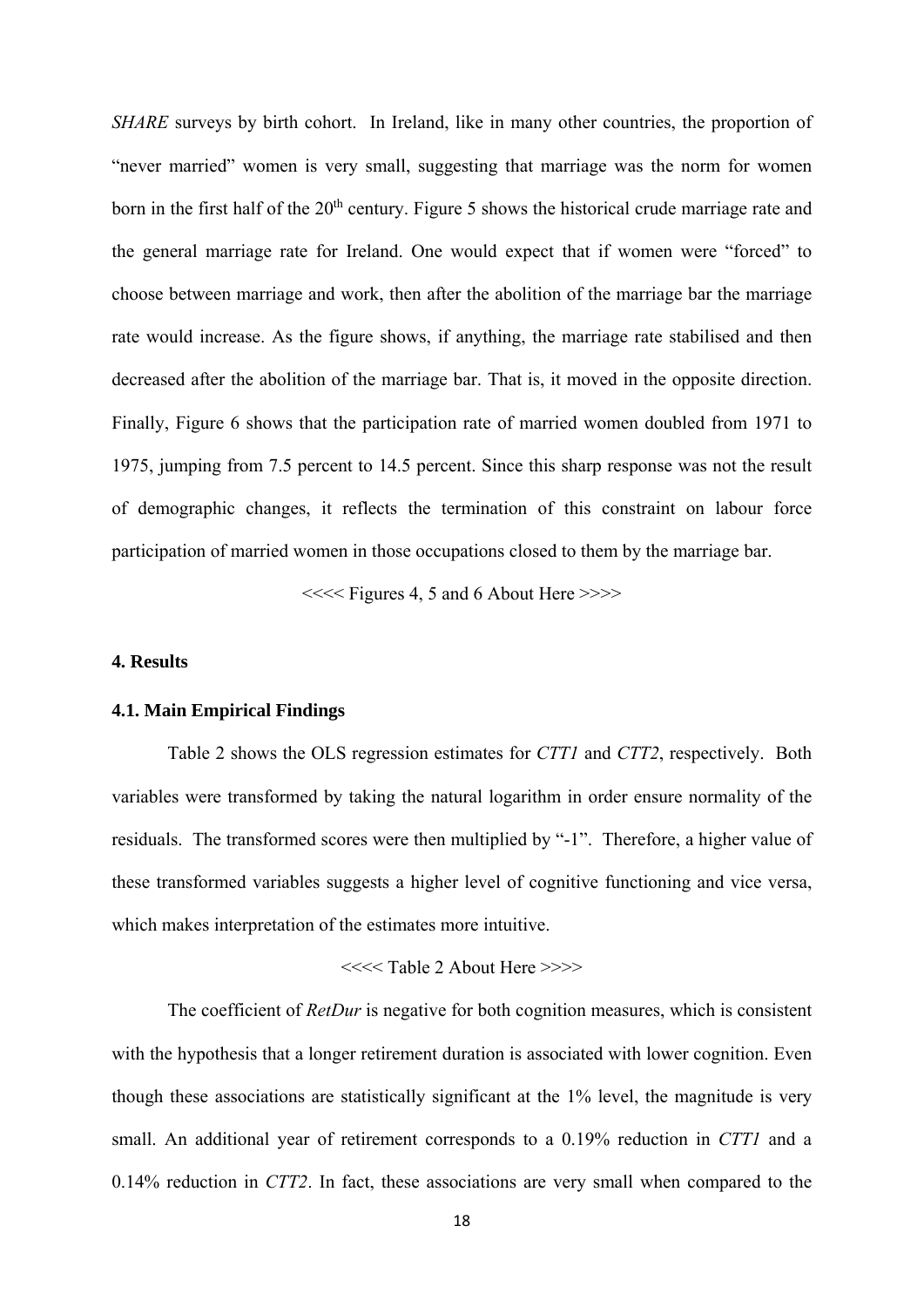*SHARE* surveys by birth cohort. In Ireland, like in many other countries, the proportion of "never married" women is very small, suggesting that marriage was the norm for women born in the first half of the 20<sup>th</sup> century. Figure 5 shows the historical crude marriage rate and the general marriage rate for Ireland. One would expect that if women were "forced" to choose between marriage and work, then after the abolition of the marriage bar the marriage rate would increase. As the figure shows, if anything, the marriage rate stabilised and then decreased after the abolition of the marriage bar. That is, it moved in the opposite direction. Finally, Figure 6 shows that the participation rate of married women doubled from 1971 to 1975, jumping from 7.5 percent to 14.5 percent. Since this sharp response was not the result of demographic changes, it reflects the termination of this constraint on labour force participation of married women in those occupations closed to them by the marriage bar.

<<<< Figures 4, 5 and 6 About Here >>>>

#### **4. Results**

#### **4.1. Main Empirical Findings**

Table 2 shows the OLS regression estimates for *CTT1* and *CTT2*, respectively. Both variables were transformed by taking the natural logarithm in order ensure normality of the residuals. The transformed scores were then multiplied by "-1". Therefore, a higher value of these transformed variables suggests a higher level of cognitive functioning and vice versa, which makes interpretation of the estimates more intuitive.

<<<< Table 2 About Here >>>>

The coefficient of *RetDur* is negative for both cognition measures, which is consistent with the hypothesis that a longer retirement duration is associated with lower cognition. Even though these associations are statistically significant at the 1% level, the magnitude is very small. An additional year of retirement corresponds to a 0.19% reduction in *CTT1* and a 0.14% reduction in *CTT2*. In fact, these associations are very small when compared to the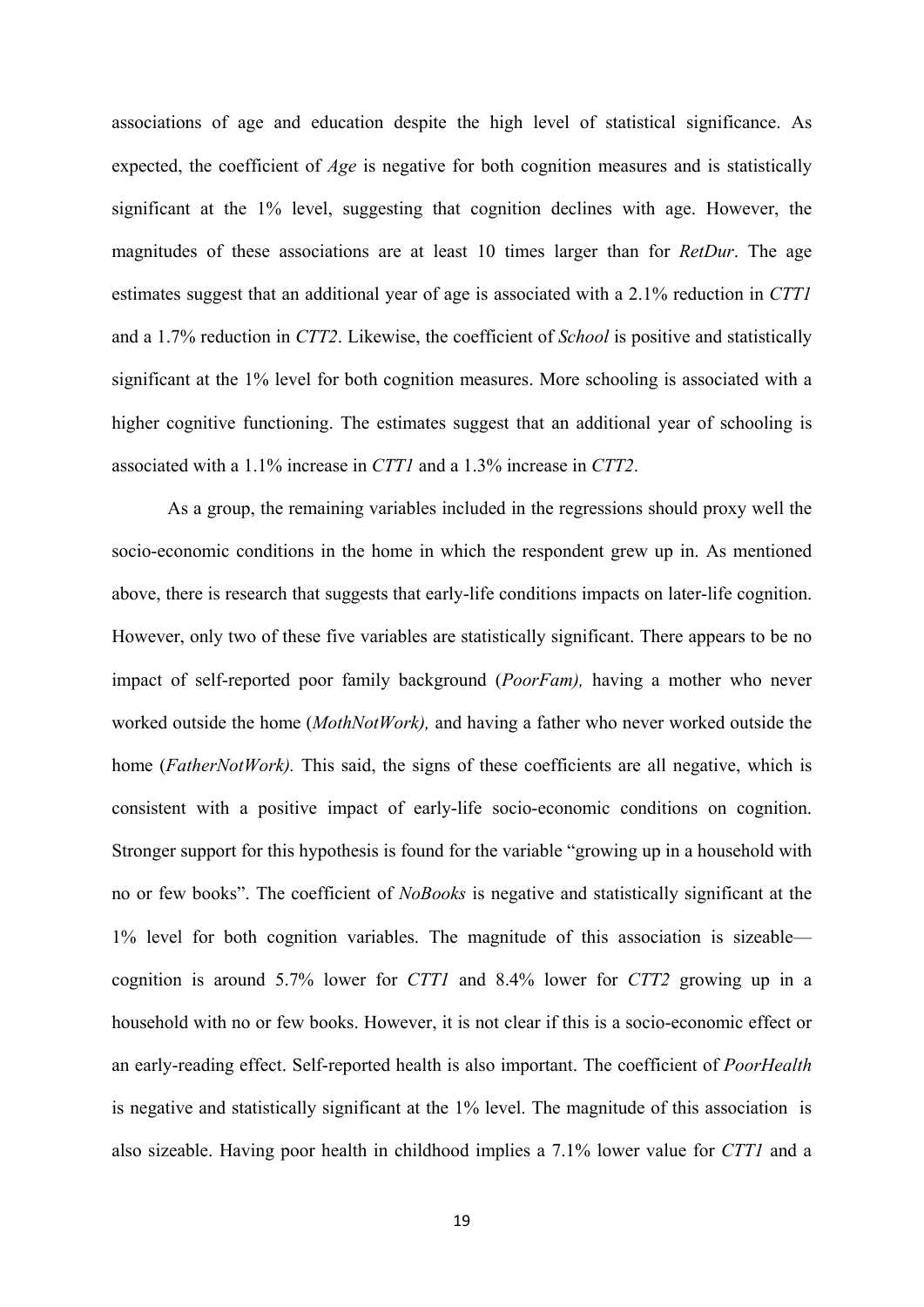associations of age and education despite the high level of statistical significance. As expected, the coefficient of *Age* is negative for both cognition measures and is statistically significant at the 1% level, suggesting that cognition declines with age. However, the magnitudes of these associations are at least 10 times larger than for *RetDur*. The age estimates suggest that an additional year of age is associated with a 2.1% reduction in *CTT1* and a 1.7% reduction in *CTT2*. Likewise, the coefficient of *School* is positive and statistically significant at the 1% level for both cognition measures. More schooling is associated with a higher cognitive functioning. The estimates suggest that an additional year of schooling is associated with a 1.1% increase in *CTT1* and a 1.3% increase in *CTT2*.

As a group, the remaining variables included in the regressions should proxy well the socio-economic conditions in the home in which the respondent grew up in. As mentioned above, there is research that suggests that early-life conditions impacts on later-life cognition. However, only two of these five variables are statistically significant. There appears to be no impact of self-reported poor family background (*PoorFam),* having a mother who never worked outside the home (*MothNotWork),* and having a father who never worked outside the home *(FatherNotWork)*. This said, the signs of these coefficients are all negative, which is consistent with a positive impact of early-life socio-economic conditions on cognition. Stronger support for this hypothesis is found for the variable "growing up in a household with no or few books". The coefficient of *NoBooks* is negative and statistically significant at the 1% level for both cognition variables. The magnitude of this association is sizeable cognition is around 5.7% lower for *CTT1* and 8.4% lower for *CTT2* growing up in a household with no or few books. However, it is not clear if this is a socio-economic effect or an early-reading effect. Self-reported health is also important. The coefficient of *PoorHealth*  is negative and statistically significant at the 1% level. The magnitude of this association is also sizeable. Having poor health in childhood implies a 7.1% lower value for *CTT1* and a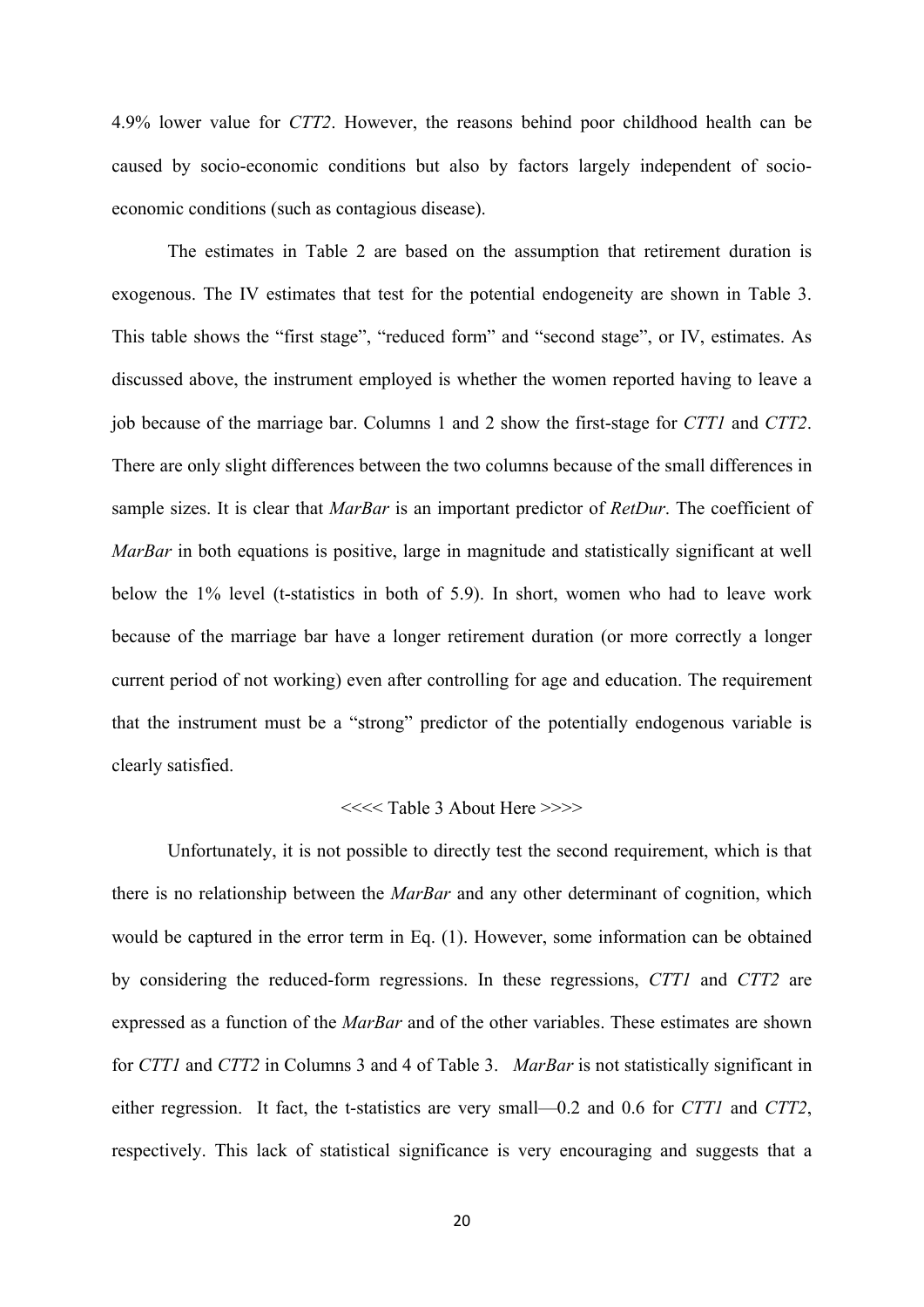4.9% lower value for *CTT2*. However, the reasons behind poor childhood health can be caused by socio-economic conditions but also by factors largely independent of socioeconomic conditions (such as contagious disease).

The estimates in Table 2 are based on the assumption that retirement duration is exogenous. The IV estimates that test for the potential endogeneity are shown in Table 3. This table shows the "first stage", "reduced form" and "second stage", or IV, estimates. As discussed above, the instrument employed is whether the women reported having to leave a job because of the marriage bar. Columns 1 and 2 show the first-stage for *CTT1* and *CTT2*. There are only slight differences between the two columns because of the small differences in sample sizes. It is clear that *MarBar* is an important predictor of *RetDur*. The coefficient of *MarBar* in both equations is positive, large in magnitude and statistically significant at well below the 1% level (t-statistics in both of 5.9). In short, women who had to leave work because of the marriage bar have a longer retirement duration (or more correctly a longer current period of not working) even after controlling for age and education. The requirement that the instrument must be a "strong" predictor of the potentially endogenous variable is clearly satisfied.

#### <<<< Table 3 About Here >>>>

 Unfortunately, it is not possible to directly test the second requirement, which is that there is no relationship between the *MarBar* and any other determinant of cognition, which would be captured in the error term in Eq. (1). However, some information can be obtained by considering the reduced-form regressions. In these regressions, *CTT1* and *CTT2* are expressed as a function of the *MarBar* and of the other variables. These estimates are shown for *CTT1* and *CTT2* in Columns 3 and 4 of Table 3. *MarBar* is not statistically significant in either regression. It fact, the t-statistics are very small—0.2 and 0.6 for *CTT1* and *CTT2*, respectively. This lack of statistical significance is very encouraging and suggests that a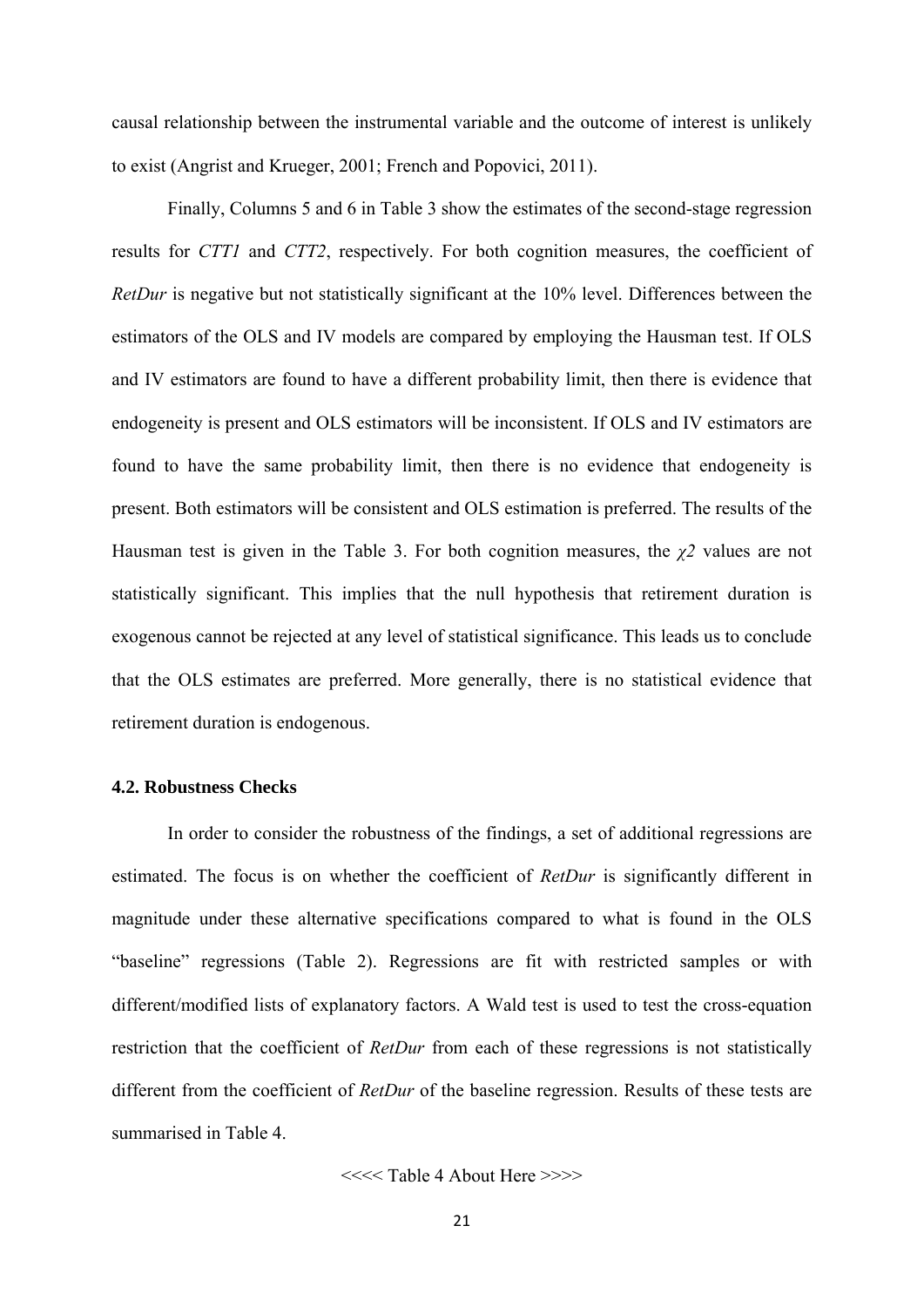causal relationship between the instrumental variable and the outcome of interest is unlikely to exist (Angrist and Krueger, 2001; French and Popovici, 2011).

Finally, Columns 5 and 6 in Table 3 show the estimates of the second-stage regression results for *CTT1* and *CTT2*, respectively. For both cognition measures, the coefficient of *RetDur* is negative but not statistically significant at the 10% level. Differences between the estimators of the OLS and IV models are compared by employing the Hausman test. If OLS and IV estimators are found to have a different probability limit, then there is evidence that endogeneity is present and OLS estimators will be inconsistent. If OLS and IV estimators are found to have the same probability limit, then there is no evidence that endogeneity is present. Both estimators will be consistent and OLS estimation is preferred. The results of the Hausman test is given in the Table 3. For both cognition measures, the *χ2* values are not statistically significant. This implies that the null hypothesis that retirement duration is exogenous cannot be rejected at any level of statistical significance. This leads us to conclude that the OLS estimates are preferred. More generally, there is no statistical evidence that retirement duration is endogenous.

#### **4.2. Robustness Checks**

In order to consider the robustness of the findings, a set of additional regressions are estimated. The focus is on whether the coefficient of *RetDur* is significantly different in magnitude under these alternative specifications compared to what is found in the OLS "baseline" regressions (Table 2). Regressions are fit with restricted samples or with different/modified lists of explanatory factors. A Wald test is used to test the cross-equation restriction that the coefficient of *RetDur* from each of these regressions is not statistically different from the coefficient of *RetDur* of the baseline regression. Results of these tests are summarised in Table 4.

<<<< Table 4 About Here >>>>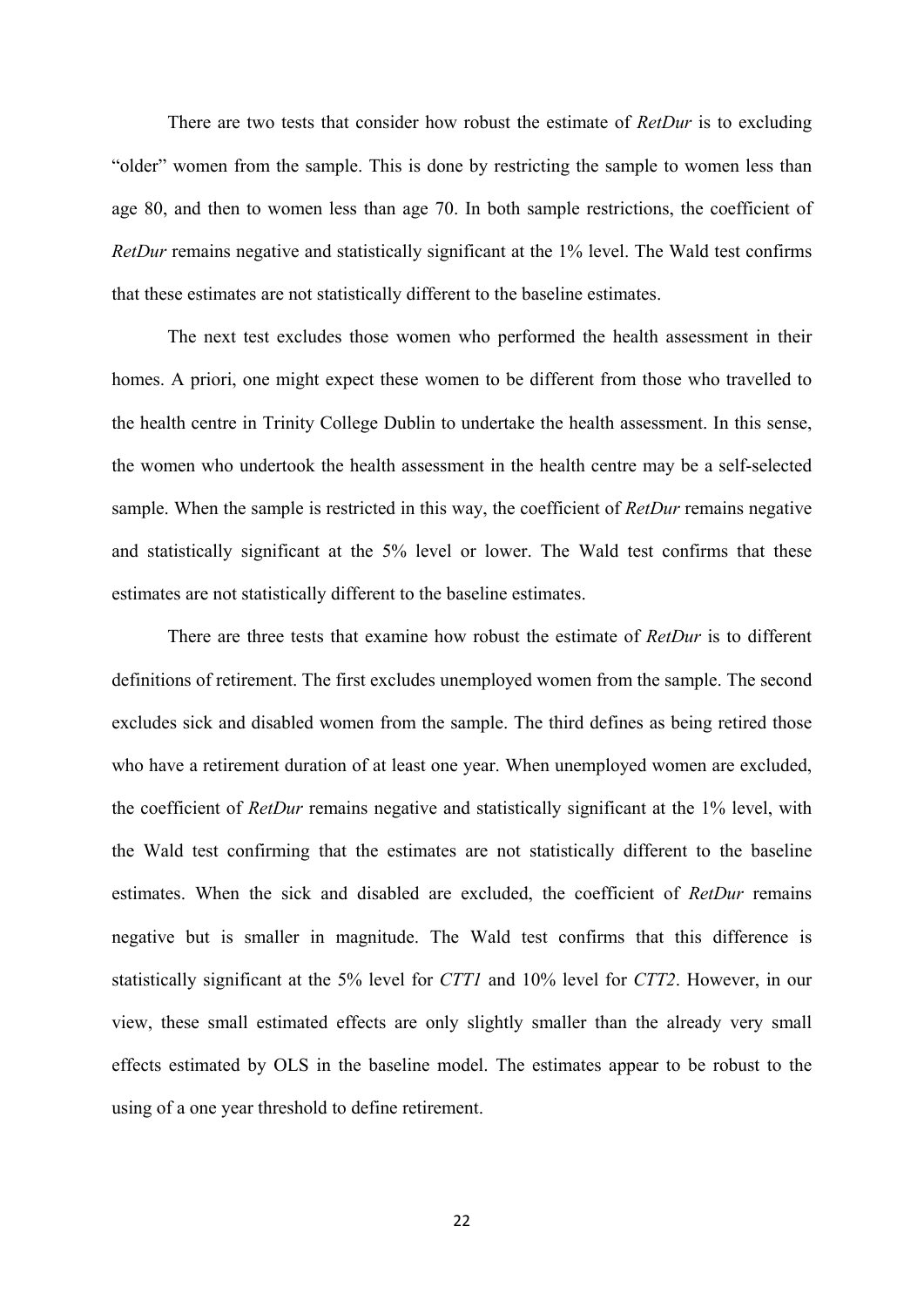There are two tests that consider how robust the estimate of *RetDur* is to excluding "older" women from the sample. This is done by restricting the sample to women less than age 80, and then to women less than age 70. In both sample restrictions, the coefficient of *RetDur* remains negative and statistically significant at the 1% level. The Wald test confirms that these estimates are not statistically different to the baseline estimates.

The next test excludes those women who performed the health assessment in their homes. A priori, one might expect these women to be different from those who travelled to the health centre in Trinity College Dublin to undertake the health assessment. In this sense, the women who undertook the health assessment in the health centre may be a self-selected sample. When the sample is restricted in this way, the coefficient of *RetDur* remains negative and statistically significant at the 5% level or lower. The Wald test confirms that these estimates are not statistically different to the baseline estimates.

There are three tests that examine how robust the estimate of *RetDur* is to different definitions of retirement. The first excludes unemployed women from the sample. The second excludes sick and disabled women from the sample. The third defines as being retired those who have a retirement duration of at least one year. When unemployed women are excluded, the coefficient of *RetDur* remains negative and statistically significant at the 1% level, with the Wald test confirming that the estimates are not statistically different to the baseline estimates. When the sick and disabled are excluded, the coefficient of *RetDur* remains negative but is smaller in magnitude. The Wald test confirms that this difference is statistically significant at the 5% level for *CTT1* and 10% level for *CTT2*. However, in our view, these small estimated effects are only slightly smaller than the already very small effects estimated by OLS in the baseline model. The estimates appear to be robust to the using of a one year threshold to define retirement.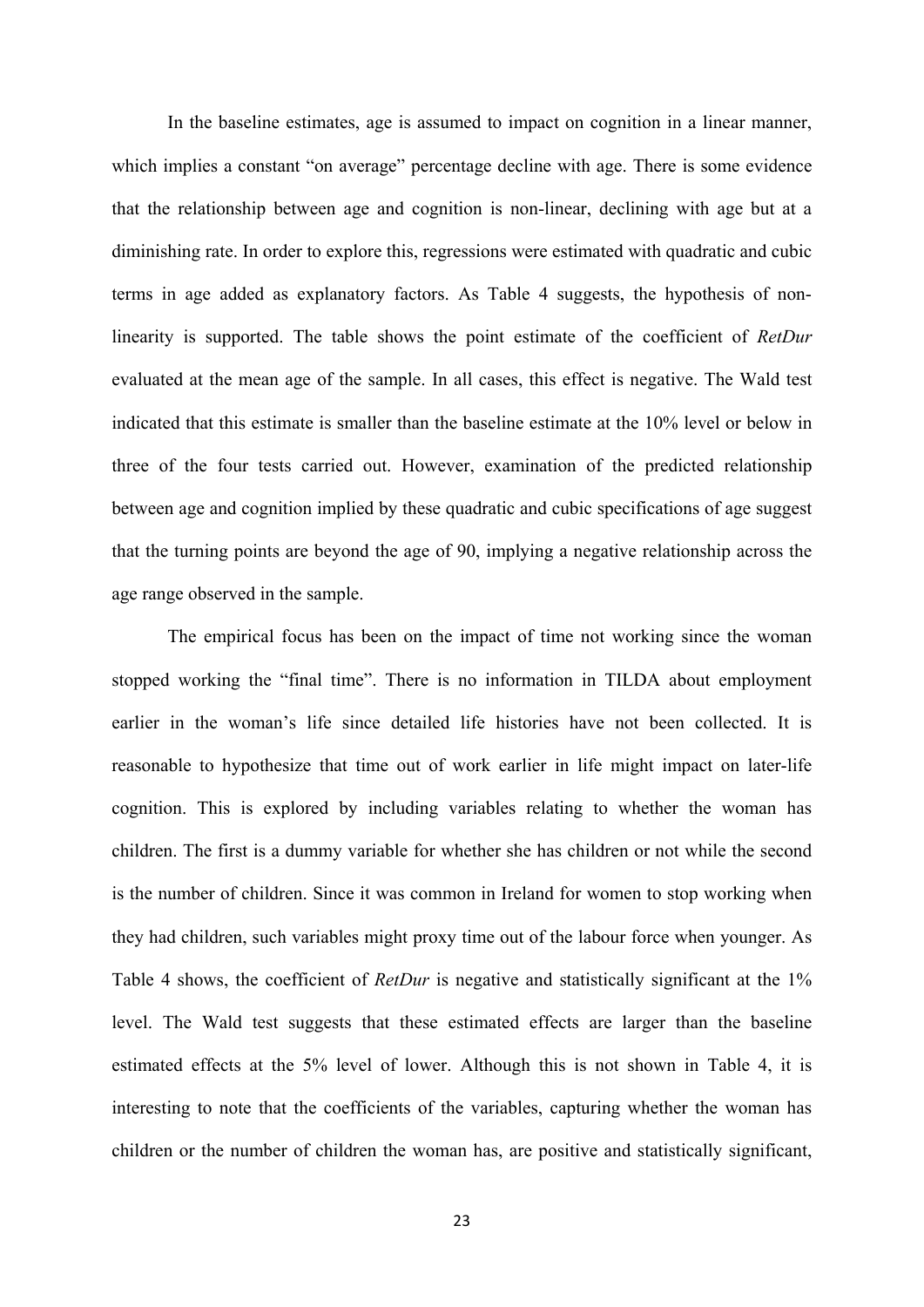In the baseline estimates, age is assumed to impact on cognition in a linear manner, which implies a constant "on average" percentage decline with age. There is some evidence that the relationship between age and cognition is non-linear, declining with age but at a diminishing rate. In order to explore this, regressions were estimated with quadratic and cubic terms in age added as explanatory factors. As Table 4 suggests, the hypothesis of nonlinearity is supported. The table shows the point estimate of the coefficient of *RetDur* evaluated at the mean age of the sample. In all cases, this effect is negative. The Wald test indicated that this estimate is smaller than the baseline estimate at the 10% level or below in three of the four tests carried out. However, examination of the predicted relationship between age and cognition implied by these quadratic and cubic specifications of age suggest that the turning points are beyond the age of 90, implying a negative relationship across the age range observed in the sample.

The empirical focus has been on the impact of time not working since the woman stopped working the "final time". There is no information in TILDA about employment earlier in the woman's life since detailed life histories have not been collected. It is reasonable to hypothesize that time out of work earlier in life might impact on later-life cognition. This is explored by including variables relating to whether the woman has children. The first is a dummy variable for whether she has children or not while the second is the number of children. Since it was common in Ireland for women to stop working when they had children, such variables might proxy time out of the labour force when younger. As Table 4 shows, the coefficient of *RetDur* is negative and statistically significant at the 1% level. The Wald test suggests that these estimated effects are larger than the baseline estimated effects at the 5% level of lower. Although this is not shown in Table 4, it is interesting to note that the coefficients of the variables, capturing whether the woman has children or the number of children the woman has, are positive and statistically significant,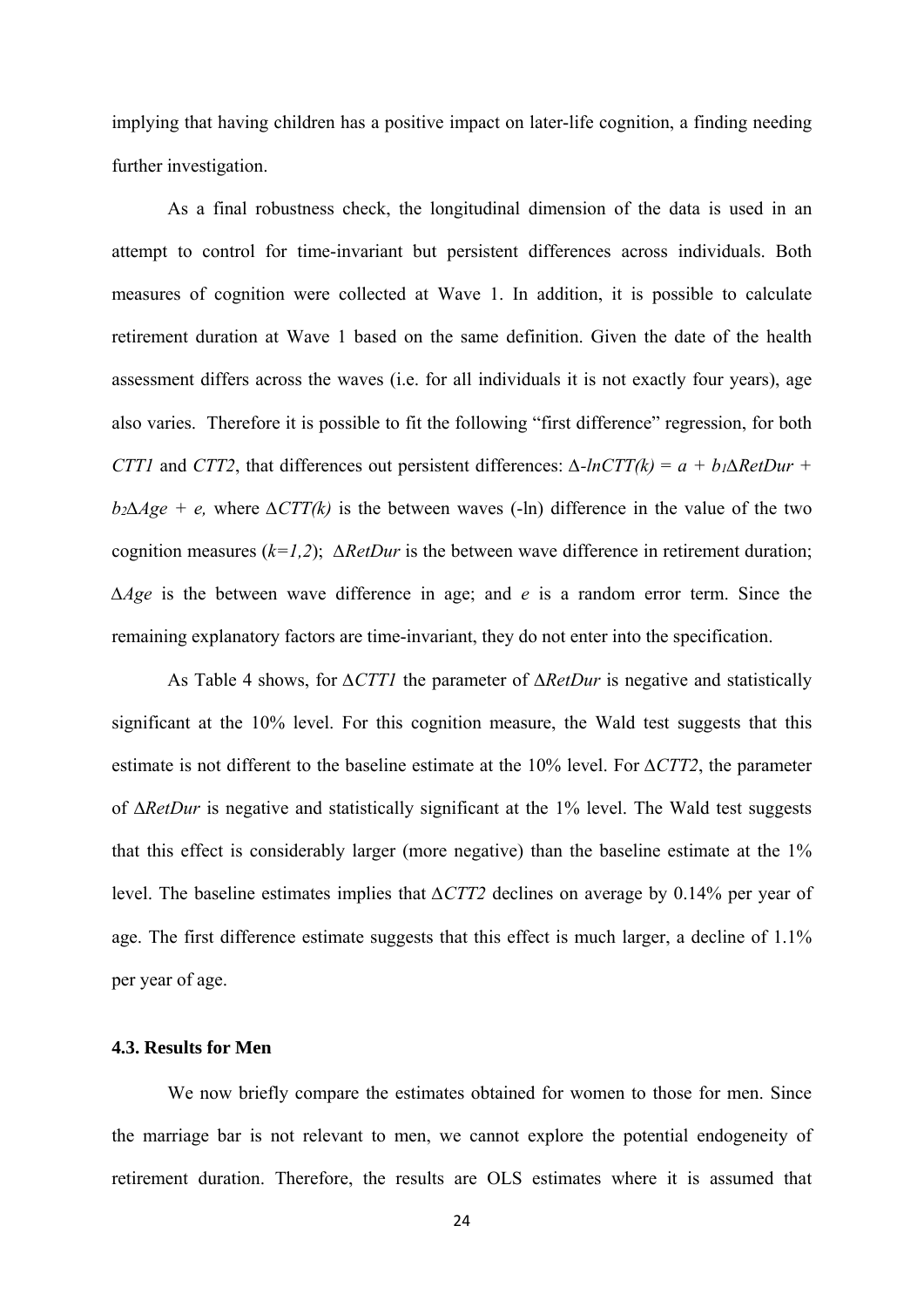implying that having children has a positive impact on later-life cognition, a finding needing further investigation.

As a final robustness check, the longitudinal dimension of the data is used in an attempt to control for time-invariant but persistent differences across individuals. Both measures of cognition were collected at Wave 1. In addition, it is possible to calculate retirement duration at Wave 1 based on the same definition. Given the date of the health assessment differs across the waves (i.e. for all individuals it is not exactly four years), age also varies. Therefore it is possible to fit the following "first difference" regression, for both *CTT1* and *CTT2*, that differences out persistent differences: *∆-lnCTT(k) = a + b1∆RetDur +*   $b_2\Delta A$ ge + e, where  $\Delta$ *CTT(k)* is the between waves (-ln) difference in the value of the two cognition measures (*k=1,2*); *∆RetDur* is the between wave difference in retirement duration; *∆Age* is the between wave difference in age; and *e* is a random error term. Since the remaining explanatory factors are time-invariant, they do not enter into the specification.

As Table 4 shows, for *∆CTT1* the parameter of ∆*RetDur* is negative and statistically significant at the 10% level. For this cognition measure, the Wald test suggests that this estimate is not different to the baseline estimate at the 10% level. For *∆CTT2*, the parameter of ∆*RetDur* is negative and statistically significant at the 1% level. The Wald test suggests that this effect is considerably larger (more negative) than the baseline estimate at the 1% level. The baseline estimates implies that *∆CTT2* declines on average by 0.14% per year of age. The first difference estimate suggests that this effect is much larger, a decline of 1.1% per year of age.

#### **4.3. Results for Men**

We now briefly compare the estimates obtained for women to those for men. Since the marriage bar is not relevant to men, we cannot explore the potential endogeneity of retirement duration. Therefore, the results are OLS estimates where it is assumed that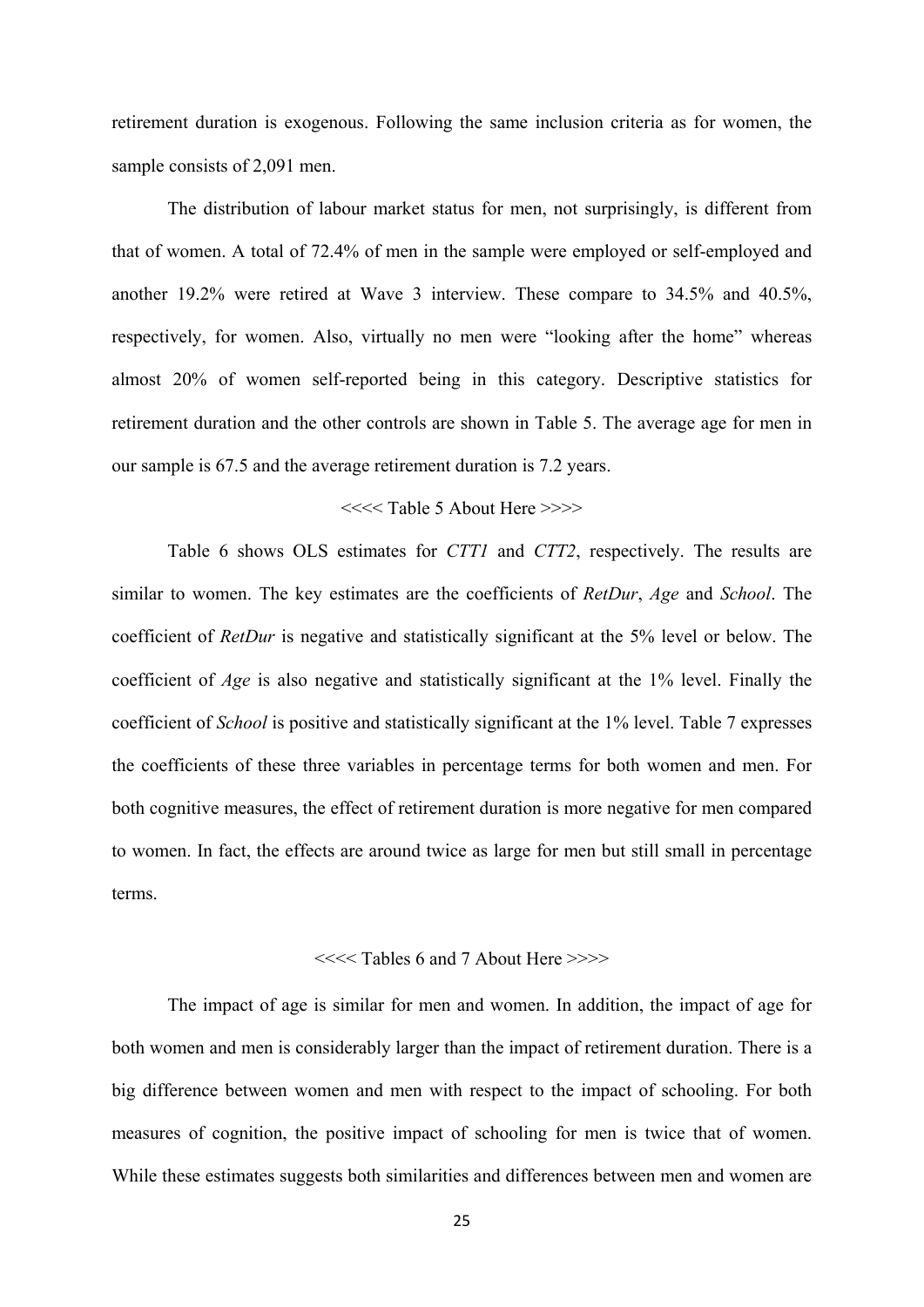retirement duration is exogenous. Following the same inclusion criteria as for women, the sample consists of 2,091 men.

The distribution of labour market status for men, not surprisingly, is different from that of women. A total of 72.4% of men in the sample were employed or self-employed and another 19.2% were retired at Wave 3 interview. These compare to 34.5% and 40.5%, respectively, for women. Also, virtually no men were "looking after the home" whereas almost 20% of women self-reported being in this category. Descriptive statistics for retirement duration and the other controls are shown in Table 5. The average age for men in our sample is 67.5 and the average retirement duration is 7.2 years.

#### <<<< Table 5 About Here >>>>

Table 6 shows OLS estimates for *CTT1* and *CTT2*, respectively. The results are similar to women. The key estimates are the coefficients of *RetDur*, *Age* and *School*. The coefficient of *RetDur* is negative and statistically significant at the 5% level or below. The coefficient of *Age* is also negative and statistically significant at the 1% level. Finally the coefficient of *School* is positive and statistically significant at the 1% level. Table 7 expresses the coefficients of these three variables in percentage terms for both women and men. For both cognitive measures, the effect of retirement duration is more negative for men compared to women. In fact, the effects are around twice as large for men but still small in percentage terms.

#### <<<< Tables 6 and 7 About Here >>>>

The impact of age is similar for men and women. In addition, the impact of age for both women and men is considerably larger than the impact of retirement duration. There is a big difference between women and men with respect to the impact of schooling. For both measures of cognition, the positive impact of schooling for men is twice that of women. While these estimates suggests both similarities and differences between men and women are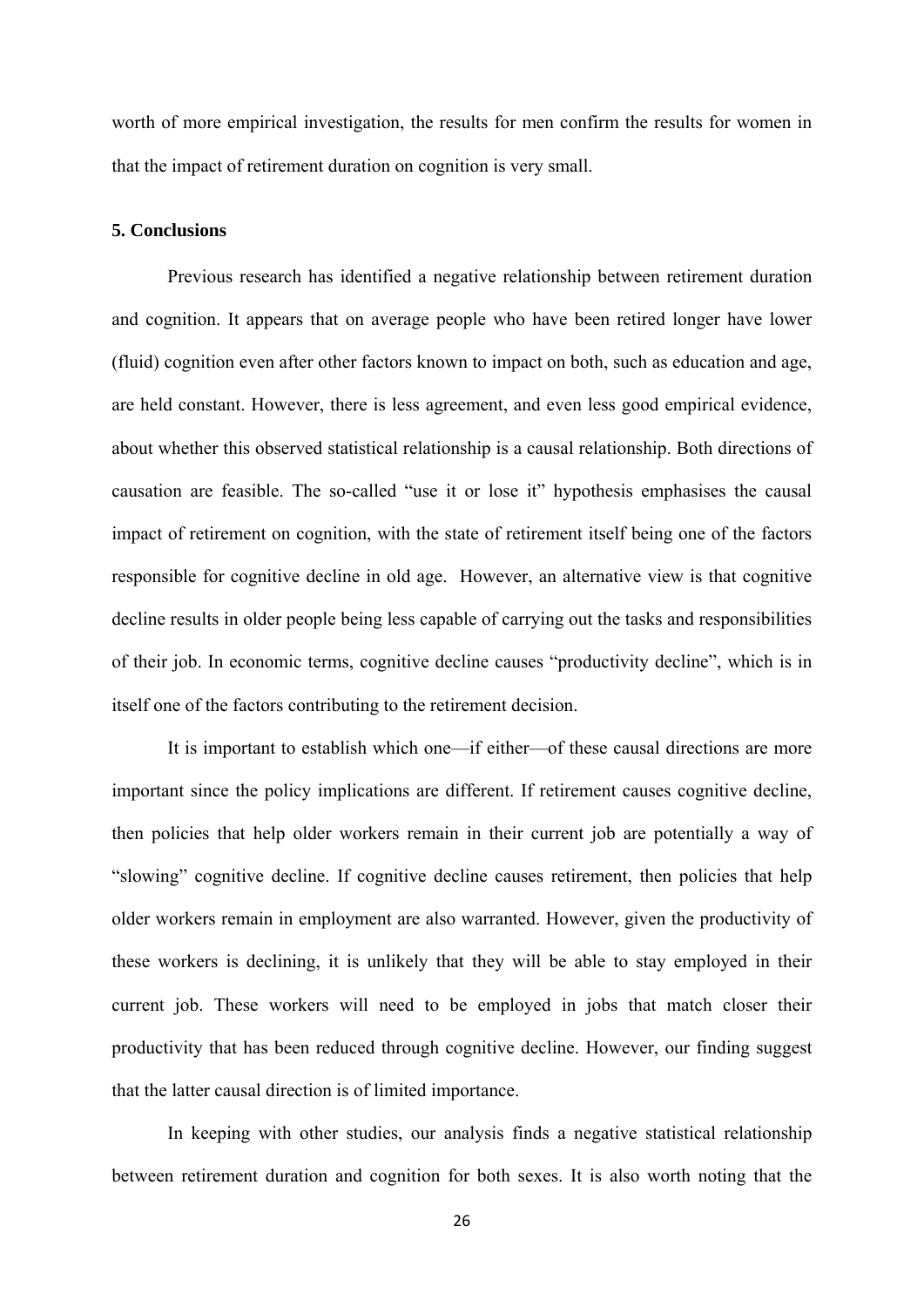worth of more empirical investigation, the results for men confirm the results for women in that the impact of retirement duration on cognition is very small.

#### **5. Conclusions**

Previous research has identified a negative relationship between retirement duration and cognition. It appears that on average people who have been retired longer have lower (fluid) cognition even after other factors known to impact on both, such as education and age, are held constant. However, there is less agreement, and even less good empirical evidence, about whether this observed statistical relationship is a causal relationship. Both directions of causation are feasible. The so-called "use it or lose it" hypothesis emphasises the causal impact of retirement on cognition, with the state of retirement itself being one of the factors responsible for cognitive decline in old age. However, an alternative view is that cognitive decline results in older people being less capable of carrying out the tasks and responsibilities of their job. In economic terms, cognitive decline causes "productivity decline", which is in itself one of the factors contributing to the retirement decision.

It is important to establish which one—if either—of these causal directions are more important since the policy implications are different. If retirement causes cognitive decline, then policies that help older workers remain in their current job are potentially a way of "slowing" cognitive decline. If cognitive decline causes retirement, then policies that help older workers remain in employment are also warranted. However, given the productivity of these workers is declining, it is unlikely that they will be able to stay employed in their current job. These workers will need to be employed in jobs that match closer their productivity that has been reduced through cognitive decline. However, our finding suggest that the latter causal direction is of limited importance.

In keeping with other studies, our analysis finds a negative statistical relationship between retirement duration and cognition for both sexes. It is also worth noting that the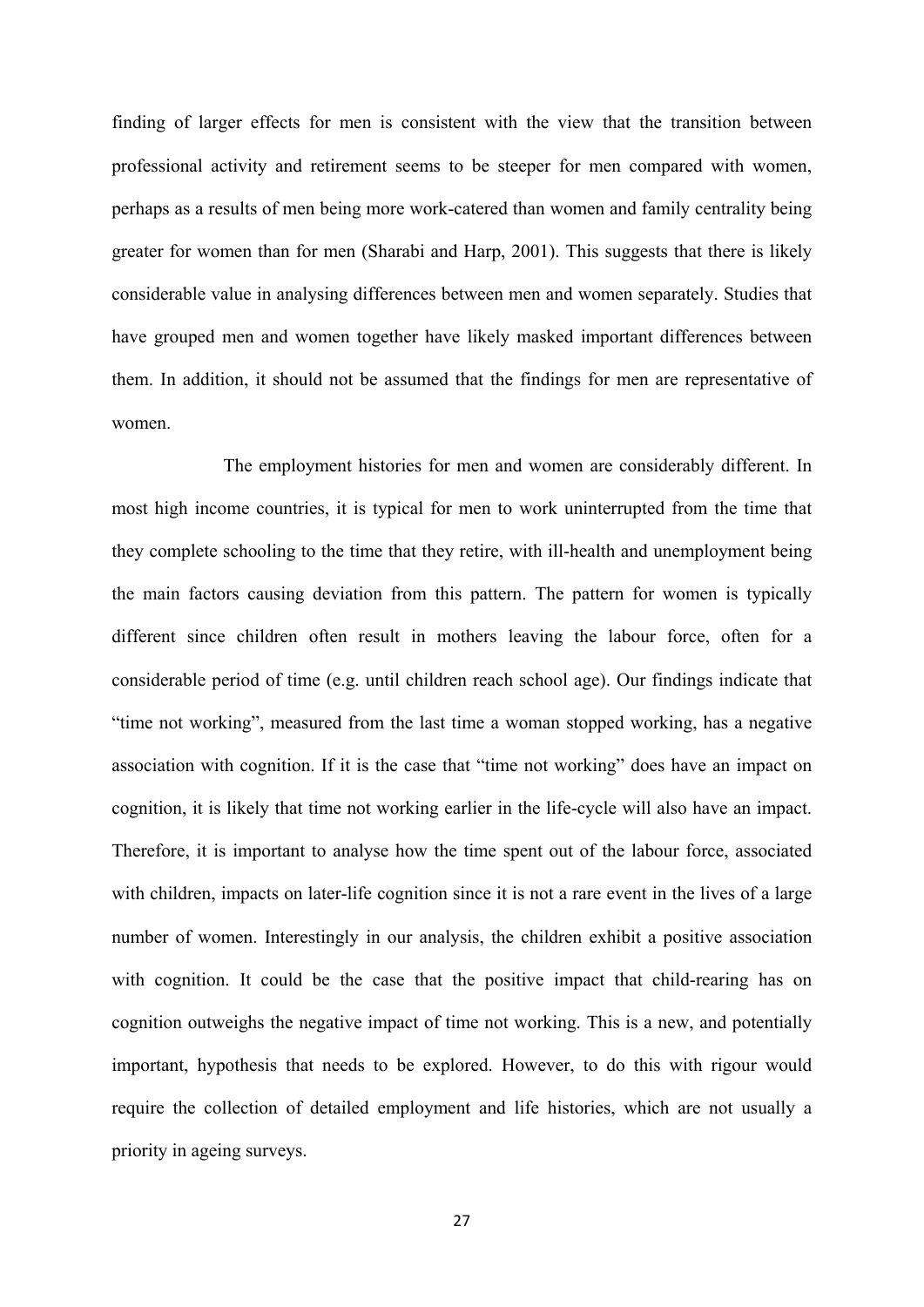finding of larger effects for men is consistent with the view that the transition between professional activity and retirement seems to be steeper for men compared with women, perhaps as a results of men being more work-catered than women and family centrality being greater for women than for men (Sharabi and Harp, 2001). This suggests that there is likely considerable value in analysing differences between men and women separately. Studies that have grouped men and women together have likely masked important differences between them. In addition, it should not be assumed that the findings for men are representative of women.

 The employment histories for men and women are considerably different. In most high income countries, it is typical for men to work uninterrupted from the time that they complete schooling to the time that they retire, with ill-health and unemployment being the main factors causing deviation from this pattern. The pattern for women is typically different since children often result in mothers leaving the labour force, often for a considerable period of time (e.g. until children reach school age). Our findings indicate that "time not working", measured from the last time a woman stopped working, has a negative association with cognition. If it is the case that "time not working" does have an impact on cognition, it is likely that time not working earlier in the life-cycle will also have an impact. Therefore, it is important to analyse how the time spent out of the labour force, associated with children, impacts on later-life cognition since it is not a rare event in the lives of a large number of women. Interestingly in our analysis, the children exhibit a positive association with cognition. It could be the case that the positive impact that child-rearing has on cognition outweighs the negative impact of time not working. This is a new, and potentially important, hypothesis that needs to be explored. However, to do this with rigour would require the collection of detailed employment and life histories, which are not usually a priority in ageing surveys.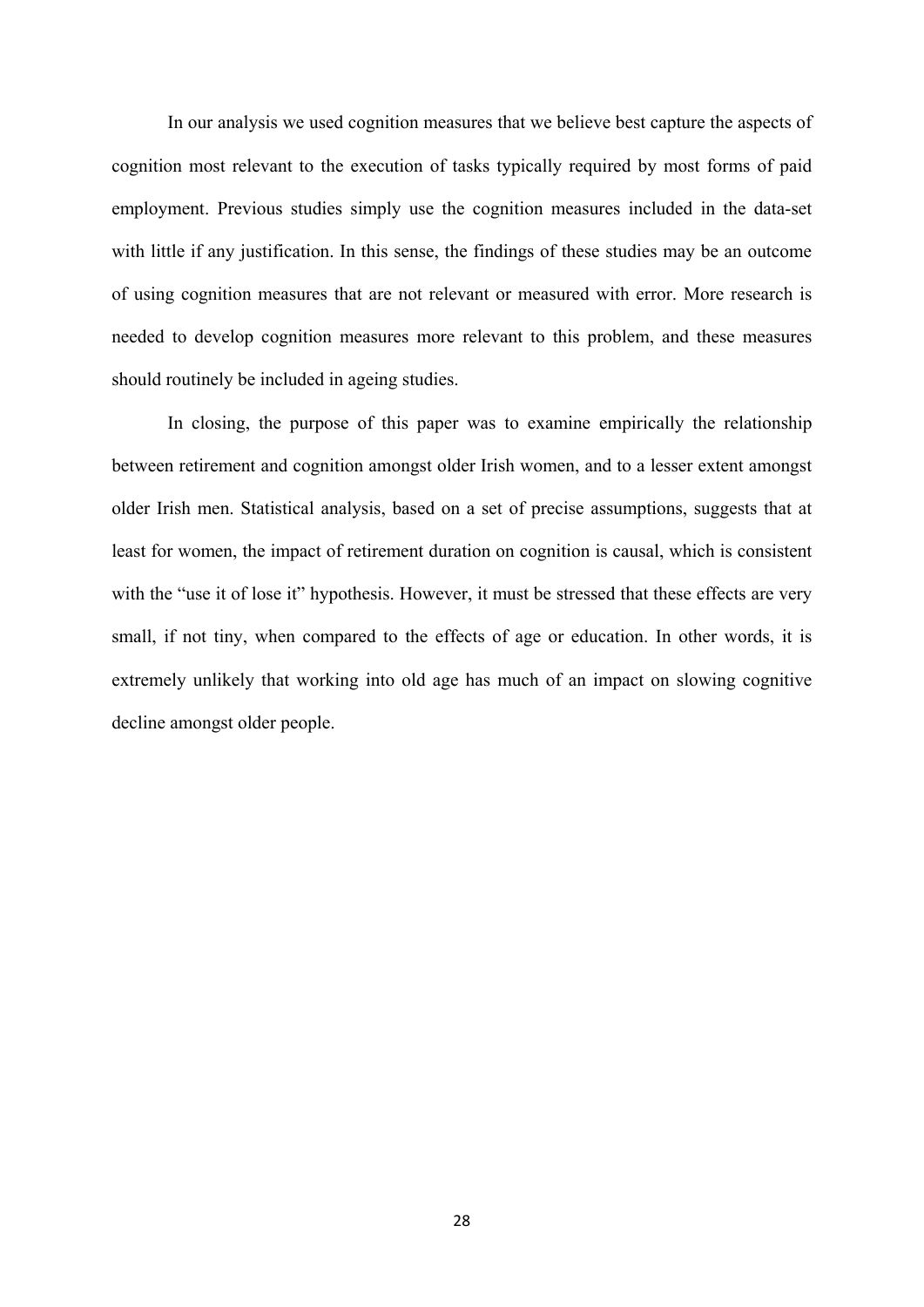In our analysis we used cognition measures that we believe best capture the aspects of cognition most relevant to the execution of tasks typically required by most forms of paid employment. Previous studies simply use the cognition measures included in the data-set with little if any justification. In this sense, the findings of these studies may be an outcome of using cognition measures that are not relevant or measured with error. More research is needed to develop cognition measures more relevant to this problem, and these measures should routinely be included in ageing studies.

In closing, the purpose of this paper was to examine empirically the relationship between retirement and cognition amongst older Irish women, and to a lesser extent amongst older Irish men. Statistical analysis, based on a set of precise assumptions, suggests that at least for women, the impact of retirement duration on cognition is causal, which is consistent with the "use it of lose it" hypothesis. However, it must be stressed that these effects are very small, if not tiny, when compared to the effects of age or education. In other words, it is extremely unlikely that working into old age has much of an impact on slowing cognitive decline amongst older people.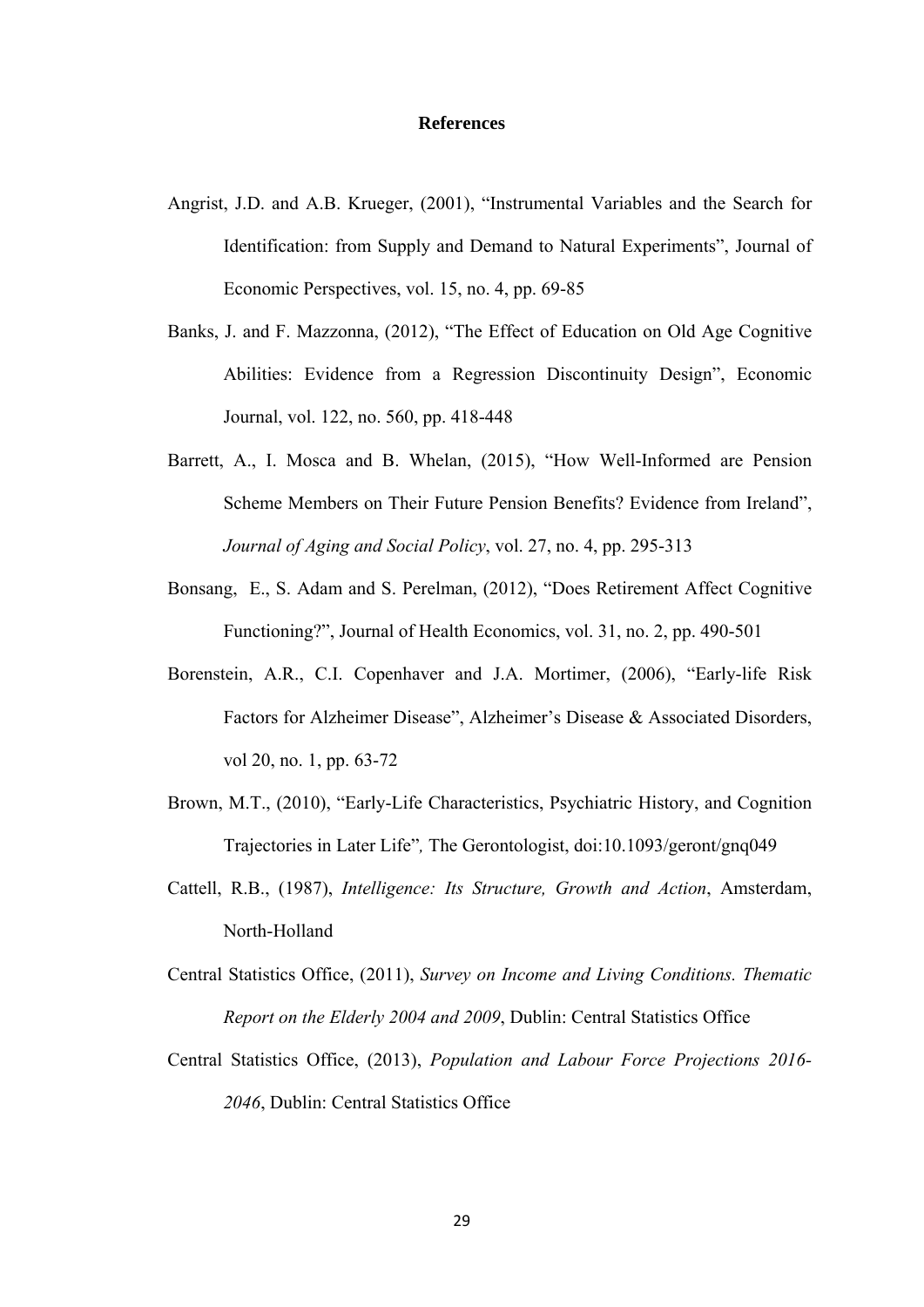#### **References**

- Angrist, J.D. and A.B. Krueger, (2001), "Instrumental Variables and the Search for Identification: from Supply and Demand to Natural Experiments", Journal of Economic Perspectives, vol. 15, no. 4, pp. 69-85
- Banks, J. and F. Mazzonna, (2012), "The Effect of Education on Old Age Cognitive Abilities: Evidence from a Regression Discontinuity Design", Economic Journal, vol. 122, no. 560, pp. 418-448
- Barrett, A., I. Mosca and B. Whelan, (2015), "How Well-Informed are Pension Scheme Members on Their Future Pension Benefits? Evidence from Ireland", *Journal of Aging and Social Policy*, vol. 27, no. 4, pp. 295-313
- Bonsang, E., S. Adam and S. Perelman, (2012), "Does Retirement Affect Cognitive Functioning?", Journal of Health Economics, vol. 31, no. 2, pp. 490-501
- Borenstein, A.R., C.I. Copenhaver and J.A. Mortimer, (2006), "Early-life Risk Factors for Alzheimer Disease", Alzheimer's Disease & Associated Disorders, vol 20, no. 1, pp. 63-72
- Brown, M.T., (2010), "Early-Life Characteristics, Psychiatric History, and Cognition Trajectories in Later Life"*,* The Gerontologist, doi:10.1093/geront/gnq049
- Cattell, R.B., (1987), *Intelligence: Its Structure, Growth and Action*, Amsterdam, North-Holland
- Central Statistics Office, (2011), *Survey on Income and Living Conditions. Thematic Report on the Elderly 2004 and 2009*, Dublin: Central Statistics Office
- Central Statistics Office, (2013), *Population and Labour Force Projections 2016- 2046*, Dublin: Central Statistics Office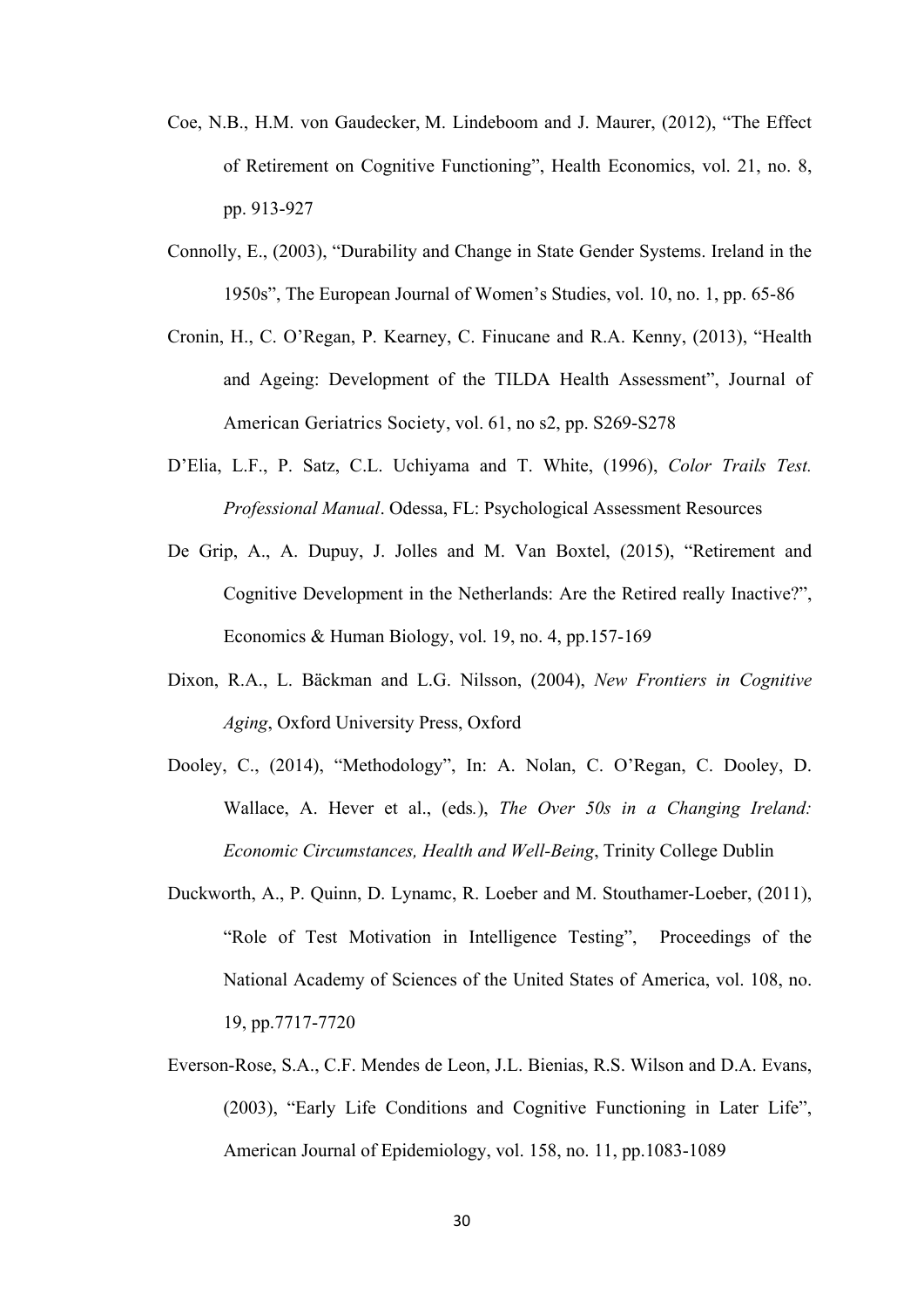- Coe, N.B., H.M. von Gaudecker, M. Lindeboom and J. Maurer, (2012), "The Effect of Retirement on Cognitive Functioning", Health Economics, vol. 21, no. 8, pp. 913-927
- Connolly, E., (2003), "Durability and Change in State Gender Systems. Ireland in the 1950s", The European Journal of Women's Studies, vol. 10, no. 1, pp. 65-86
- Cronin, H., C. O'Regan, P. Kearney, C. Finucane and R.A. Kenny, (2013), "Health and Ageing: Development of the TILDA Health Assessment", Journal of American Geriatrics Society, vol. 61, no s2, pp. S269-S278
- D'Elia, L.F., P. Satz, C.L. Uchiyama and T. White, (1996), *Color Trails Test. Professional Manual*. Odessa, FL: Psychological Assessment Resources
- De Grip, A., A. Dupuy, J. Jolles and M. Van Boxtel, (2015), "Retirement and Cognitive Development in the Netherlands: Are the Retired really Inactive?", Economics & Human Biology, vol. 19, no. 4, pp.157-169
- Dixon, R.A., L. Bäckman and L.G. Nilsson, (2004), *New Frontiers in Cognitive Aging*, Oxford University Press, Oxford
- Dooley, C., (2014), "Methodology", In: A. Nolan, C. O'Regan, C. Dooley, D. Wallace, A. Hever et al., (eds*.*), *The Over 50s in a Changing Ireland: Economic Circumstances, Health and Well-Being*, Trinity College Dublin
- Duckworth, A., P. Quinn, D. Lynamc, R. Loeber and M. Stouthamer-Loeber, (2011), "Role of Test Motivation in Intelligence Testing", Proceedings of the National Academy of Sciences of the United States of America, vol. 108, no. 19, pp.7717-7720
- Everson-Rose, S.A., C.F. Mendes de Leon, J.L. Bienias, R.S. Wilson and D.A. Evans, (2003), "Early Life Conditions and Cognitive Functioning in Later Life", American Journal of Epidemiology, vol. 158, no. 11, pp.1083-1089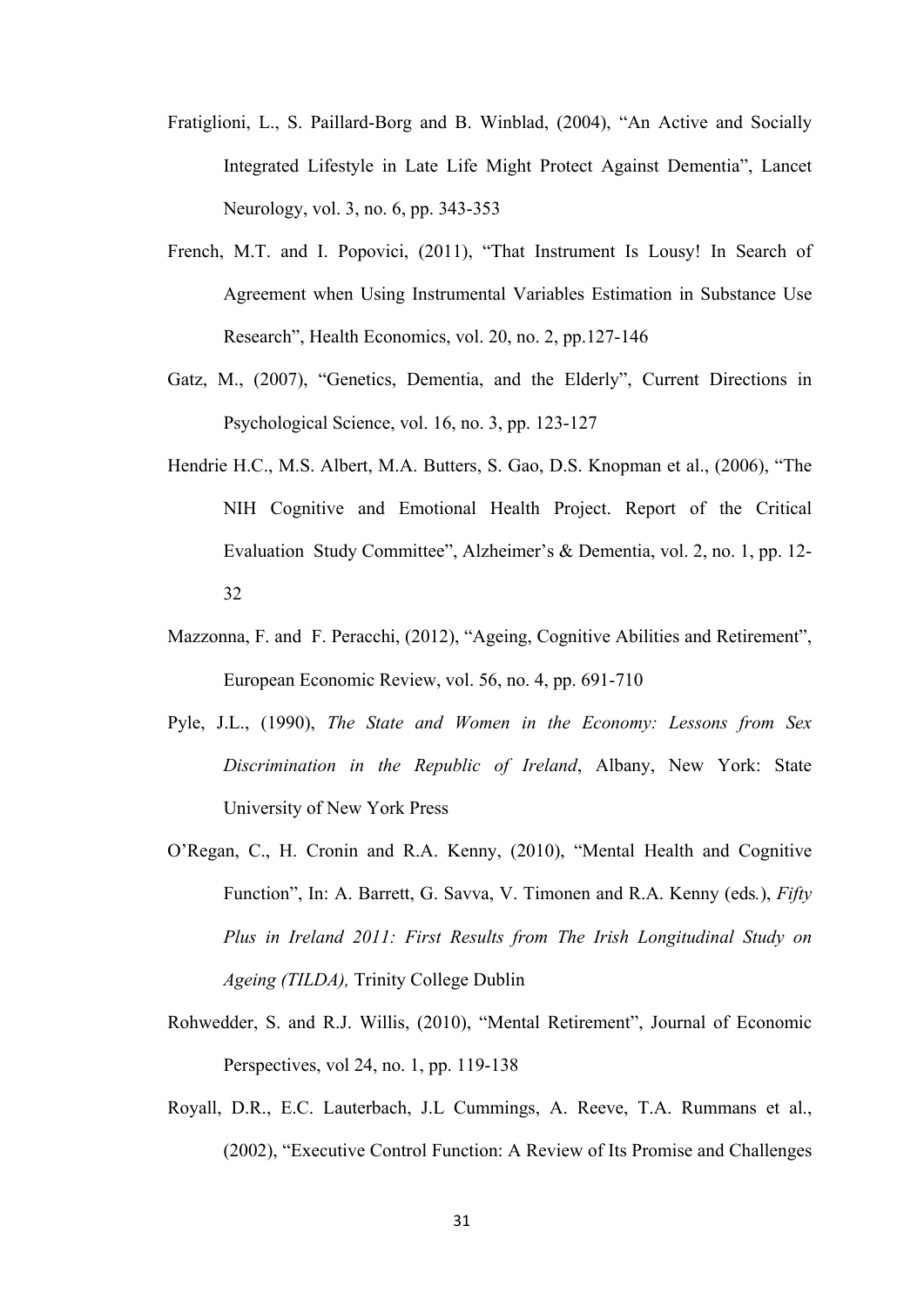- Fratiglioni, L., S. Paillard-Borg and B. Winblad, (2004), "An Active and Socially Integrated Lifestyle in Late Life Might Protect Against Dementia", Lancet Neurology, vol. 3, no. 6, pp. 343-353
- French, M.T. and I. Popovici, (2011), "That Instrument Is Lousy! In Search of Agreement when Using Instrumental Variables Estimation in Substance Use Research", Health Economics, vol. 20, no. 2, pp.127-146
- Gatz, M., (2007), "Genetics, Dementia, and the Elderly", Current Directions in Psychological Science, vol. 16, no. 3, pp. 123-127
- Hendrie H.C., M.S. Albert, M.A. Butters, S. Gao, D.S. Knopman et al., (2006), "The NIH Cognitive and Emotional Health Project. Report of the Critical Evaluation Study Committee", Alzheimer's & Dementia, vol. 2, no. 1, pp. 12- 32
- Mazzonna, F. and F. Peracchi, (2012), "Ageing, Cognitive Abilities and Retirement", European Economic Review, vol. 56, no. 4, pp. 691-710
- Pyle, J.L., (1990), *The State and Women in the Economy: Lessons from Sex Discrimination in the Republic of Ireland*, Albany, New York: State University of New York Press
- O'Regan, C., H. Cronin and R.A. Kenny, (2010), "Mental Health and Cognitive Function", In: A. Barrett, G. Savva, V. Timonen and R.A. Kenny (eds*.*), *Fifty Plus in Ireland 2011: First Results from The Irish Longitudinal Study on Ageing (TILDA),* Trinity College Dublin
- Rohwedder, S. and R.J. Willis, (2010), "Mental Retirement", Journal of Economic Perspectives, vol 24, no. 1, pp. 119-138
- Royall, D.R., E.C. Lauterbach, J.L Cummings, A. Reeve, T.A. Rummans et al., (2002), "Executive Control Function: A Review of Its Promise and Challenges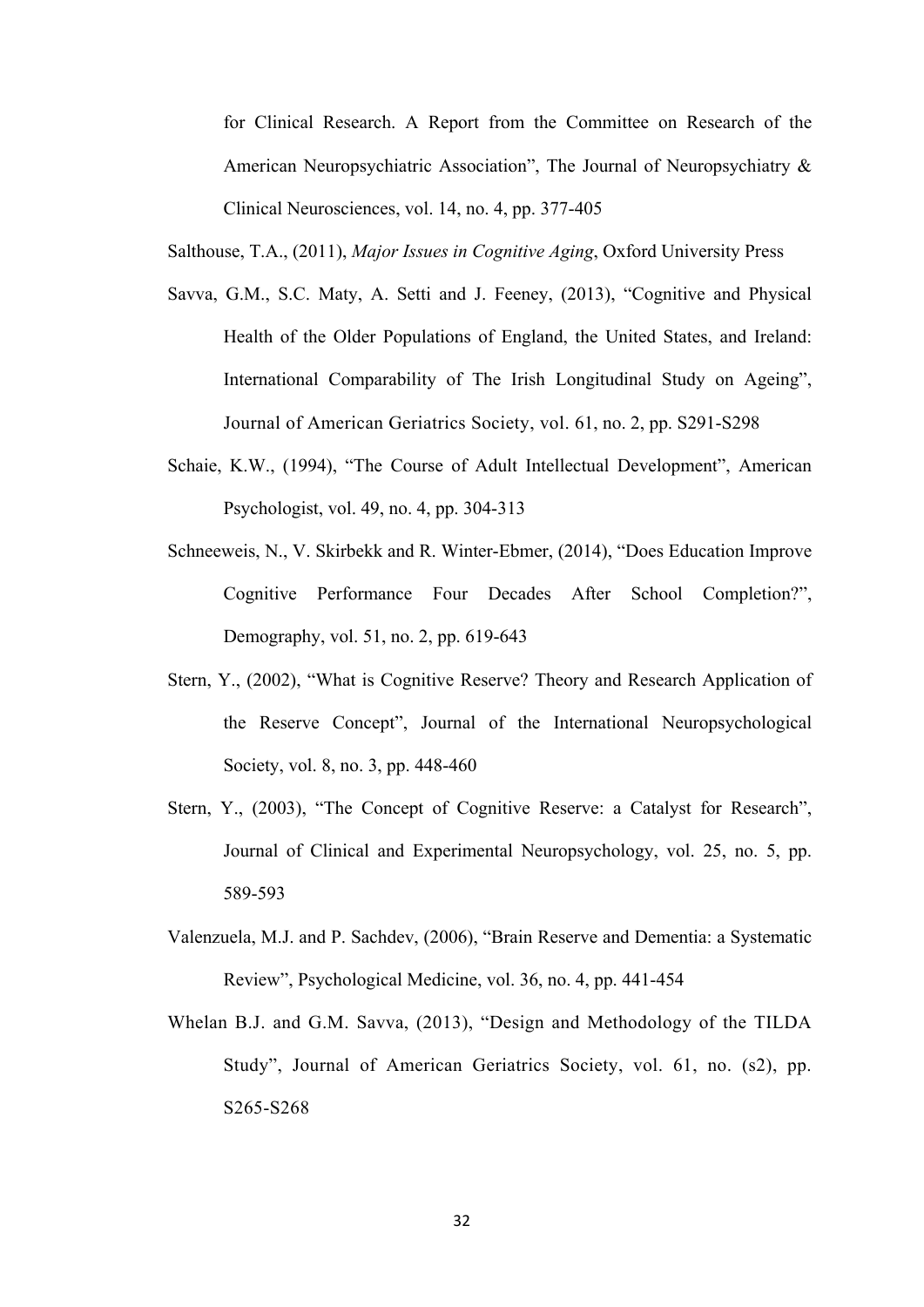for Clinical Research. A Report from the Committee on Research of the American Neuropsychiatric Association", The Journal of Neuropsychiatry & Clinical Neurosciences, vol. 14, no. 4, pp. 377-405

Salthouse, T.A., (2011), *Major Issues in Cognitive Aging*, Oxford University Press

- Savva, G.M., S.C. Maty, A. Setti and J. Feeney, (2013), "Cognitive and Physical Health of the Older Populations of England, the United States, and Ireland: International Comparability of The Irish Longitudinal Study on Ageing", Journal of American Geriatrics Society, vol. 61, no. 2, pp. S291-S298
- Schaie, K.W., (1994), "The Course of Adult Intellectual Development", American Psychologist, vol. 49, no. 4, pp. 304-313
- Schneeweis, N., V. Skirbekk and R. Winter-Ebmer, (2014), "Does Education Improve Cognitive Performance Four Decades After School Completion?", Demography, vol. 51, no. 2, pp. 619-643
- Stern, Y., (2002), "What is Cognitive Reserve? Theory and Research Application of the Reserve Concept", Journal of the International Neuropsychological Society, vol. 8, no. 3, pp. 448-460
- Stern, Y., (2003), "The Concept of Cognitive Reserve: a Catalyst for Research", Journal of Clinical and Experimental Neuropsychology, vol. 25, no. 5, pp. 589-593
- Valenzuela, M.J. and P. Sachdev, (2006), "Brain Reserve and Dementia: a Systematic Review", Psychological Medicine, vol. 36, no. 4, pp. 441-454
- Whelan B.J. and G.M. Savva, (2013), "Design and Methodology of the TILDA Study", Journal of American Geriatrics Society, vol. 61, no. (s2), pp. S265-S268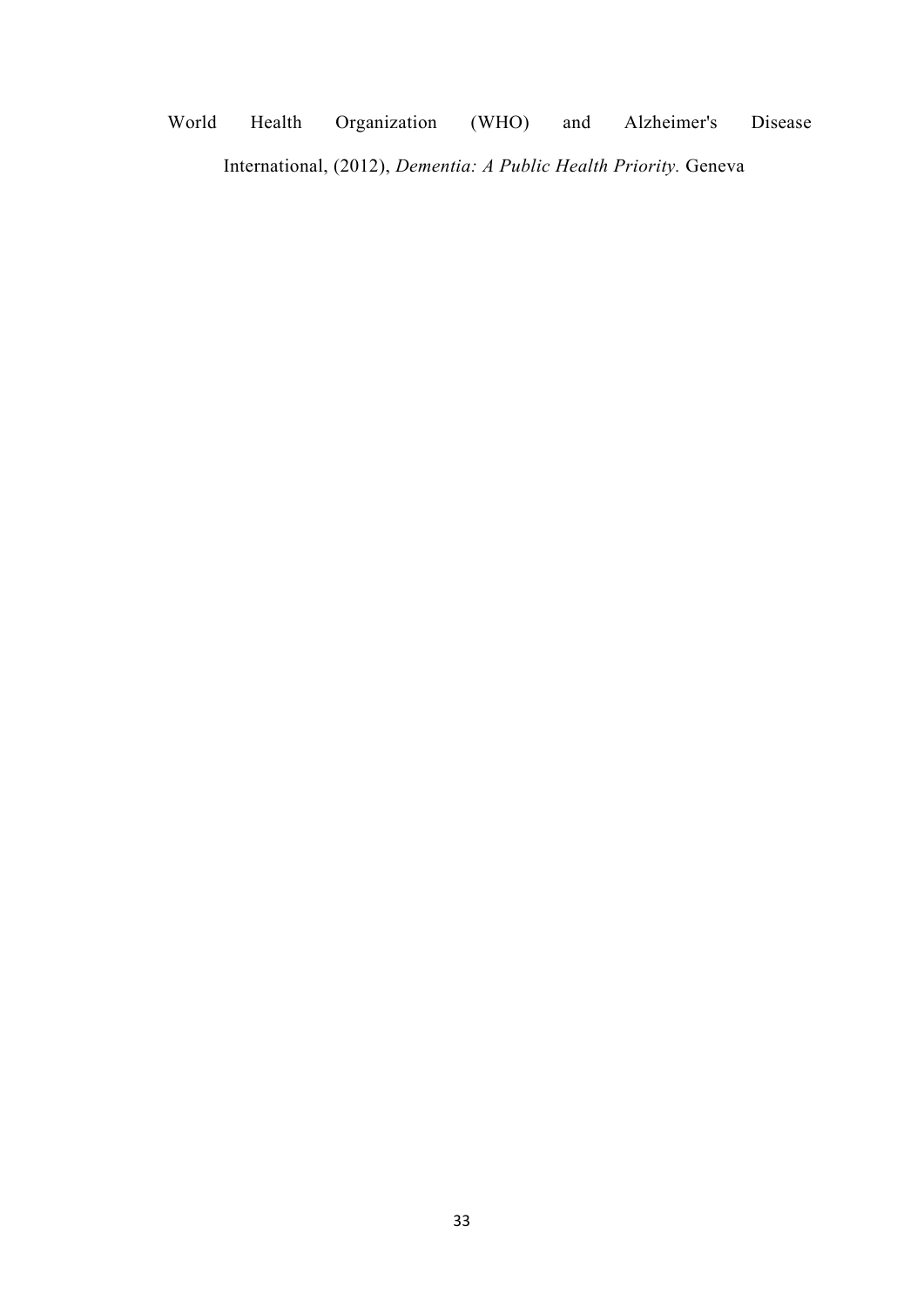# World Health Organization (WHO) and Alzheimer's Disease International, (2012), *Dementia: A Public Health Priority.* Geneva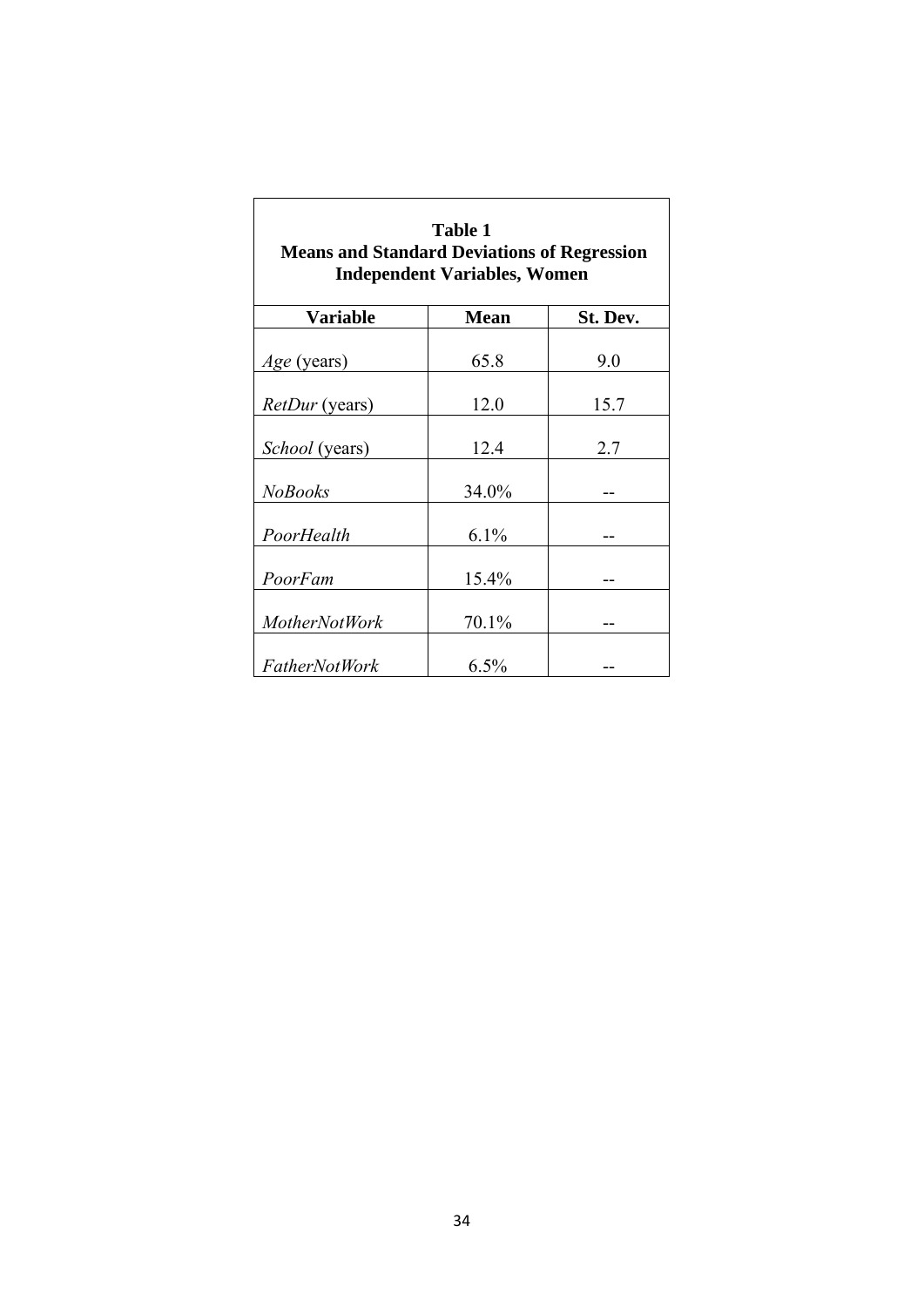| Table 1<br><b>Means and Standard Deviations of Regression</b><br><b>Independent Variables, Women</b> |             |          |  |
|------------------------------------------------------------------------------------------------------|-------------|----------|--|
| <b>Variable</b>                                                                                      | <b>Mean</b> | St. Dev. |  |
| <i>Age</i> (years)                                                                                   | 65.8        | 9.0      |  |
| <i>RetDur</i> (years)                                                                                | 12.0        | 15.7     |  |
| <i>School</i> (years)                                                                                | 12.4        | 2.7      |  |
| <b>NoBooks</b>                                                                                       | 34.0%       |          |  |
| PoorHealth                                                                                           | 6.1%        |          |  |
| PoorFam                                                                                              | 15.4%       |          |  |
| MotherNotWork                                                                                        | 70.1%       |          |  |
| <i>FatherNotWork</i>                                                                                 | 6.5%        |          |  |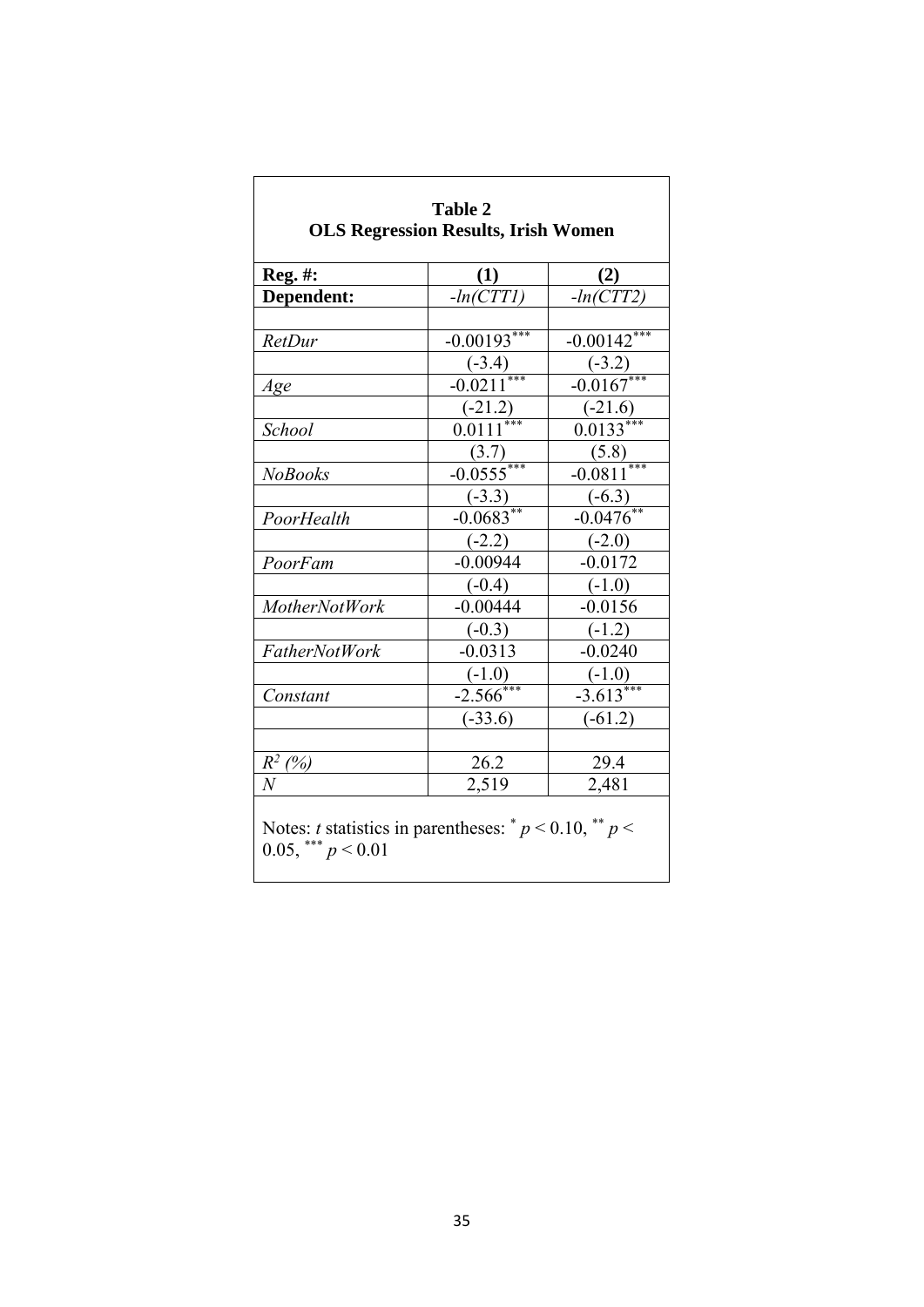| <b>OLS Regression Results, Irish Women</b> |                               |                              |  |
|--------------------------------------------|-------------------------------|------------------------------|--|
| Reg. #:                                    | (1)                           | (2)                          |  |
| Dependent:                                 | $-ln(CTT1)$                   | $\overline{-ln(CTT2)}$       |  |
| RetDur                                     | $-0.00193***$                 | $-0.00142***$                |  |
|                                            |                               |                              |  |
|                                            | $\frac{(-3.4)}{-0.0211}$ ***  | $\frac{(-3.2)}{-0.0167}$     |  |
| Age                                        |                               |                              |  |
|                                            | $\frac{(-21.2)}{0.0111}$      | $\frac{(-21.6)}{0.0133}$ *** |  |
| School                                     |                               |                              |  |
|                                            | (3.7)                         | $\frac{(5.8)}{-0.0811}$ ***  |  |
| <b>NoBooks</b>                             | $-0.0555***$                  |                              |  |
|                                            | $\frac{(-3.3)}{-0.0683}^{**}$ | $\frac{(-6.3)}{-0.0476}$     |  |
| PoorHealth                                 |                               |                              |  |
|                                            | $(-2.2)$                      | $(-2.0)$                     |  |
| PoorFam                                    | $-0.00944$                    | $-0.0172$                    |  |
|                                            | $(-0.4)$                      | $(-1.0)$                     |  |
| MotherNotWork                              | $-0.00444$                    | $-0.0156$                    |  |
|                                            | $(-0.3)$                      | $(-1.2)$                     |  |
| FatherNotWork                              | $-0.0313$                     | $-0.0240$                    |  |
|                                            | $\frac{(-1.0)}{-2.566}$       |                              |  |
| Constant                                   |                               | $\frac{(-1.0)}{-3.613}$      |  |
|                                            | $(-33.6)$                     | $(-61.2)$                    |  |
| (%)                                        | 26.2                          | 29.4                         |  |
| $\frac{R^2}{4}$                            | 2,519                         | 2,481                        |  |
|                                            |                               |                              |  |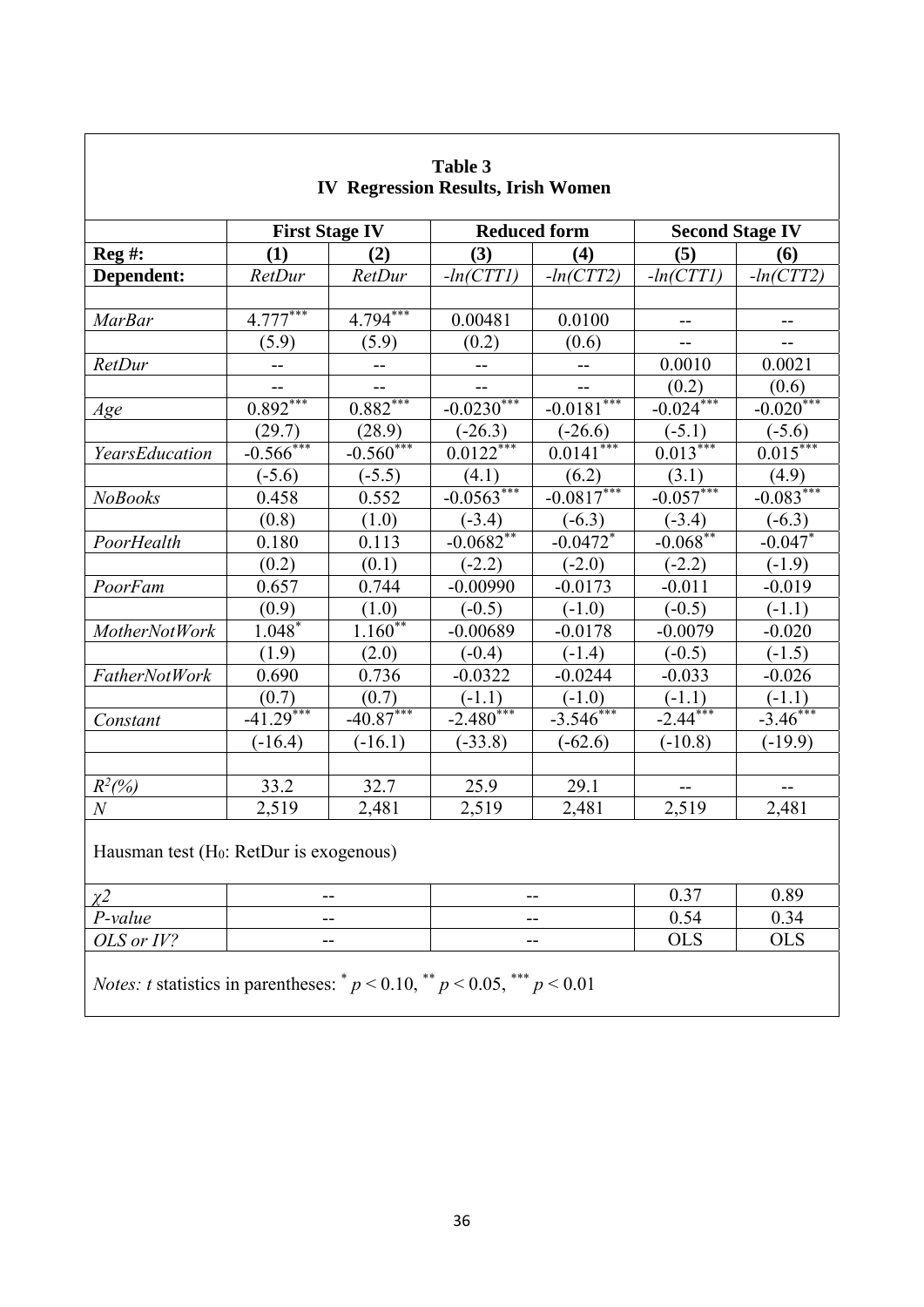|                                                                                 |               | <b>Reduced form</b><br><b>First Stage IV</b> |              | <b>Second Stage IV</b> |             |             |
|---------------------------------------------------------------------------------|---------------|----------------------------------------------|--------------|------------------------|-------------|-------------|
| $\text{Reg }#$ :                                                                | (1)           | (2)                                          | (3)          | (4)                    | (5)         | (6)         |
| Dependent:                                                                      | <b>RetDur</b> | <b>RetDur</b>                                | $-ln(CTTI)$  | $-ln(CTT2)$            | $-ln(CTTI)$ | $-ln(CTT2)$ |
| <b>MarBar</b>                                                                   | $4.777***$    | $4.794***$                                   | 0.00481      | 0.0100                 | $-$         | --          |
|                                                                                 | (5.9)         | (5.9)                                        | (0.2)        | (0.6)                  | $-$         | $-$         |
| <b>RetDur</b>                                                                   | --            | --                                           | --           | --                     | 0.0010      | 0.0021      |
|                                                                                 |               |                                              |              |                        | (0.2)       | (0.6)       |
| Age                                                                             | $0.892***$    | $0.882***$                                   | $-0.0230***$ | $-0.0181***$           | $-0.024***$ | $-0.020***$ |
|                                                                                 | (29.7)        | (28.9)                                       | $(-26.3)$    | $(-26.6)$              | $(-5.1)$    | $(-5.6)$    |
| YearsEducation                                                                  | $-0.506***$   | $-0.560***$                                  | $0.0122***$  | $0.0141***$            | $0.013***$  | $0.015***$  |
|                                                                                 | $(-5.6)$      | $(-5.5)$                                     | (4.1)        | (6.2)                  | (3.1)       | (4.9)       |
| <b>NoBooks</b>                                                                  | 0.458         | 0.552                                        | $-0.0563***$ | $-0.0817***$           | $-0.057***$ | $-0.083***$ |
|                                                                                 | (0.8)         | (1.0)                                        | $(-3.4)$     | $(-6.3)$               | $(-3.4)$    | $(-6.3)$    |
| PoorHealth                                                                      | 0.180         | 0.113                                        | $-0.0682**$  | $-0.0472$ *            | $-0.068**$  | $-0.047*$   |
|                                                                                 | (0.2)         | (0.1)                                        | $(-2.2)$     | $(-2.0)$               | $(-2.2)$    | $(-1.9)$    |
| PoorFam                                                                         | 0.657         | 0.744                                        | $-0.00990$   | $-0.0173$              | $-0.011$    | $-0.019$    |
|                                                                                 | (0.9)         | (1.0)                                        | $(-0.5)$     | $(-1.0)$               | $(-0.5)$    | $(-1.1)$    |
| MotherNotWork                                                                   | $1.048*$      | $\frac{1.160^{**}}{1.160^{**}}$              | $-0.00689$   | $-0.0178$              | $-0.0079$   | $-0.020$    |
|                                                                                 | (1.9)         | (2.0)                                        | $(-0.4)$     | $(-1.4)$               | $(-0.5)$    | $(-1.5)$    |
| <b>FatherNotWork</b>                                                            | 0.690         | 0.736                                        | $-0.0322$    | $-0.0244$              | $-0.033$    | $-0.026$    |
|                                                                                 | (0.7)         | (0.7)                                        | $(-1.1)$     | $(-1.0)$               | $(-1.1)$    | $(-1.1)$    |
| Constant                                                                        | $-41.29***$   | $-40.87***$                                  | $-2.480***$  | $-3.546***$            | $-2.44***$  | $-3.46***$  |
|                                                                                 | $(-16.4)$     | $(-16.1)$                                    | $(-33.8)$    | $(-62.6)$              | $(-10.8)$   | $(-19.9)$   |
| $R^2$ (%)                                                                       | 33.2          | 32.7                                         | 25.9         | 29.1                   | --          | --          |
| $\boldsymbol{N}$                                                                | 2,519         | 2,481                                        | 2,519        | 2,481                  | 2,519       | 2,481       |
| Hausman test (H <sub>0</sub> : RetDur is exogenous)                             |               |                                              |              |                        |             |             |
| $\chi$ <sup>2</sup>                                                             |               |                                              |              | --                     | 0.37        | 0.89        |
| P-value                                                                         |               |                                              |              | --                     | 0.54        | 0.34        |
| OLS or IV?                                                                      |               |                                              |              |                        | <b>OLS</b>  | <b>OLS</b>  |
| <i>Notes: t</i> statistics in parentheses: $p < 0.10$ , $p < 0.05$ , $p < 0.01$ |               |                                              |              |                        |             |             |

**Table 3 IV Regression Results, Irish Women**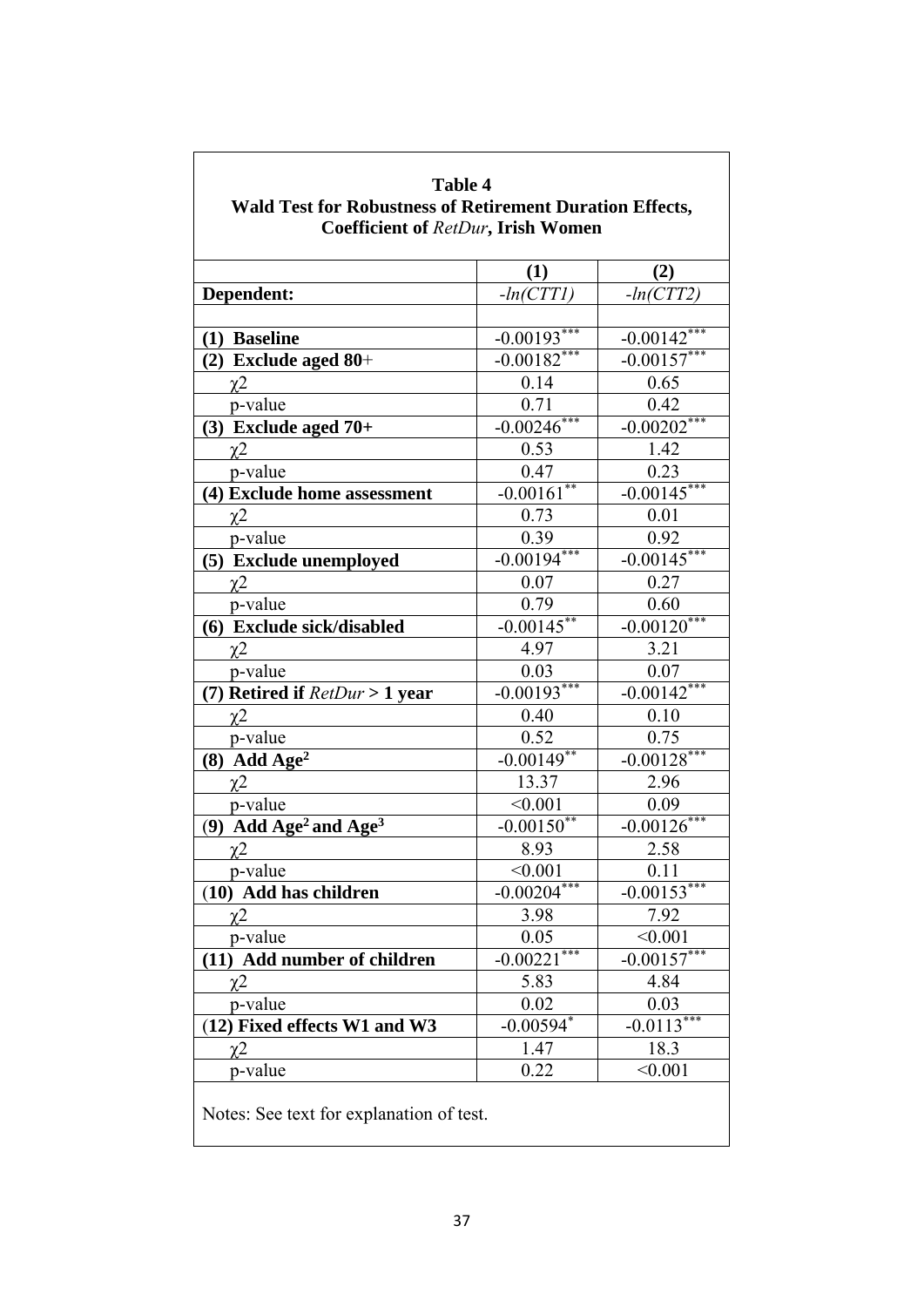| <b>Table 4</b><br><b>Wald Test for Robustness of Retirement Duration Effects,</b><br><b>Coefficient of RetDur, Irish Women</b> |                |                        |  |  |
|--------------------------------------------------------------------------------------------------------------------------------|----------------|------------------------|--|--|
| (1)<br>(2)                                                                                                                     |                |                        |  |  |
| Dependent:                                                                                                                     | $-ln(CTTI)$    | $\overline{-ln(CTT2)}$ |  |  |
|                                                                                                                                |                |                        |  |  |
| (1) Baseline                                                                                                                   | $-0.00193$ *** | $-0.00142***$          |  |  |
| $(2)$ Exclude aged $80+$                                                                                                       | $-0.00182***$  | $-0.00157***$          |  |  |
| $\chi$ <sup>2</sup>                                                                                                            | 0.14           | 0.65                   |  |  |
| p-value                                                                                                                        | 0.71           | 0.42                   |  |  |
| $(3)$ Exclude aged 70+                                                                                                         | $-0.00246***$  | $-0.00202***$          |  |  |
| $\chi$ <sup>2</sup>                                                                                                            | 0.53           | 1.42                   |  |  |
| p-value                                                                                                                        | 0.47           | 0.23                   |  |  |
| (4) Exclude home assessment                                                                                                    | $-0.00161**$   | $-0.00145***$          |  |  |
| $\chi$ <sup>2</sup>                                                                                                            | 0.73           | 0.01                   |  |  |
| p-value                                                                                                                        | 0.39           | 0.92                   |  |  |
| (5) Exclude unemployed                                                                                                         | $-0.00194***$  | $-0.00145***$          |  |  |
| $\chi^2$                                                                                                                       | 0.07           | 0.27                   |  |  |
| p-value                                                                                                                        | 0.79           | 0.60                   |  |  |
| (6) Exclude sick/disabled                                                                                                      | $-0.00145***$  | $-0.00120***$          |  |  |
| χ2                                                                                                                             | 4.97           | 3.21                   |  |  |
| p-value                                                                                                                        | 0.03           | 0.07                   |  |  |
| (7) Retired if $RetDur > 1$ year                                                                                               | $-0.00193***$  | $-0.00142***$          |  |  |
| $\chi$ <sup>2</sup>                                                                                                            | 0.40           | 0.10                   |  |  |
| p-value                                                                                                                        | 0.52           | 0.75                   |  |  |
| (8) Add $\overline{Age^2}$                                                                                                     | $-0.00149**$   | $-0.00128***$          |  |  |
| $\chi$ 2                                                                                                                       | 13.37          | 2.96                   |  |  |
| p-value                                                                                                                        | < 0.001        | 0.09                   |  |  |
| $(9)$ Add Age <sup>2</sup> and Age <sup>3</sup>                                                                                | $-0.00150**$   | $-0.00126***$          |  |  |
| $\chi^2$                                                                                                                       | 8.93           | 2.58                   |  |  |
| p-value                                                                                                                        | < 0.001        | 0.11                   |  |  |
| (10) Add has children                                                                                                          | $-0.00204***$  | $-0.00153***$          |  |  |
| $\chi$ 2                                                                                                                       | 3.98           | 7.92                   |  |  |
| p-value                                                                                                                        | 0.05           | < 0.001                |  |  |
| (11) Add number of children                                                                                                    | $-0.00221***$  | $-0.00157***$          |  |  |
| $\chi$ <sup>2</sup>                                                                                                            | 5.83           | 4.84                   |  |  |
| p-value                                                                                                                        | 0.02           | 0.03                   |  |  |
| (12) Fixed effects W1 and W3                                                                                                   | $-0.00594*$    | $-0.0113***$           |  |  |
| $\chi$ <sup>2</sup>                                                                                                            | 1.47           | 18.3                   |  |  |
| p-value                                                                                                                        | 0.22           | < 0.001                |  |  |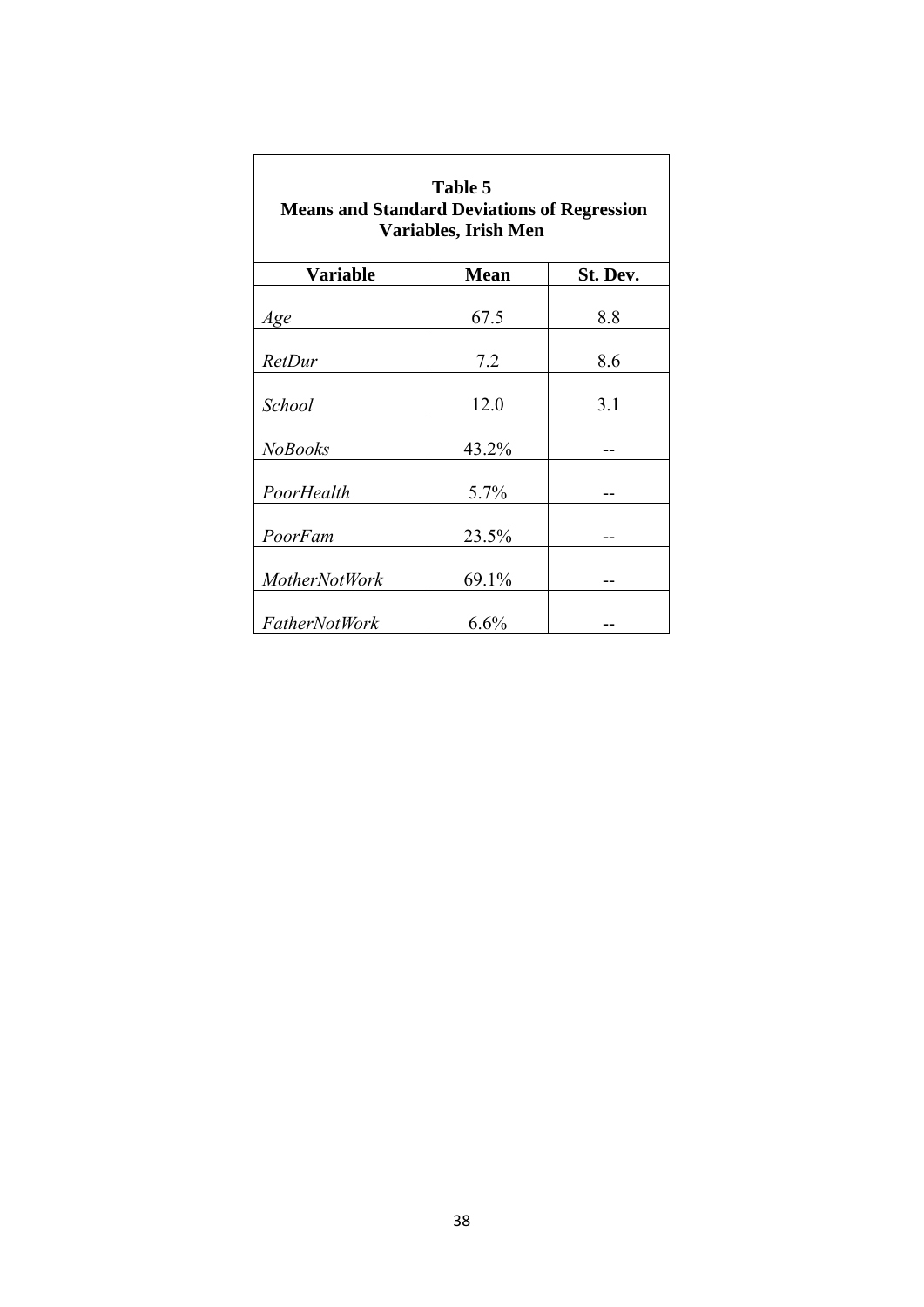| Table 5<br><b>Means and Standard Deviations of Regression</b><br>Variables, Irish Men |             |          |  |
|---------------------------------------------------------------------------------------|-------------|----------|--|
| <b>Variable</b>                                                                       | <b>Mean</b> | St. Dev. |  |
| Age                                                                                   | 67.5        | 8.8      |  |
| RetDur                                                                                | 7.2         | 8.6      |  |
| School                                                                                | 12.0        | 3.1      |  |
| <b>NoBooks</b>                                                                        | 43.2%       |          |  |
| PoorHealth                                                                            | 5.7%        |          |  |
| PoorFam                                                                               | 23.5%       |          |  |
| MotherNotWork                                                                         | 69.1%       |          |  |
| FatherNotWork                                                                         | 6.6%        |          |  |

 $\mathbf{r}$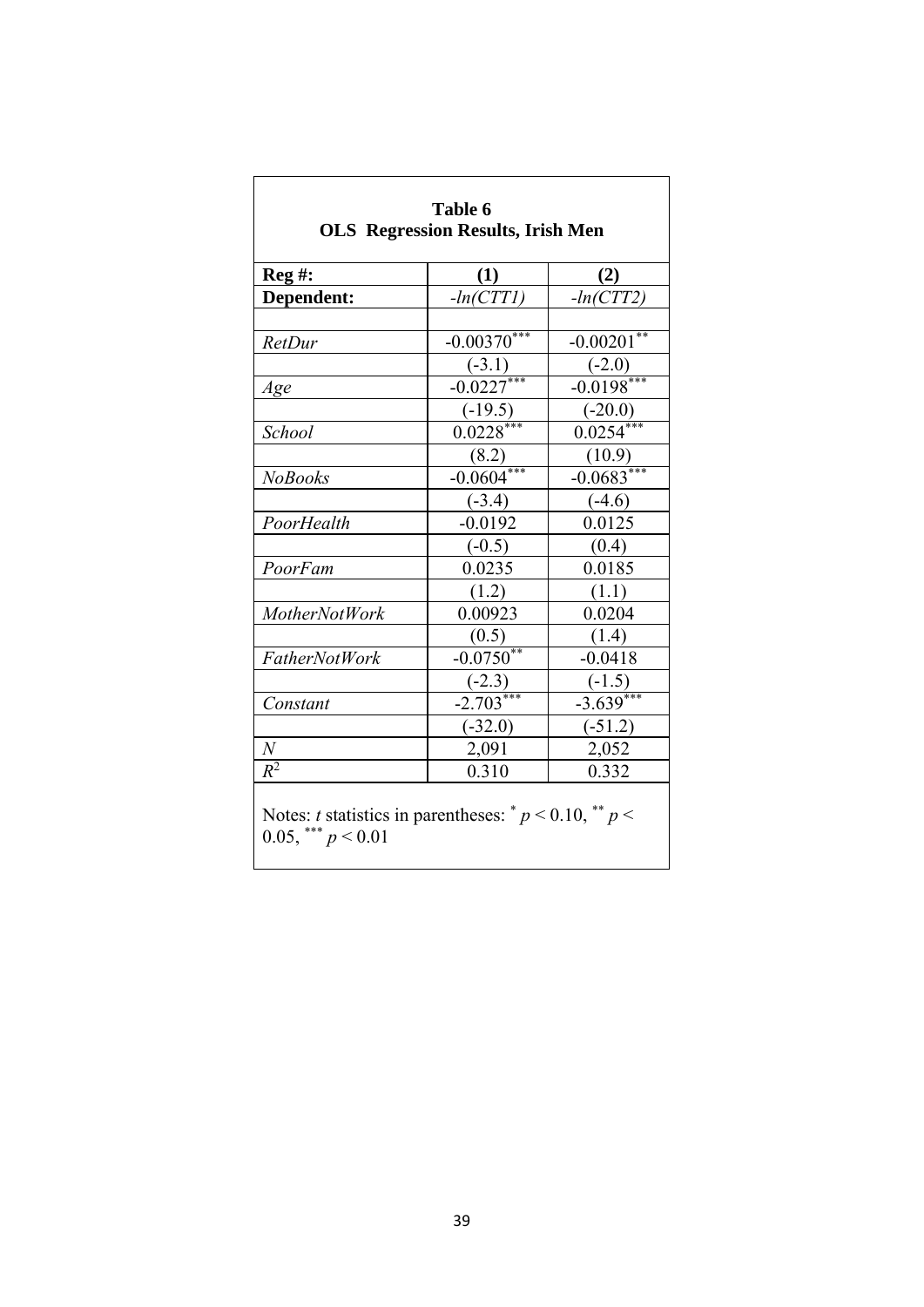| $\text{Reg }#$ :     | (1)                          | (2)                         |
|----------------------|------------------------------|-----------------------------|
| Dependent:           | $\overline{-ln(CTTI)}$       | $-ln(TT2)$                  |
|                      |                              |                             |
| <b>RetDur</b>        | $-0.00370$ ***               | $-0.00201$ **               |
|                      | $(-3.1)$                     | $(-2.0)$                    |
| Age                  | $-0.0227***$                 | $-0.0198***$                |
|                      | $\frac{-(-19.5)}{0.0228***}$ | $\frac{(-20.0)}{0.0254***}$ |
| School               |                              |                             |
|                      | (8.2)                        | (10.9)                      |
| <b>NoBooks</b>       | $-0.0604***$                 | $-0.0683***$                |
|                      | $(-3.4)$                     | $(-4.6)$                    |
| PoorHealth           | $-0.0192$                    | 0.0125                      |
|                      | $(-0.5)$                     | (0.4)                       |
| PoorFam              | 0.0235                       | 0.0185                      |
|                      | (1.2)                        | (1.1)                       |
| MotherNotWork        | 0.00923                      | 0.0204                      |
|                      | (0.5)                        | (1.4)                       |
| <b>FatherNotWork</b> | $-0.0750**$                  | $-0.0418$                   |
|                      | $\frac{(-2.3)}{-2.703}$      | $\frac{(-1.5)}{-3.639***}$  |
| Constant             |                              |                             |
|                      | $(-32.0)$                    | $(-51.2)$                   |
| $\boldsymbol{N}$     | 2,091                        | 2,052                       |
| $R^2$                | 0.310                        | 0.332                       |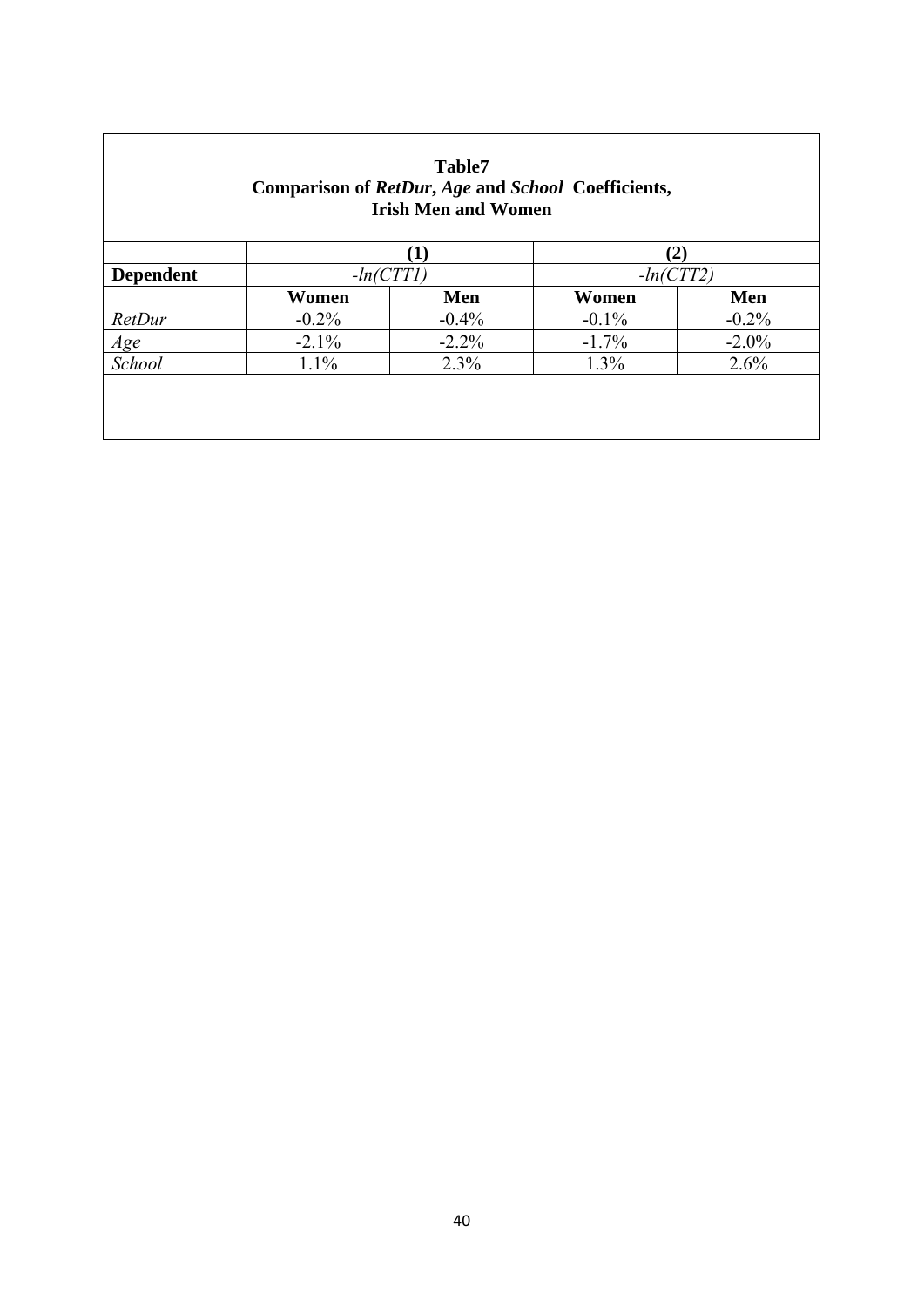| Table7<br>Comparison of RetDur, Age and School Coefficients,<br><b>Irish Men and Women</b> |             |          |             |          |
|--------------------------------------------------------------------------------------------|-------------|----------|-------------|----------|
|                                                                                            | $\bf(1)$    |          | $\bf(2)$    |          |
| <b>Dependent</b>                                                                           | $-ln(CTTI)$ |          | $-ln(CTT2)$ |          |
|                                                                                            | Women       | Men      | Women       | Men      |
| RetDur                                                                                     | $-0.2\%$    | $-0.4\%$ | $-0.1\%$    | $-0.2%$  |
| Age                                                                                        | $-2.1\%$    | $-2.2\%$ | $-1.7\%$    | $-2.0\%$ |
| School                                                                                     | 1.1%        | 2.3%     | 1.3%        | 2.6%     |
|                                                                                            |             |          |             |          |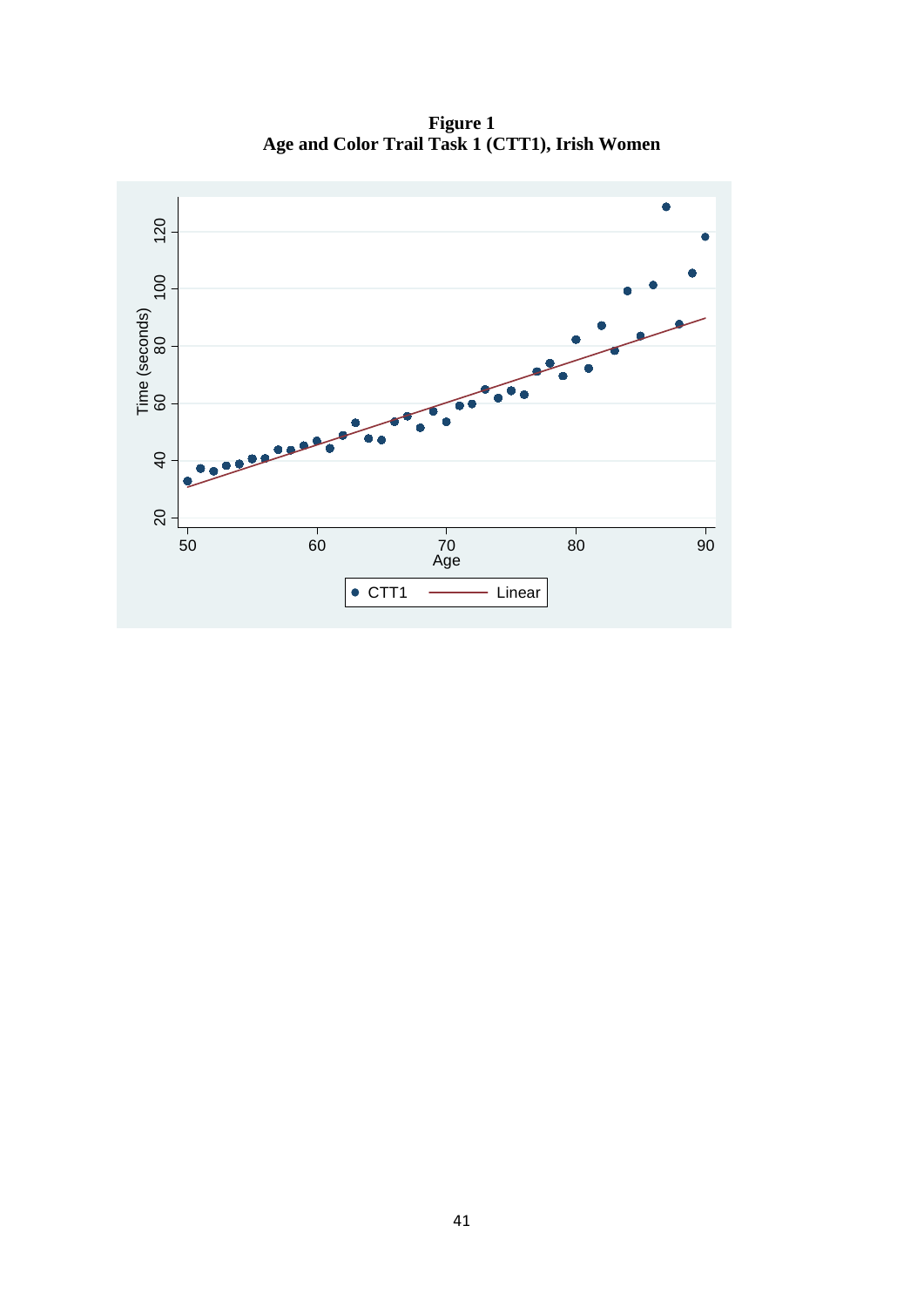**Figure 1 Age and Color Trail Task 1 (CTT1), Irish Women** 

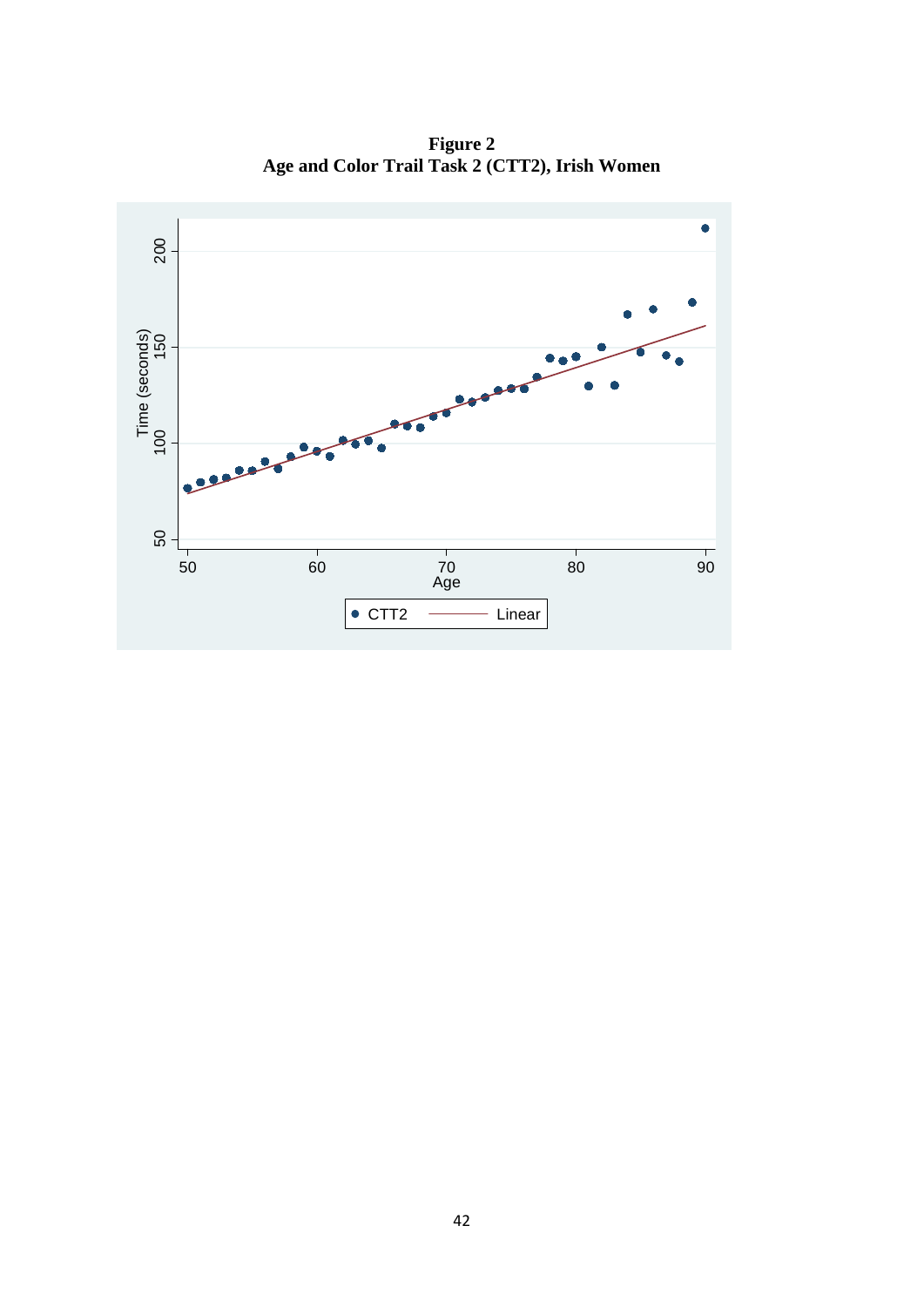

**Figure 2 Age and Color Trail Task 2 (CTT2), Irish Women**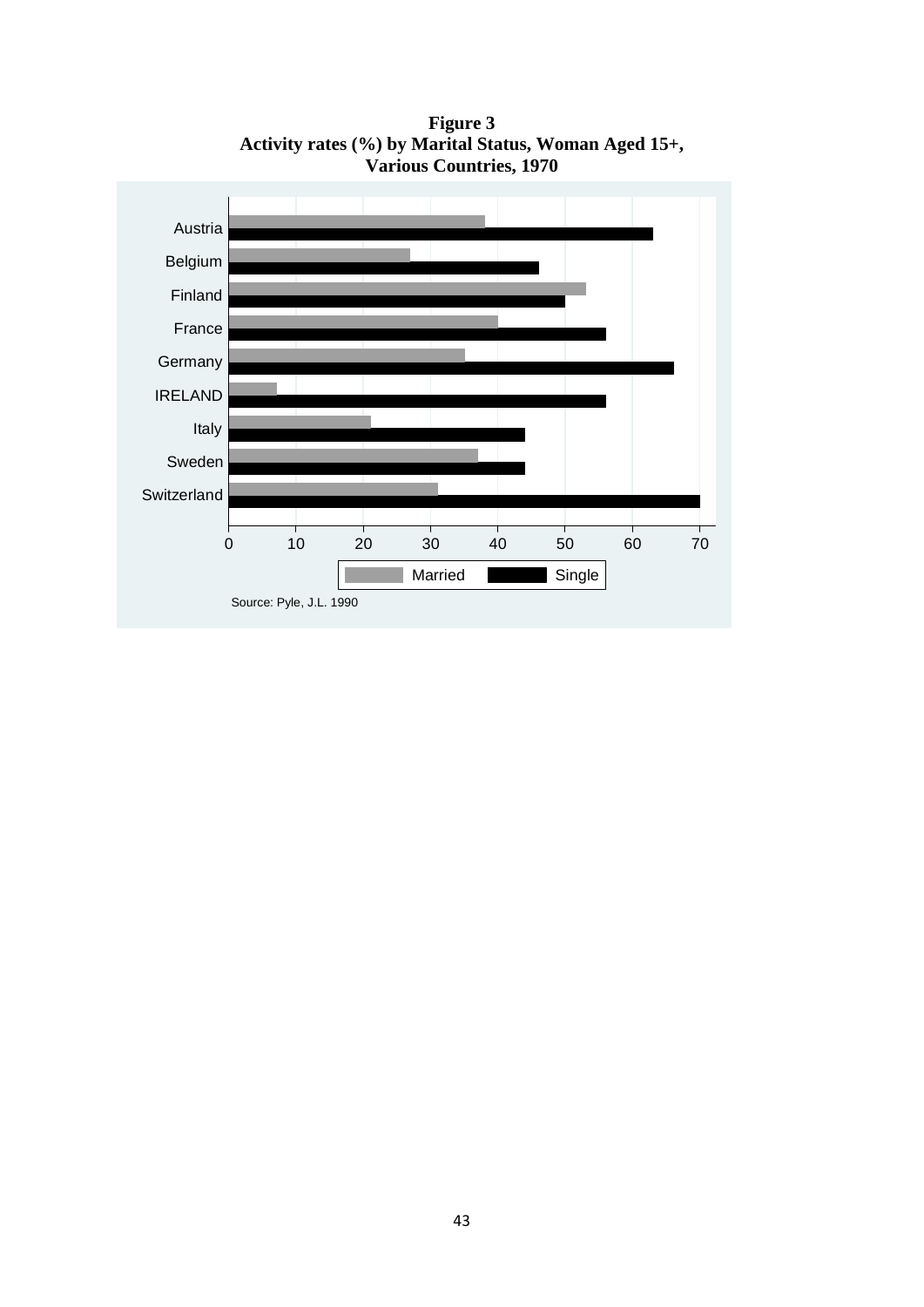

**Figure 3 Activity rates (%) by Marital Status, Woman Aged 15+, Various Countries, 1970**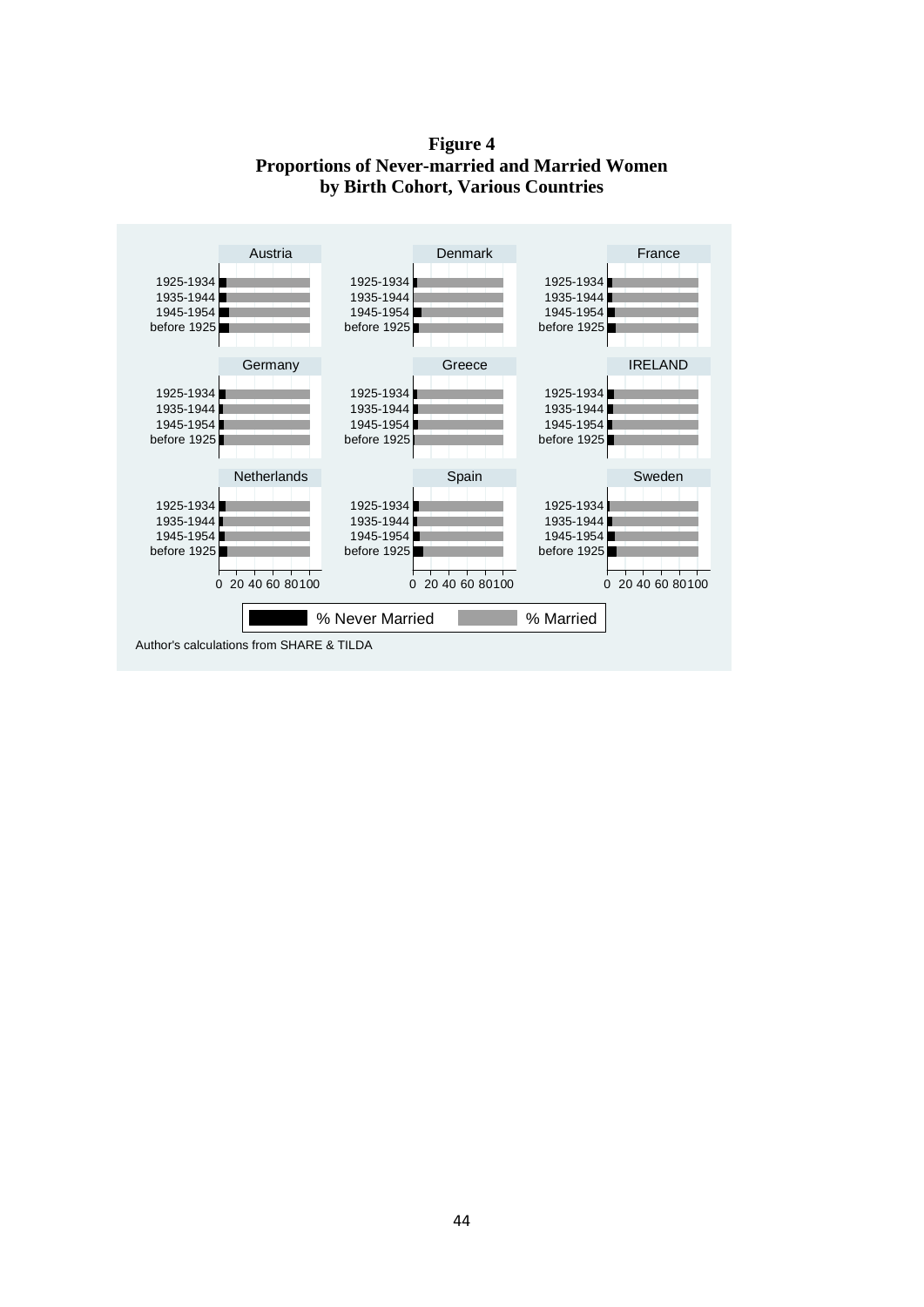**Figure 4 Proportions of Never-married and Married Women by Birth Cohort, Various Countries** 

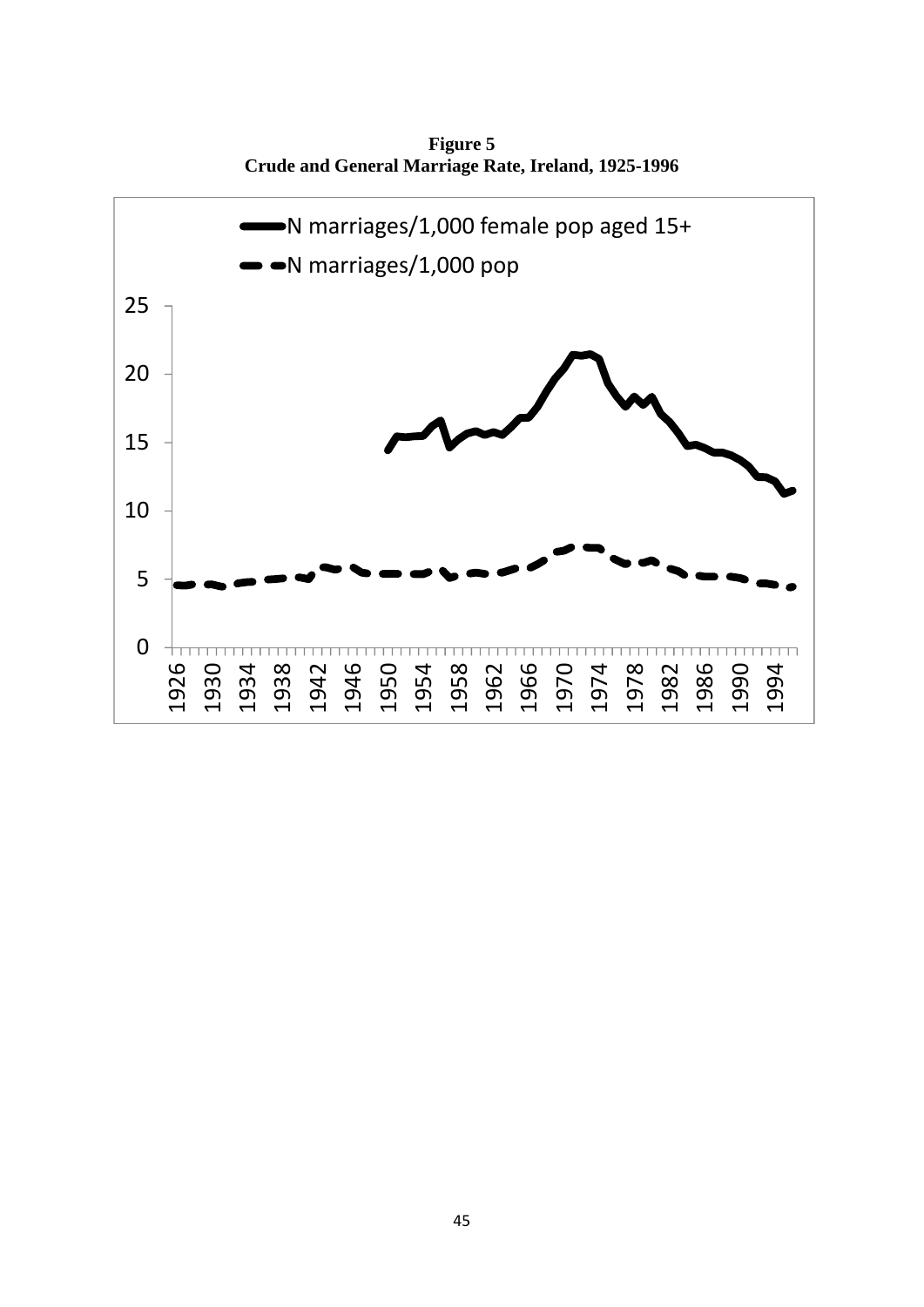**Figure 5 Crude and General Marriage Rate, Ireland, 1925-1996**